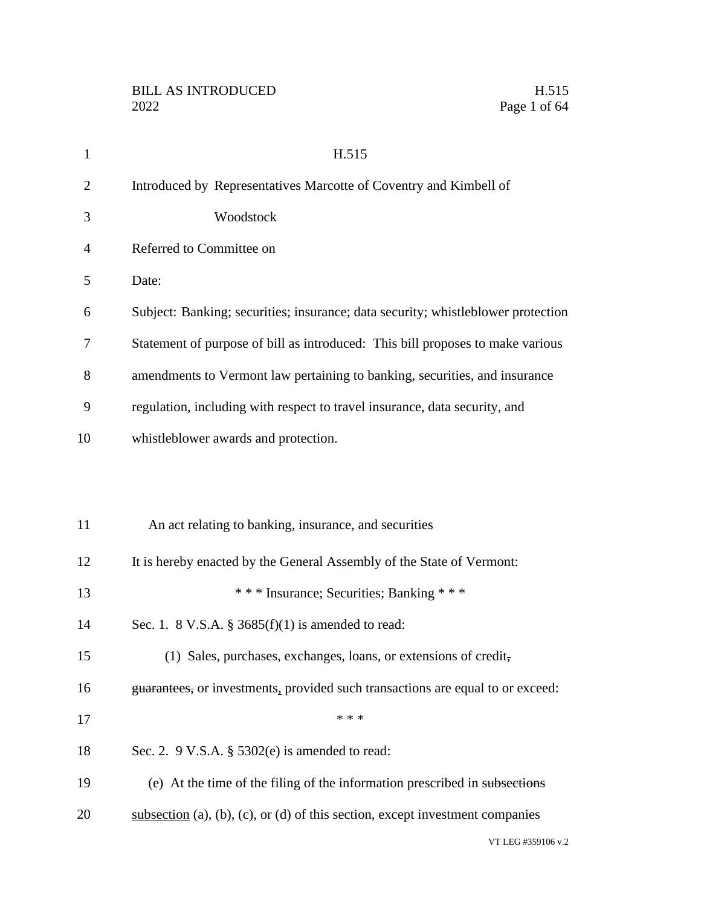Page 1 of 64

| $\mathbf{1}$   | H.515                                                                            |
|----------------|----------------------------------------------------------------------------------|
| $\overline{2}$ | Introduced by Representatives Marcotte of Coventry and Kimbell of                |
| 3              | Woodstock                                                                        |
| $\overline{4}$ | Referred to Committee on                                                         |
| 5              | Date:                                                                            |
| 6              | Subject: Banking; securities; insurance; data security; whistleblower protection |
| 7              | Statement of purpose of bill as introduced: This bill proposes to make various   |
| 8              | amendments to Vermont law pertaining to banking, securities, and insurance       |
| 9              | regulation, including with respect to travel insurance, data security, and       |
| 10             | whistleblower awards and protection.                                             |
|                |                                                                                  |
| 11             | An act relating to banking, insurance, and securities                            |
| 12             | It is hereby enacted by the General Assembly of the State of Vermont:            |
| 13             | *** Insurance; Securities; Banking ***                                           |
| 14             | Sec. 1. 8 V.S.A. § 3685 $(f)(1)$ is amended to read:                             |
| 15             | (1) Sales, purchases, exchanges, loans, or extensions of credit,                 |
| 16             | guarantees, or investments, provided such transactions are equal to or exceed:   |
| 17             | * * *                                                                            |
| 18             | Sec. 2. $9$ V.S.A. $\S$ 5302(e) is amended to read:                              |
| 19             | (e) At the time of the filing of the information prescribed in subsections       |
| 20             | subsection (a), (b), (c), or (d) of this section, except investment companies    |
|                | VT LEG #359106 v.2                                                               |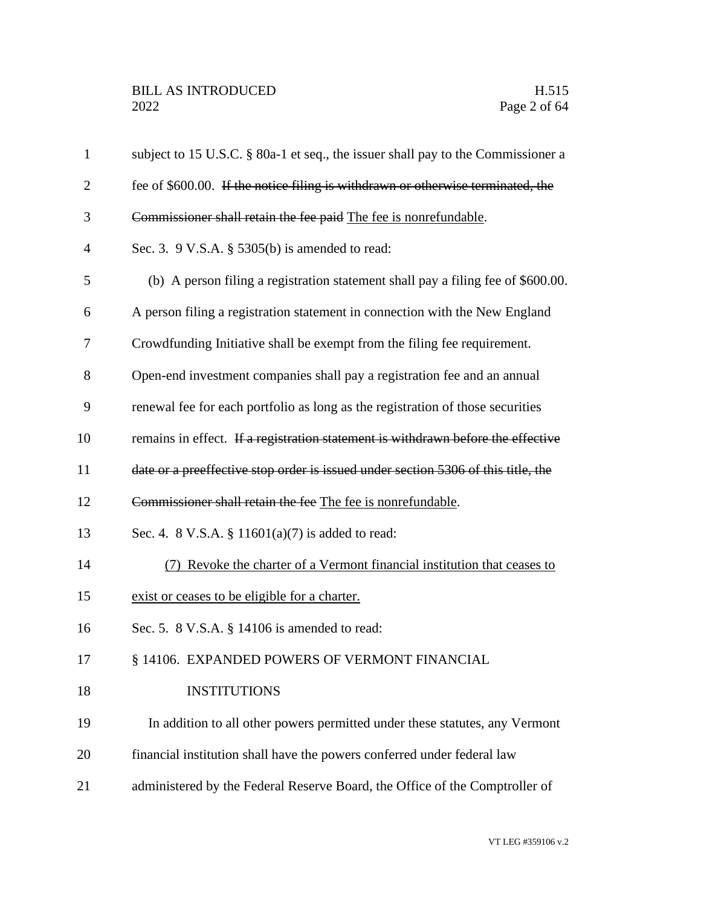| $\mathbf{1}$   | subject to 15 U.S.C. § 80a-1 et seq., the issuer shall pay to the Commissioner a  |
|----------------|-----------------------------------------------------------------------------------|
| $\overline{2}$ | fee of \$600.00. If the notice filing is withdrawn or otherwise terminated, the   |
| 3              | Commissioner shall retain the fee paid The fee is nonrefundable.                  |
| 4              | Sec. 3. $9$ V.S.A. $\S$ 5305(b) is amended to read:                               |
| 5              | (b) A person filing a registration statement shall pay a filing fee of \$600.00.  |
| 6              | A person filing a registration statement in connection with the New England       |
| 7              | Crowdfunding Initiative shall be exempt from the filing fee requirement.          |
| 8              | Open-end investment companies shall pay a registration fee and an annual          |
| 9              | renewal fee for each portfolio as long as the registration of those securities    |
| 10             | remains in effect. If a registration statement is withdrawn before the effective  |
| 11             | date or a preeffective stop order is issued under section 5306 of this title, the |
| 12             | Commissioner shall retain the fee The fee is nonrefundable.                       |
| 13             | Sec. 4. 8 V.S.A. § $11601(a)(7)$ is added to read:                                |
| 14             | Revoke the charter of a Vermont financial institution that ceases to<br>(7)       |
| 15             | exist or ceases to be eligible for a charter.                                     |
| 16             | Sec. 5. 8 V.S.A. § 14106 is amended to read:                                      |
| 17             | § 14106. EXPANDED POWERS OF VERMONT FINANCIAL                                     |
| 18             | <b>INSTITUTIONS</b>                                                               |
| 19             | In addition to all other powers permitted under these statutes, any Vermont       |
| 20             | financial institution shall have the powers conferred under federal law           |
| 21             | administered by the Federal Reserve Board, the Office of the Comptroller of       |
|                |                                                                                   |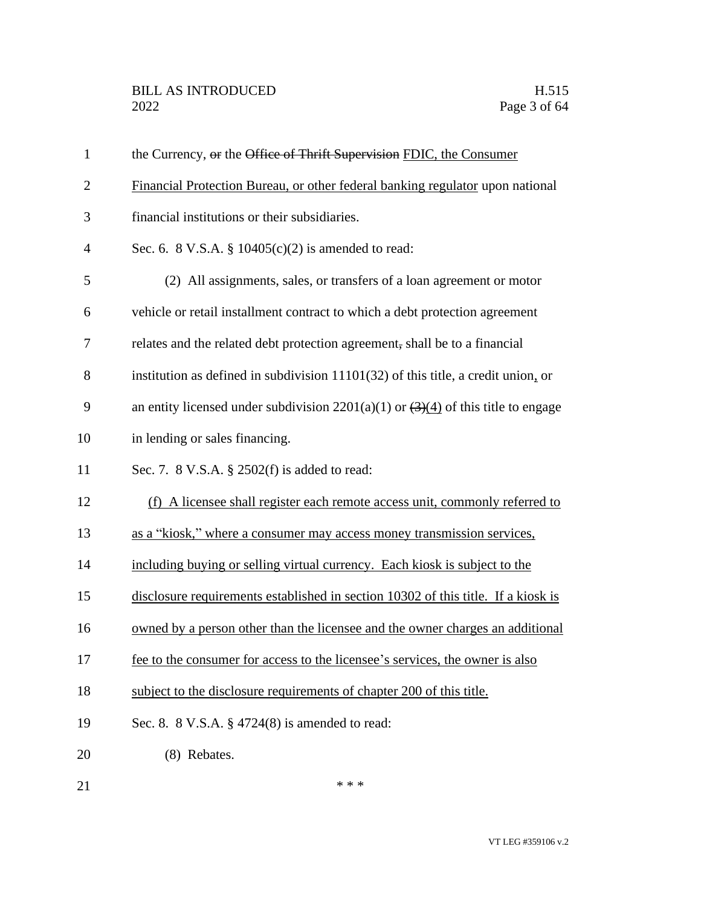| $\mathbf{1}$   | the Currency, or the Office of Thrift Supervision FDIC, the Consumer                                                 |
|----------------|----------------------------------------------------------------------------------------------------------------------|
| $\overline{2}$ | Financial Protection Bureau, or other federal banking regulator upon national                                        |
| 3              | financial institutions or their subsidiaries.                                                                        |
| $\overline{4}$ | Sec. 6. 8 V.S.A. § $10405(c)(2)$ is amended to read:                                                                 |
| 5              | (2) All assignments, sales, or transfers of a loan agreement or motor                                                |
| 6              | vehicle or retail installment contract to which a debt protection agreement                                          |
| 7              | relates and the related debt protection agreement, shall be to a financial                                           |
| 8              | institution as defined in subdivision $11101(32)$ of this title, a credit union, or                                  |
| 9              | an entity licensed under subdivision $2201(a)(1)$ or $\left(\frac{3}{4}\right)(\frac{4}{4})$ of this title to engage |
| 10             | in lending or sales financing.                                                                                       |
| 11             | Sec. 7. 8 V.S.A. § 2502(f) is added to read:                                                                         |
| 12             | (f) A licensee shall register each remote access unit, commonly referred to                                          |
| 13             | as a "kiosk," where a consumer may access money transmission services,                                               |
| 14             | including buying or selling virtual currency. Each kiosk is subject to the                                           |
| 15             | disclosure requirements established in section 10302 of this title. If a kiosk is                                    |
| 16             | owned by a person other than the licensee and the owner charges an additional                                        |
| 17             | fee to the consumer for access to the licensee's services, the owner is also                                         |
| 18             | subject to the disclosure requirements of chapter 200 of this title.                                                 |
| 19             | Sec. 8. 8 V.S.A. § 4724(8) is amended to read:                                                                       |
| 20             | (8) Rebates.                                                                                                         |
|                |                                                                                                                      |

21  $***$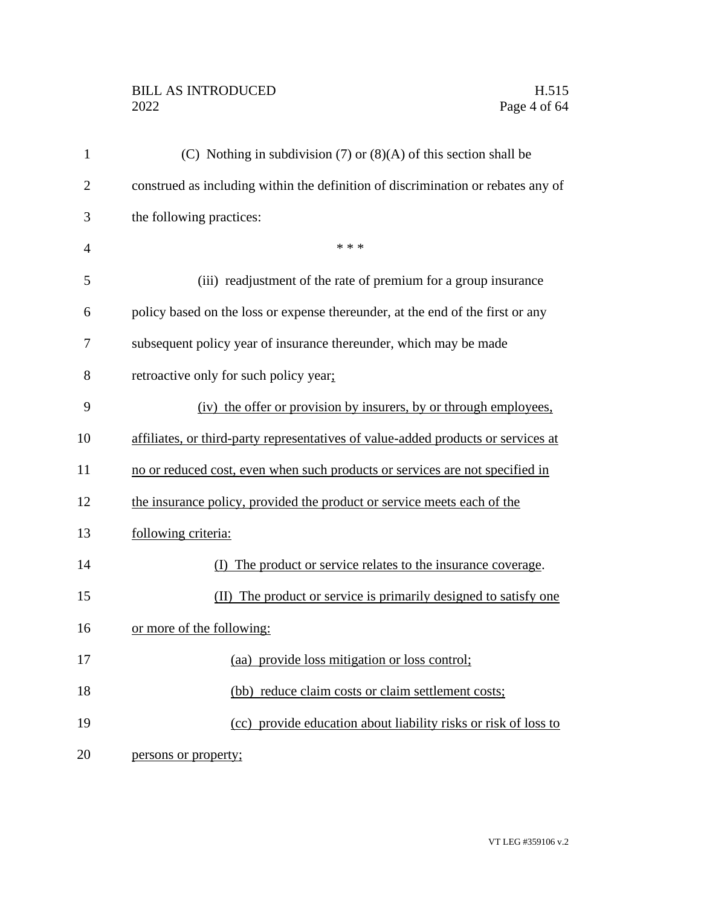# BILL AS INTRODUCED H.515<br>2022 Page 4 of 64

| $\mathbf{1}$   | (C) Nothing in subdivision $(7)$ or $(8)(A)$ of this section shall be             |
|----------------|-----------------------------------------------------------------------------------|
| $\overline{2}$ | construed as including within the definition of discrimination or rebates any of  |
| 3              | the following practices:                                                          |
| $\overline{4}$ | * * *                                                                             |
| 5              | (iii) readjustment of the rate of premium for a group insurance                   |
| 6              | policy based on the loss or expense thereunder, at the end of the first or any    |
| 7              | subsequent policy year of insurance thereunder, which may be made                 |
| 8              | retroactive only for such policy year;                                            |
| 9              | (iv) the offer or provision by insurers, by or through employees,                 |
| 10             | affiliates, or third-party representatives of value-added products or services at |
| 11             | no or reduced cost, even when such products or services are not specified in      |
| 12             | the insurance policy, provided the product or service meets each of the           |
| 13             | following criteria:                                                               |
| 14             | The product or service relates to the insurance coverage.                         |
| 15             | (II) The product or service is primarily designed to satisfy one                  |
| 16             | or more of the following:                                                         |
| 17             | (aa) provide loss mitigation or loss control;                                     |
| 18             | (bb) reduce claim costs or claim settlement costs;                                |
| 19             | (cc) provide education about liability risks or risk of loss to                   |
| 20             | persons or property;                                                              |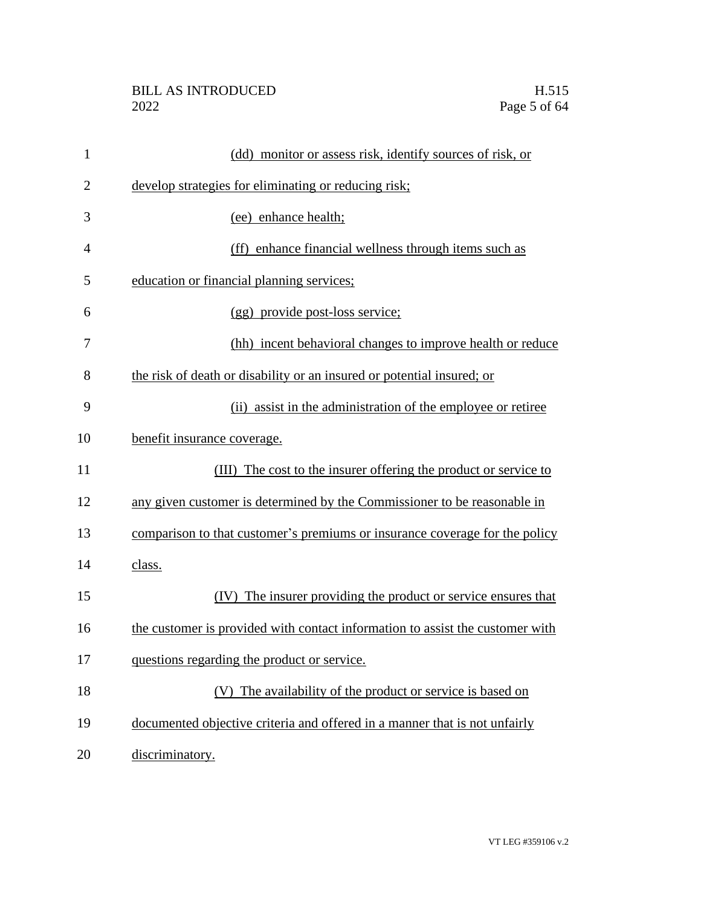| $\mathbf{1}$   | (dd) monitor or assess risk, identify sources of risk, or                     |
|----------------|-------------------------------------------------------------------------------|
| $\overline{2}$ | develop strategies for eliminating or reducing risk;                          |
| 3              | (ee) enhance health;                                                          |
| $\overline{4}$ | (ff) enhance financial wellness through items such as                         |
| 5              | education or financial planning services;                                     |
| 6              | (gg) provide post-loss service;                                               |
| 7              | (hh) incent behavioral changes to improve health or reduce                    |
| 8              | the risk of death or disability or an insured or potential insured; or        |
| 9              | (ii) assist in the administration of the employee or retiree                  |
| 10             | benefit insurance coverage.                                                   |
| 11             | (III) The cost to the insurer offering the product or service to              |
| 12             | any given customer is determined by the Commissioner to be reasonable in      |
| 13             | comparison to that customer's premiums or insurance coverage for the policy   |
| 14             | class.                                                                        |
| 15             | (IV) The insurer providing the product or service ensures that                |
| 16             | the customer is provided with contact information to assist the customer with |
| 17             | questions regarding the product or service.                                   |
| 18             | The availability of the product or service is based on                        |
| 19             | documented objective criteria and offered in a manner that is not unfairly    |
| 20             | discriminatory.                                                               |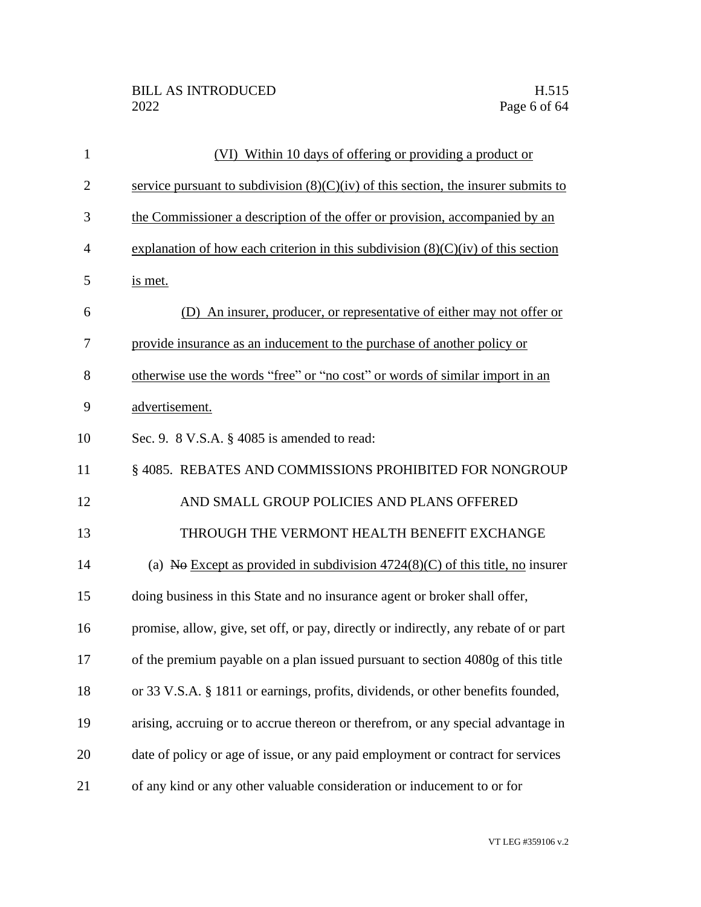| 1              | (VI) Within 10 days of offering or providing a product or                            |
|----------------|--------------------------------------------------------------------------------------|
| $\overline{2}$ | service pursuant to subdivision $(8)(C)(iv)$ of this section, the insurer submits to |
| 3              | the Commissioner a description of the offer or provision, accompanied by an          |
| $\overline{4}$ | explanation of how each criterion in this subdivision $(8)(C)(iv)$ of this section   |
| 5              | is met.                                                                              |
| 6              | (D) An insurer, producer, or representative of either may not offer or               |
| 7              | provide insurance as an inducement to the purchase of another policy or              |
| 8              | otherwise use the words "free" or "no cost" or words of similar import in an         |
| 9              | advertisement.                                                                       |
| 10             | Sec. 9. $8$ V.S.A. $\S$ 4085 is amended to read:                                     |
| 11             | § 4085. REBATES AND COMMISSIONS PROHIBITED FOR NONGROUP                              |
| 12             | AND SMALL GROUP POLICIES AND PLANS OFFERED                                           |
| 13             | THROUGH THE VERMONT HEALTH BENEFIT EXCHANGE                                          |
| 14             | (a) No Except as provided in subdivision $4724(8)(C)$ of this title, no insurer      |
| 15             | doing business in this State and no insurance agent or broker shall offer,           |
| 16             | promise, allow, give, set off, or pay, directly or indirectly, any rebate of or part |
| 17             | of the premium payable on a plan issued pursuant to section 4080g of this title      |
| 18             | or 33 V.S.A. § 1811 or earnings, profits, dividends, or other benefits founded,      |
| 19             | arising, accruing or to accrue thereon or therefrom, or any special advantage in     |
| 20             | date of policy or age of issue, or any paid employment or contract for services      |
| 21             | of any kind or any other valuable consideration or inducement to or for              |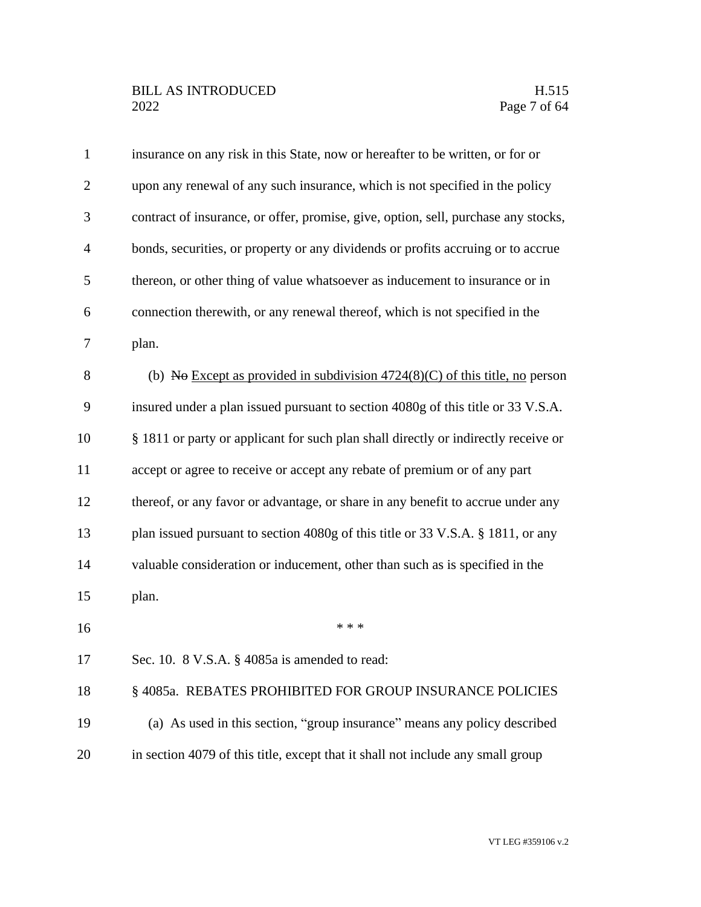| $\mathbf{1}$   | insurance on any risk in this State, now or hereafter to be written, or for or     |
|----------------|------------------------------------------------------------------------------------|
| $\overline{2}$ | upon any renewal of any such insurance, which is not specified in the policy       |
| 3              | contract of insurance, or offer, promise, give, option, sell, purchase any stocks, |
| $\overline{4}$ | bonds, securities, or property or any dividends or profits accruing or to accrue   |
| 5              | thereon, or other thing of value whatsoever as inducement to insurance or in       |
| 6              | connection therewith, or any renewal thereof, which is not specified in the        |
| 7              | plan.                                                                              |
| 8              | (b) No Except as provided in subdivision $4724(8)(C)$ of this title, no person     |
| 9              | insured under a plan issued pursuant to section 4080g of this title or 33 V.S.A.   |
| 10             | § 1811 or party or applicant for such plan shall directly or indirectly receive or |
| 11             | accept or agree to receive or accept any rebate of premium or of any part          |
| 12             | thereof, or any favor or advantage, or share in any benefit to accrue under any    |
| 13             | plan issued pursuant to section 4080g of this title or 33 V.S.A. § 1811, or any    |
| 14             | valuable consideration or inducement, other than such as is specified in the       |
| 15             | plan.                                                                              |
| 16             | * * *                                                                              |
| 17             | Sec. 10. 8 V.S.A. § 4085a is amended to read:                                      |
| 18             | § 4085a. REBATES PROHIBITED FOR GROUP INSURANCE POLICIES                           |
| 19             | (a) As used in this section, "group insurance" means any policy described          |
| 20             | in section 4079 of this title, except that it shall not include any small group    |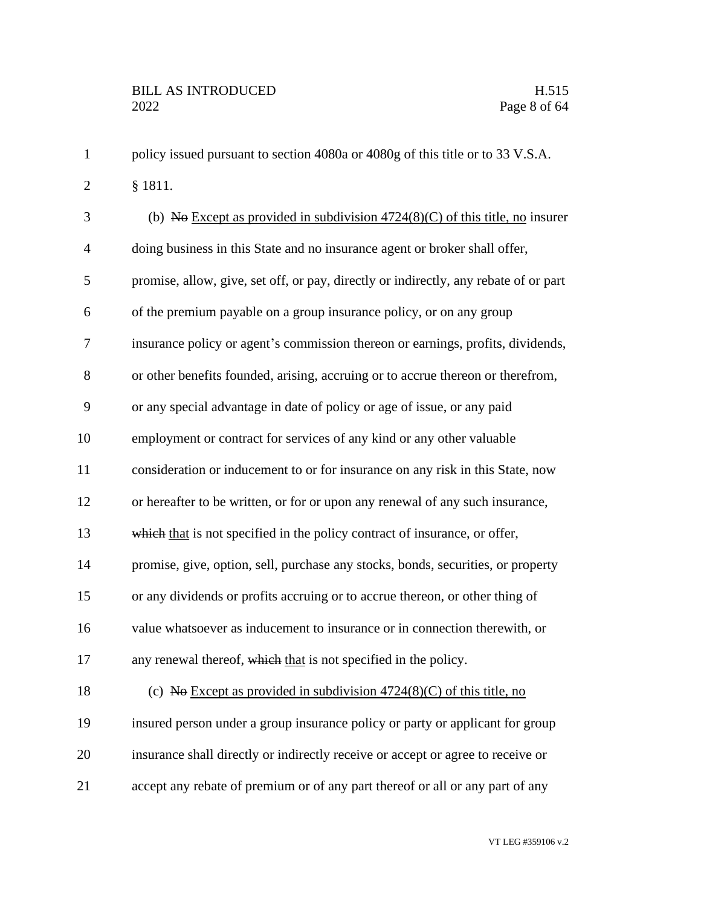| $\mathbf{1}$   | policy issued pursuant to section 4080a or 4080g of this title or to 33 V.S.A.       |
|----------------|--------------------------------------------------------------------------------------|
| $\mathbf{2}$   | § 1811.                                                                              |
| 3              | (b) No Except as provided in subdivision $4724(8)(C)$ of this title, no insurer      |
| $\overline{4}$ | doing business in this State and no insurance agent or broker shall offer,           |
| 5              | promise, allow, give, set off, or pay, directly or indirectly, any rebate of or part |
| 6              | of the premium payable on a group insurance policy, or on any group                  |
| 7              | insurance policy or agent's commission thereon or earnings, profits, dividends,      |
| 8              | or other benefits founded, arising, accruing or to accrue thereon or therefrom,      |
| 9              | or any special advantage in date of policy or age of issue, or any paid              |
| 10             | employment or contract for services of any kind or any other valuable                |
| 11             | consideration or inducement to or for insurance on any risk in this State, now       |
| 12             | or hereafter to be written, or for or upon any renewal of any such insurance,        |
| 13             | which that is not specified in the policy contract of insurance, or offer,           |
| 14             | promise, give, option, sell, purchase any stocks, bonds, securities, or property     |
| 15             | or any dividends or profits accruing or to accrue thereon, or other thing of         |
| 16             | value whatsoever as inducement to insurance or in connection therewith, or           |
| 17             | any renewal thereof, which that is not specified in the policy.                      |
| 18             | (c) No Except as provided in subdivision $4724(8)(C)$ of this title, no              |
| 19             | insured person under a group insurance policy or party or applicant for group        |
| 20             | insurance shall directly or indirectly receive or accept or agree to receive or      |
| 21             | accept any rebate of premium or of any part thereof or all or any part of any        |
|                |                                                                                      |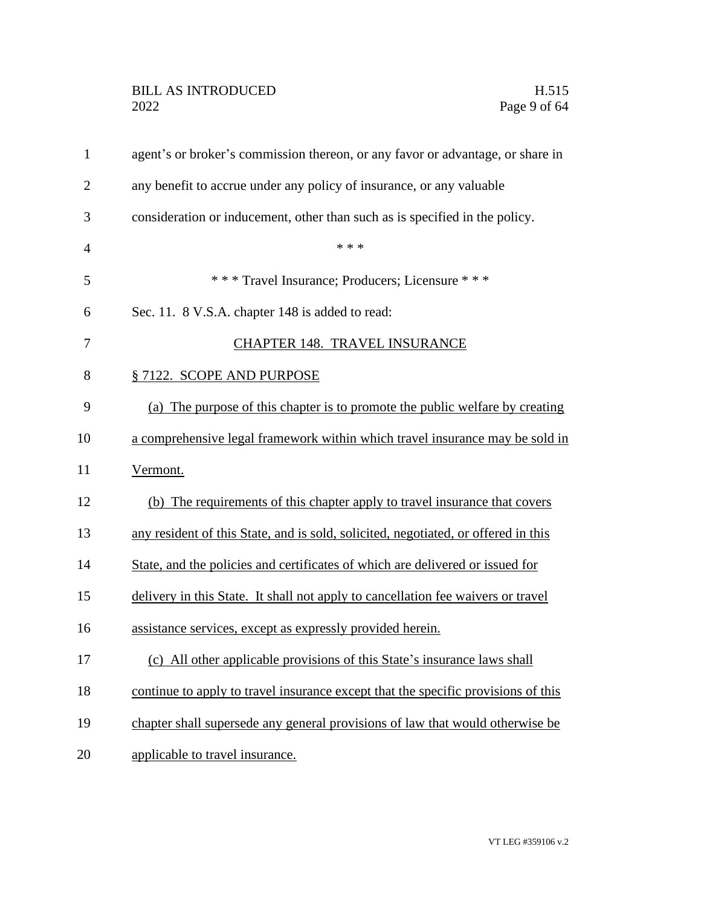# BILL AS INTRODUCED H.515<br>2022 Page 9 of 64

| $\mathbf{1}$   | agent's or broker's commission thereon, or any favor or advantage, or share in     |
|----------------|------------------------------------------------------------------------------------|
| $\overline{2}$ | any benefit to accrue under any policy of insurance, or any valuable               |
| 3              | consideration or inducement, other than such as is specified in the policy.        |
| $\overline{4}$ | * * *                                                                              |
| 5              | *** Travel Insurance; Producers; Licensure ***                                     |
| 6              | Sec. 11. 8 V.S.A. chapter 148 is added to read:                                    |
| 7              | <b>CHAPTER 148. TRAVEL INSURANCE</b>                                               |
| 8              | § 7122. SCOPE AND PURPOSE                                                          |
| 9              | (a) The purpose of this chapter is to promote the public welfare by creating       |
| 10             | a comprehensive legal framework within which travel insurance may be sold in       |
| 11             | Vermont.                                                                           |
| 12             | (b) The requirements of this chapter apply to travel insurance that covers         |
| 13             | any resident of this State, and is sold, solicited, negotiated, or offered in this |
| 14             | State, and the policies and certificates of which are delivered or issued for      |
| 15             | delivery in this State. It shall not apply to cancellation fee waivers or travel   |
| 16             | assistance services, except as expressly provided herein.                          |
| 17             | (c) All other applicable provisions of this State's insurance laws shall           |
| 18             | continue to apply to travel insurance except that the specific provisions of this  |
| 19             | chapter shall supersede any general provisions of law that would otherwise be      |
| 20             | applicable to travel insurance.                                                    |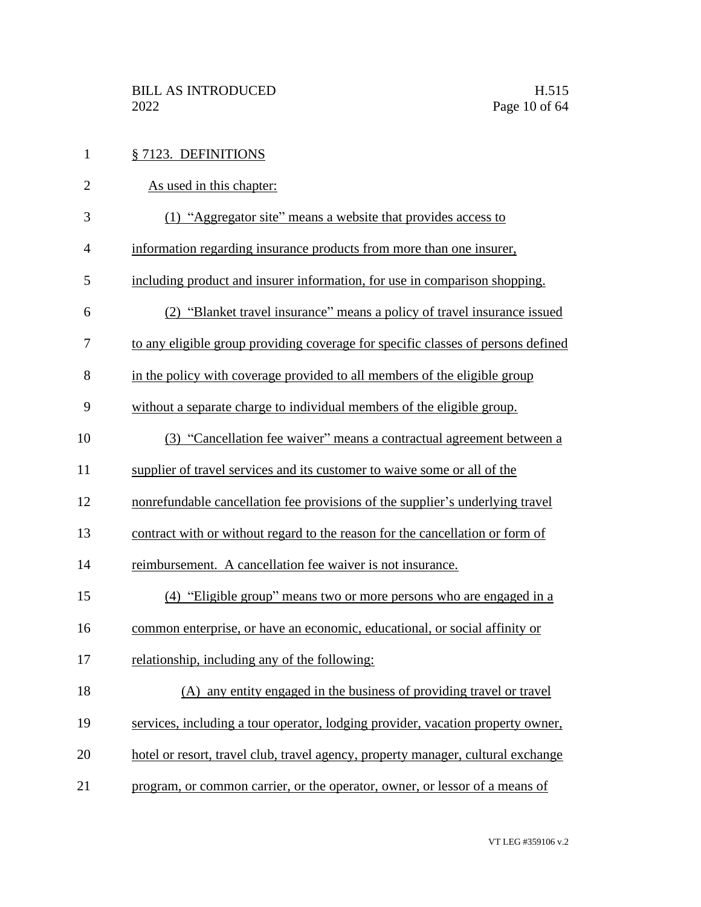| $\mathbf{1}$   | § 7123. DEFINITIONS                                                              |
|----------------|----------------------------------------------------------------------------------|
| $\mathbf{2}$   | As used in this chapter:                                                         |
| $\mathfrak{Z}$ | (1) "Aggregator site" means a website that provides access to                    |
| $\overline{4}$ | information regarding insurance products from more than one insurer,             |
| 5              | including product and insurer information, for use in comparison shopping.       |
| 6              | (2) "Blanket travel insurance" means a policy of travel insurance issued         |
| 7              | to any eligible group providing coverage for specific classes of persons defined |
| 8              | in the policy with coverage provided to all members of the eligible group        |
| 9              | without a separate charge to individual members of the eligible group.           |
| 10             | (3) "Cancellation fee waiver" means a contractual agreement between a            |
| 11             | supplier of travel services and its customer to waive some or all of the         |
| 12             | nonrefundable cancellation fee provisions of the supplier's underlying travel    |
| 13             | contract with or without regard to the reason for the cancellation or form of    |
| 14             | reimbursement. A cancellation fee waiver is not insurance.                       |
| 15             | (4) "Eligible group" means two or more persons who are engaged in a              |
| 16             | common enterprise, or have an economic, educational, or social affinity or       |
| 17             | relationship, including any of the following:                                    |
| 18             | (A) any entity engaged in the business of providing travel or travel             |
| 19             | services, including a tour operator, lodging provider, vacation property owner,  |
| 20             | hotel or resort, travel club, travel agency, property manager, cultural exchange |
| 21             | program, or common carrier, or the operator, owner, or lessor of a means of      |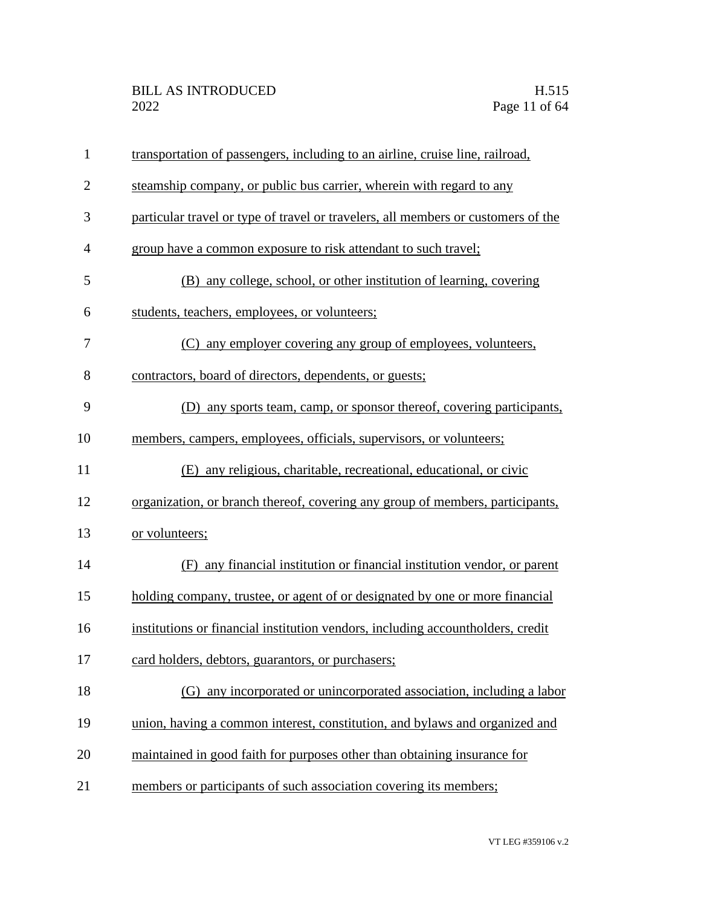| $\mathbf{1}$   | transportation of passengers, including to an airline, cruise line, railroad,     |
|----------------|-----------------------------------------------------------------------------------|
| $\overline{2}$ | steamship company, or public bus carrier, wherein with regard to any              |
| 3              | particular travel or type of travel or travelers, all members or customers of the |
| $\overline{4}$ | group have a common exposure to risk attendant to such travel;                    |
| 5              | (B) any college, school, or other institution of learning, covering               |
| 6              | students, teachers, employees, or volunteers;                                     |
| 7              | (C) any employer covering any group of employees, volunteers,                     |
| 8              | contractors, board of directors, dependents, or guests;                           |
| 9              | (D) any sports team, camp, or sponsor thereof, covering participants,             |
| 10             | members, campers, employees, officials, supervisors, or volunteers;               |
| 11             | (E) any religious, charitable, recreational, educational, or civic                |
| 12             | organization, or branch thereof, covering any group of members, participants,     |
| 13             | or volunteers;                                                                    |
| 14             | (F) any financial institution or financial institution vendor, or parent          |
| 15             | holding company, trustee, or agent of or designated by one or more financial      |
| 16             | institutions or financial institution vendors, including accountholders, credit   |
| 17             | card holders, debtors, guarantors, or purchasers;                                 |
| 18             | (G) any incorporated or unincorporated association, including a labor             |
| 19             | union, having a common interest, constitution, and bylaws and organized and       |
| 20             | maintained in good faith for purposes other than obtaining insurance for          |
| 21             | members or participants of such association covering its members;                 |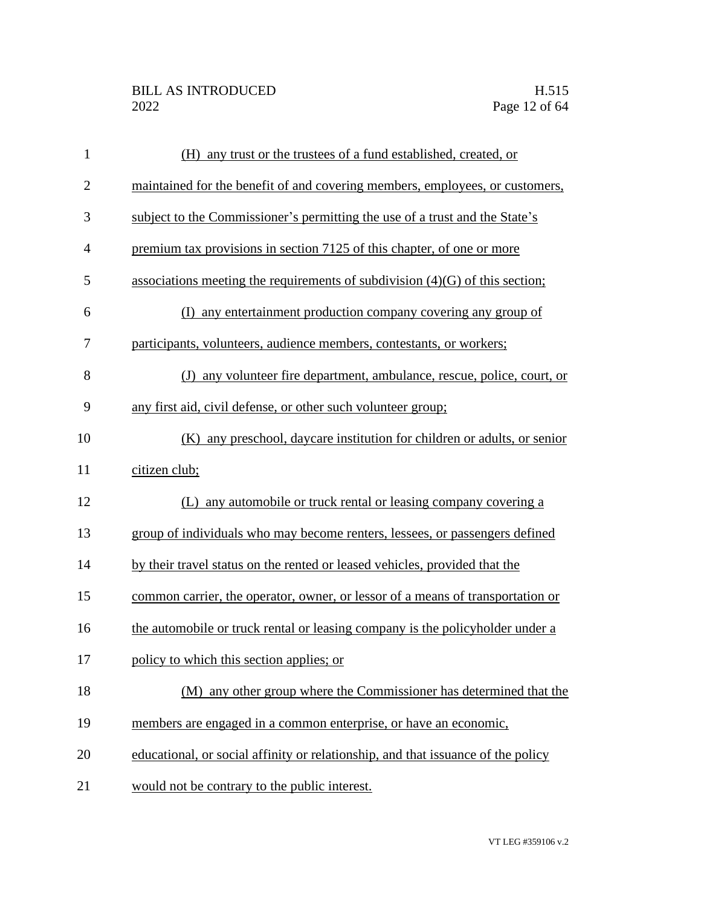| $\mathbf{1}$   | (H) any trust or the trustees of a fund established, created, or                 |
|----------------|----------------------------------------------------------------------------------|
| $\overline{2}$ | maintained for the benefit of and covering members, employees, or customers,     |
| 3              | subject to the Commissioner's permitting the use of a trust and the State's      |
| $\overline{4}$ | premium tax provisions in section 7125 of this chapter, of one or more           |
| 5              | associations meeting the requirements of subdivision $(4)(G)$ of this section;   |
| 6              | (I) any entertainment production company covering any group of                   |
| 7              | participants, volunteers, audience members, contestants, or workers;             |
| 8              | any volunteer fire department, ambulance, rescue, police, court, or<br>(         |
| 9              | any first aid, civil defense, or other such volunteer group;                     |
| 10             | (K) any preschool, daycare institution for children or adults, or senior         |
| 11             | citizen club;                                                                    |
| 12             | any automobile or truck rental or leasing company covering a<br>(L)              |
| 13             | group of individuals who may become renters, lessees, or passengers defined      |
| 14             | by their travel status on the rented or leased vehicles, provided that the       |
| 15             | common carrier, the operator, owner, or lessor of a means of transportation or   |
| 16             | the automobile or truck rental or leasing company is the policyholder under a    |
| 17             | policy to which this section applies; or                                         |
| 18             | (M) any other group where the Commissioner has determined that the               |
| 19             | members are engaged in a common enterprise, or have an economic,                 |
| 20             | educational, or social affinity or relationship, and that issuance of the policy |
| 21             | would not be contrary to the public interest.                                    |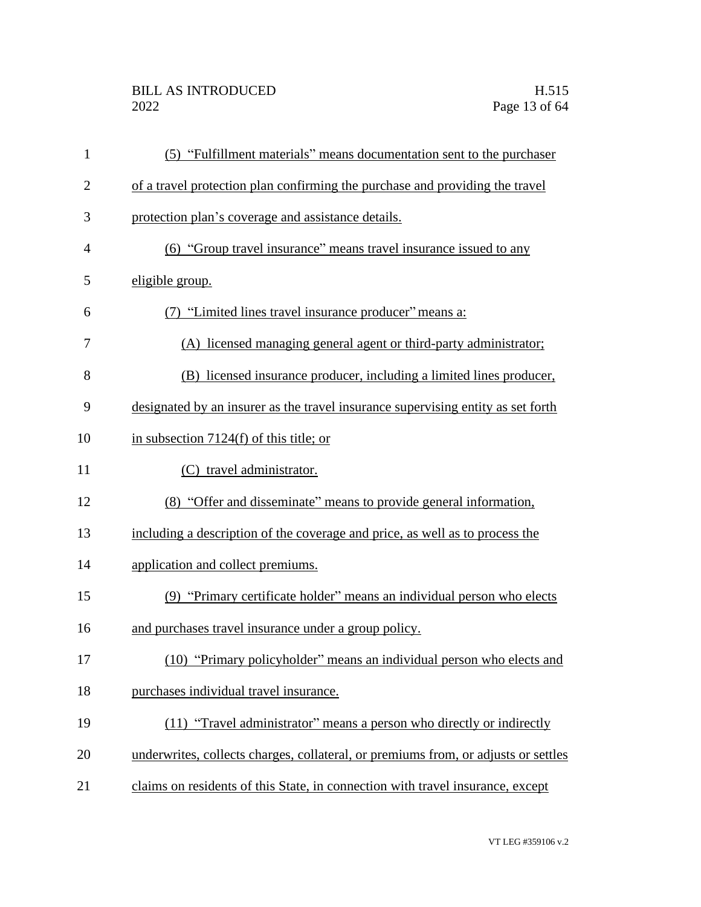| $\mathbf{1}$   | (5) "Fulfillment materials" means documentation sent to the purchaser              |
|----------------|------------------------------------------------------------------------------------|
| $\overline{2}$ | of a travel protection plan confirming the purchase and providing the travel       |
| 3              | protection plan's coverage and assistance details.                                 |
| 4              | (6) "Group travel insurance" means travel insurance issued to any                  |
| 5              | eligible group.                                                                    |
| 6              | (7) "Limited lines travel insurance producer" means a:                             |
| 7              | (A) licensed managing general agent or third-party administrator;                  |
| 8              | (B) licensed insurance producer, including a limited lines producer,               |
| 9              | designated by an insurer as the travel insurance supervising entity as set forth   |
| 10             | in subsection $7124(f)$ of this title; or                                          |
| 11             | (C) travel administrator.                                                          |
| 12             | (8) "Offer and disseminate" means to provide general information,                  |
| 13             | including a description of the coverage and price, as well as to process the       |
| 14             | application and collect premiums.                                                  |
| 15             | (9) "Primary certificate holder" means an individual person who elects             |
| 16             | and purchases travel insurance under a group policy.                               |
| 17             | (10) "Primary policyholder" means an individual person who elects and              |
| 18             | purchases individual travel insurance.                                             |
| 19             | (11) "Travel administrator" means a person who directly or indirectly              |
| 20             | underwrites, collects charges, collateral, or premiums from, or adjusts or settles |
| 21             | claims on residents of this State, in connection with travel insurance, except     |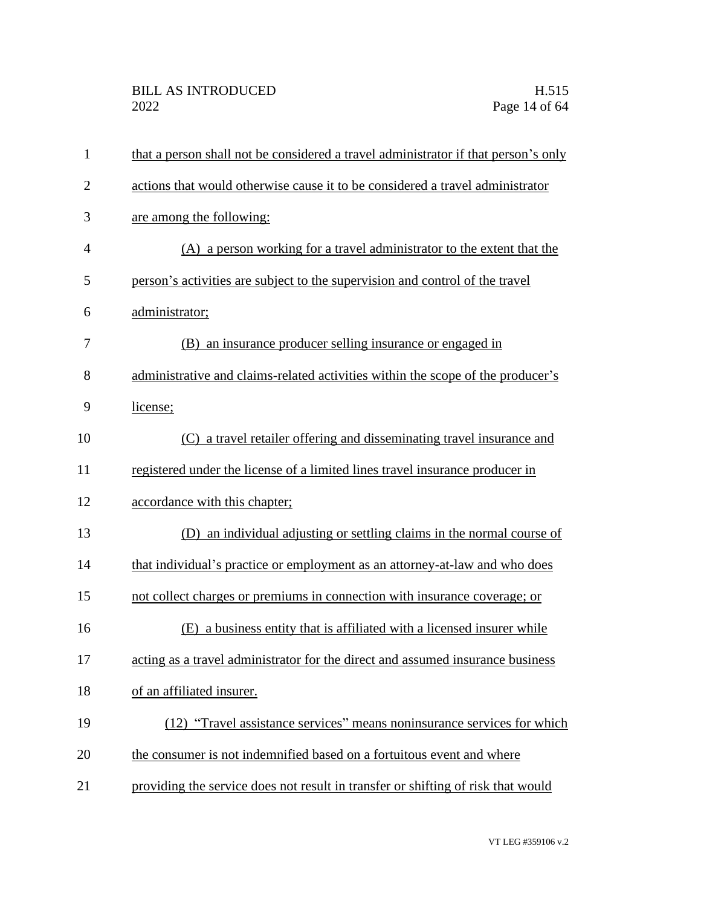| $\mathbf{1}$   | that a person shall not be considered a travel administrator if that person's only |
|----------------|------------------------------------------------------------------------------------|
| $\overline{2}$ | actions that would otherwise cause it to be considered a travel administrator      |
| 3              | are among the following:                                                           |
| $\overline{4}$ | (A) a person working for a travel administrator to the extent that the             |
| 5              | person's activities are subject to the supervision and control of the travel       |
| 6              | administrator;                                                                     |
| 7              | (B) an insurance producer selling insurance or engaged in                          |
| 8              | administrative and claims-related activities within the scope of the producer's    |
| 9              | license;                                                                           |
| 10             | (C) a travel retailer offering and disseminating travel insurance and              |
| 11             | registered under the license of a limited lines travel insurance producer in       |
| 12             | accordance with this chapter;                                                      |
| 13             | (D) an individual adjusting or settling claims in the normal course of             |
| 14             | that individual's practice or employment as an attorney-at-law and who does        |
| 15             | not collect charges or premiums in connection with insurance coverage; or          |
| 16             | (E) a business entity that is affiliated with a licensed insurer while             |
| 17             | acting as a travel administrator for the direct and assumed insurance business     |
| 18             | of an affiliated insurer.                                                          |
| 19             | (12) "Travel assistance services" means noninsurance services for which            |
| 20             | the consumer is not indemnified based on a fortuitous event and where              |
| 21             | providing the service does not result in transfer or shifting of risk that would   |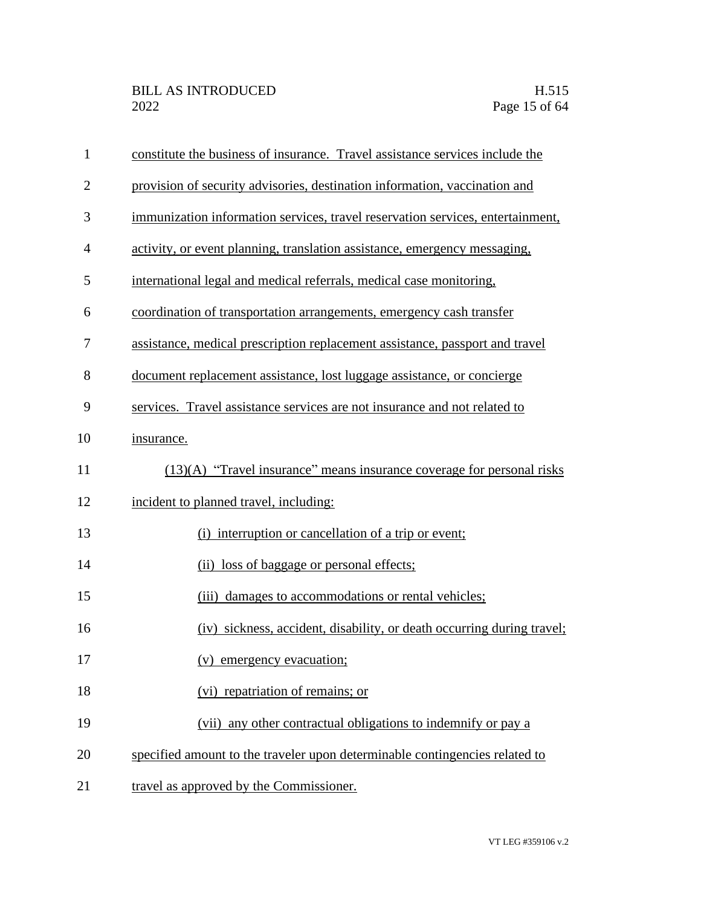| $\mathbf{1}$   | constitute the business of insurance. Travel assistance services include the   |
|----------------|--------------------------------------------------------------------------------|
| $\overline{2}$ | provision of security advisories, destination information, vaccination and     |
| 3              | immunization information services, travel reservation services, entertainment, |
| 4              | activity, or event planning, translation assistance, emergency messaging,      |
| 5              | international legal and medical referrals, medical case monitoring,            |
| 6              | coordination of transportation arrangements, emergency cash transfer           |
| 7              | assistance, medical prescription replacement assistance, passport and travel   |
| 8              | document replacement assistance, lost luggage assistance, or concierge         |
| 9              | services. Travel assistance services are not insurance and not related to      |
| 10             | insurance.                                                                     |
| 11             | $(13)(A)$ "Travel insurance" means insurance coverage for personal risks       |
| 12             | incident to planned travel, including:                                         |
| 13             | (i) interruption or cancellation of a trip or event;                           |
| 14             | (ii) loss of baggage or personal effects;                                      |
| 15             | (iii) damages to accommodations or rental vehicles;                            |
| 16             | (iv) sickness, accident, disability, or death occurring during travel;         |
| 17             | (v) emergency evacuation;                                                      |
| 18             | (vi) repatriation of remains; or                                               |
| 19             | (vii) any other contractual obligations to indemnify or pay a                  |
| 20             | specified amount to the traveler upon determinable contingencies related to    |
| 21             | travel as approved by the Commissioner.                                        |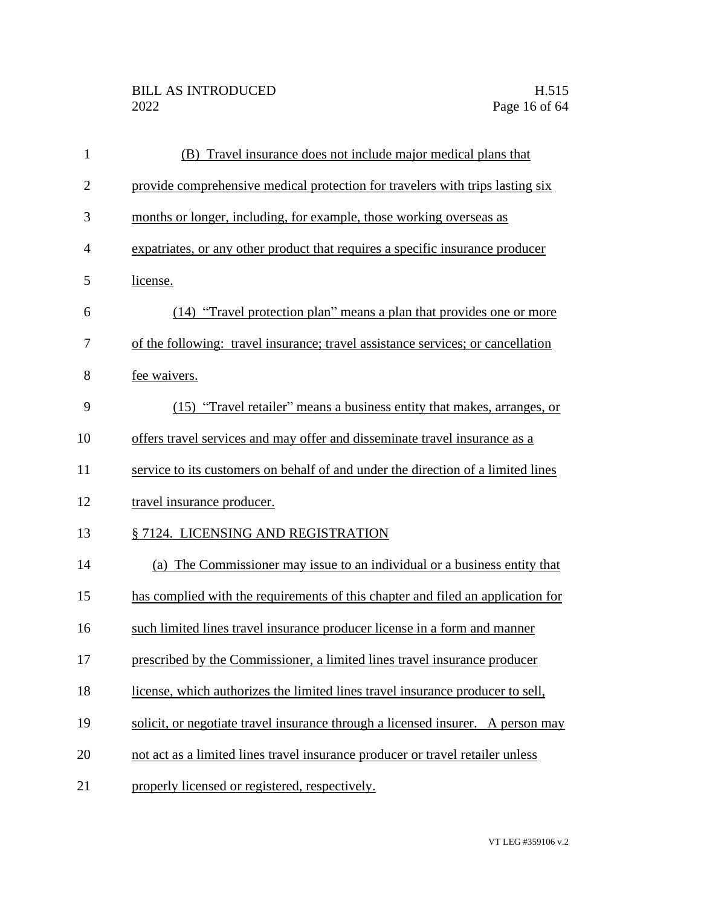| $\mathbf{1}$ | (B) Travel insurance does not include major medical plans that                   |
|--------------|----------------------------------------------------------------------------------|
| $\mathbf{2}$ | provide comprehensive medical protection for travelers with trips lasting six    |
| 3            | months or longer, including, for example, those working overseas as              |
| 4            | expatriates, or any other product that requires a specific insurance producer    |
| 5            | license.                                                                         |
| 6            | (14) "Travel protection plan" means a plan that provides one or more             |
| 7            | of the following: travel insurance; travel assistance services; or cancellation  |
| 8            | fee waivers.                                                                     |
| 9            | (15) "Travel retailer" means a business entity that makes, arranges, or          |
| 10           | offers travel services and may offer and disseminate travel insurance as a       |
| 11           | service to its customers on behalf of and under the direction of a limited lines |
| 12           | travel insurance producer.                                                       |
| 13           | § 7124. LICENSING AND REGISTRATION                                               |
| 14           | (a) The Commissioner may issue to an individual or a business entity that        |
| 15           | has complied with the requirements of this chapter and filed an application for  |
| 16           | such limited lines travel insurance producer license in a form and manner        |
| 17           | prescribed by the Commissioner, a limited lines travel insurance producer        |
| 18           | license, which authorizes the limited lines travel insurance producer to sell,   |
| 19           | solicit, or negotiate travel insurance through a licensed insurer. A person may  |
| 20           | not act as a limited lines travel insurance producer or travel retailer unless   |
| 21           | properly licensed or registered, respectively.                                   |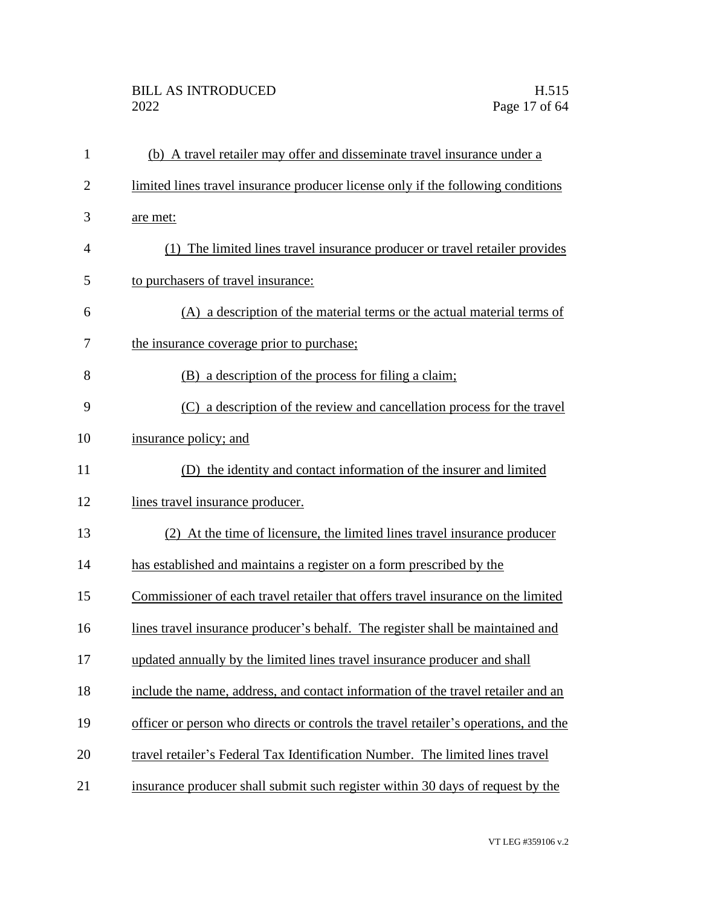| $\mathbf{1}$   | (b) A travel retailer may offer and disseminate travel insurance under a            |
|----------------|-------------------------------------------------------------------------------------|
| $\overline{2}$ | limited lines travel insurance producer license only if the following conditions    |
| 3              | are met:                                                                            |
| 4              | (1) The limited lines travel insurance producer or travel retailer provides         |
| 5              | to purchasers of travel insurance:                                                  |
| 6              | (A) a description of the material terms or the actual material terms of             |
| 7              | the insurance coverage prior to purchase;                                           |
| 8              | (B) a description of the process for filing a claim;                                |
| 9              | (C) a description of the review and cancellation process for the travel             |
| 10             | insurance policy; and                                                               |
| 11             | (D) the identity and contact information of the insurer and limited                 |
| 12             | lines travel insurance producer.                                                    |
| 13             | (2) At the time of licensure, the limited lines travel insurance producer           |
| 14             | has established and maintains a register on a form prescribed by the                |
| 15             | Commissioner of each travel retailer that offers travel insurance on the limited    |
| 16             | lines travel insurance producer's behalf. The register shall be maintained and      |
| 17             | updated annually by the limited lines travel insurance producer and shall           |
| 18             | include the name, address, and contact information of the travel retailer and an    |
| 19             | officer or person who directs or controls the travel retailer's operations, and the |
| 20             | travel retailer's Federal Tax Identification Number. The limited lines travel       |
| 21             | insurance producer shall submit such register within 30 days of request by the      |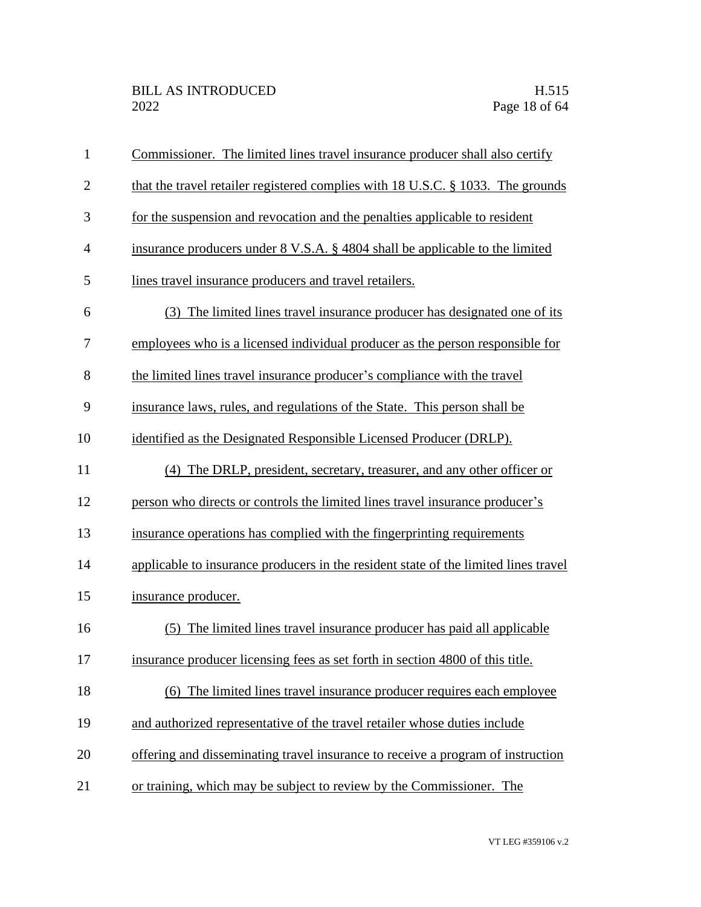| $\mathbf{1}$   | Commissioner. The limited lines travel insurance producer shall also certify        |
|----------------|-------------------------------------------------------------------------------------|
| $\overline{2}$ | that the travel retailer registered complies with 18 U.S.C. § 1033. The grounds     |
| 3              | for the suspension and revocation and the penalties applicable to resident          |
| $\overline{4}$ | insurance producers under 8 V.S.A. § 4804 shall be applicable to the limited        |
| 5              | lines travel insurance producers and travel retailers.                              |
| 6              | (3) The limited lines travel insurance producer has designated one of its           |
| 7              | employees who is a licensed individual producer as the person responsible for       |
| 8              | the limited lines travel insurance producer's compliance with the travel            |
| 9              | insurance laws, rules, and regulations of the State. This person shall be           |
| 10             | identified as the Designated Responsible Licensed Producer (DRLP).                  |
| 11             | (4) The DRLP, president, secretary, treasurer, and any other officer or             |
| 12             | person who directs or controls the limited lines travel insurance producer's        |
| 13             | insurance operations has complied with the fingerprinting requirements              |
| 14             | applicable to insurance producers in the resident state of the limited lines travel |
| 15             | insurance producer.                                                                 |
| 16             | (5) The limited lines travel insurance producer has paid all applicable             |
| 17             | insurance producer licensing fees as set forth in section 4800 of this title.       |
| 18             | The limited lines travel insurance producer requires each employee<br>(6)           |
| 19             | and authorized representative of the travel retailer whose duties include           |
| 20             | offering and disseminating travel insurance to receive a program of instruction     |
| 21             | or training, which may be subject to review by the Commissioner. The                |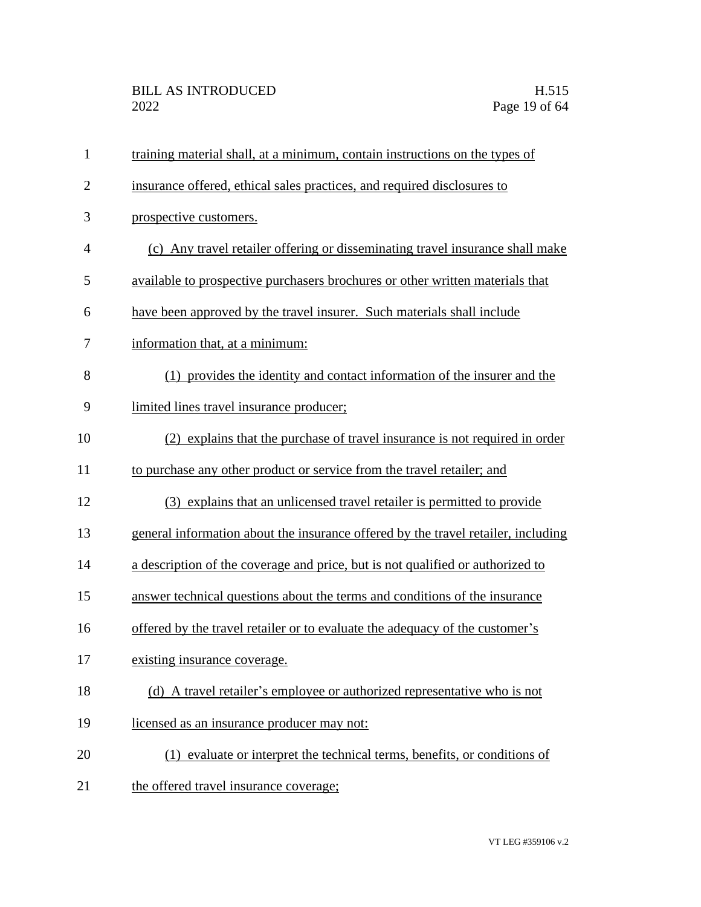| $\mathbf{1}$   | training material shall, at a minimum, contain instructions on the types of       |
|----------------|-----------------------------------------------------------------------------------|
| $\overline{2}$ | insurance offered, ethical sales practices, and required disclosures to           |
| 3              | prospective customers.                                                            |
| 4              | (c) Any travel retailer offering or disseminating travel insurance shall make     |
| 5              | available to prospective purchasers brochures or other written materials that     |
| 6              | have been approved by the travel insurer. Such materials shall include            |
| 7              | information that, at a minimum:                                                   |
| 8              | (1) provides the identity and contact information of the insurer and the          |
| 9              | limited lines travel insurance producer;                                          |
| 10             | (2) explains that the purchase of travel insurance is not required in order       |
| 11             | to purchase any other product or service from the travel retailer; and            |
| 12             | (3) explains that an unlicensed travel retailer is permitted to provide           |
| 13             | general information about the insurance offered by the travel retailer, including |
| 14             | a description of the coverage and price, but is not qualified or authorized to    |
| 15             | answer technical questions about the terms and conditions of the insurance        |
| 16             | offered by the travel retailer or to evaluate the adequacy of the customer's      |
| 17             | existing insurance coverage.                                                      |
| 18             | (d) A travel retailer's employee or authorized representative who is not          |
| 19             | licensed as an insurance producer may not:                                        |
| 20             | (1) evaluate or interpret the technical terms, benefits, or conditions of         |
| 21             | the offered travel insurance coverage;                                            |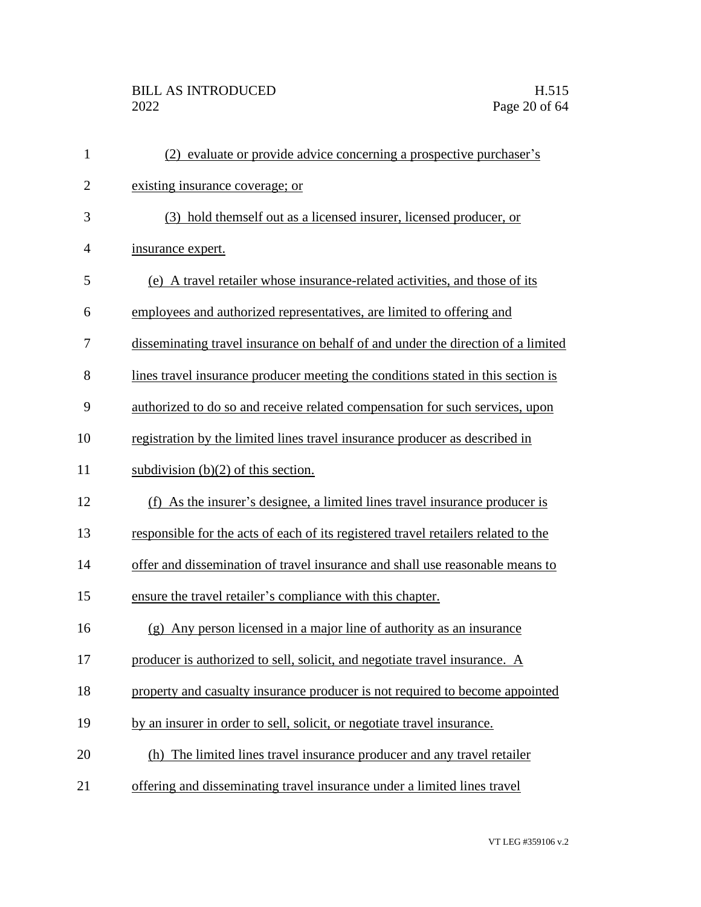| $\mathbf{1}$   | (2) evaluate or provide advice concerning a prospective purchaser's                |
|----------------|------------------------------------------------------------------------------------|
| $\overline{2}$ | existing insurance coverage; or                                                    |
| 3              | (3) hold themself out as a licensed insurer, licensed producer, or                 |
| $\overline{4}$ | <i>insurance expert.</i>                                                           |
| 5              | (e) A travel retailer whose insurance-related activities, and those of its         |
| 6              | employees and authorized representatives, are limited to offering and              |
| 7              | disseminating travel insurance on behalf of and under the direction of a limited   |
| 8              | lines travel insurance producer meeting the conditions stated in this section is   |
| 9              | authorized to do so and receive related compensation for such services, upon       |
| 10             | registration by the limited lines travel insurance producer as described in        |
| 11             | subdivision $(b)(2)$ of this section.                                              |
| 12             | (f) As the insurer's designee, a limited lines travel insurance producer is        |
| 13             | responsible for the acts of each of its registered travel retailers related to the |
| 14             | offer and dissemination of travel insurance and shall use reasonable means to      |
| 15             | ensure the travel retailer's compliance with this chapter.                         |
| 16             | (g) Any person licensed in a major line of authority as an insurance               |
| 17             | producer is authorized to sell, solicit, and negotiate travel insurance. A         |
| 18             | property and casualty insurance producer is not required to become appointed       |
| 19             | by an insurer in order to sell, solicit, or negotiate travel insurance.            |
| 20             | (h) The limited lines travel insurance producer and any travel retailer            |
| 21             | offering and disseminating travel insurance under a limited lines travel           |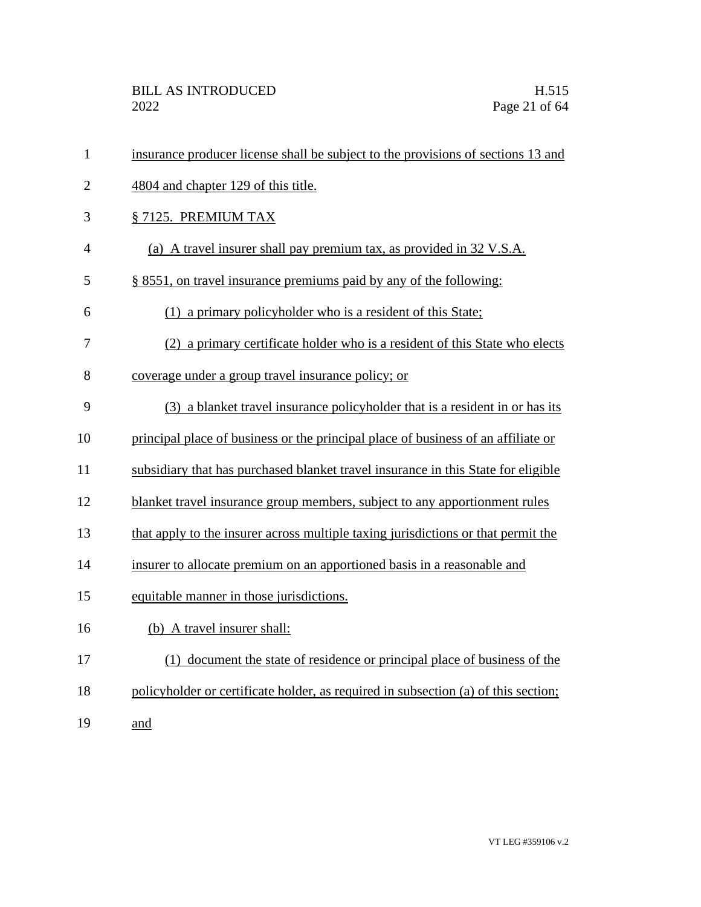| $\mathbf{1}$   | insurance producer license shall be subject to the provisions of sections 13 and   |
|----------------|------------------------------------------------------------------------------------|
| $\overline{2}$ | 4804 and chapter 129 of this title.                                                |
| 3              | § 7125. PREMIUM TAX                                                                |
| $\overline{4}$ | (a) A travel insurer shall pay premium tax, as provided in 32 V.S.A.               |
| 5              | § 8551, on travel insurance premiums paid by any of the following:                 |
| 6              | (1) a primary policyholder who is a resident of this State;                        |
| 7              | (2) a primary certificate holder who is a resident of this State who elects        |
| 8              | coverage under a group travel insurance policy; or                                 |
| 9              | (3) a blanket travel insurance policyholder that is a resident in or has its       |
| 10             | principal place of business or the principal place of business of an affiliate or  |
| 11             | subsidiary that has purchased blanket travel insurance in this State for eligible  |
| 12             | blanket travel insurance group members, subject to any apportionment rules         |
| 13             | that apply to the insurer across multiple taxing jurisdictions or that permit the  |
| 14             | insurer to allocate premium on an apportioned basis in a reasonable and            |
| 15             | equitable manner in those jurisdictions.                                           |
| 16             | (b) A travel insurer shall:                                                        |
| 17             | (1) document the state of residence or principal place of business of the          |
| 18             | policyholder or certificate holder, as required in subsection (a) of this section; |
| 19             | and                                                                                |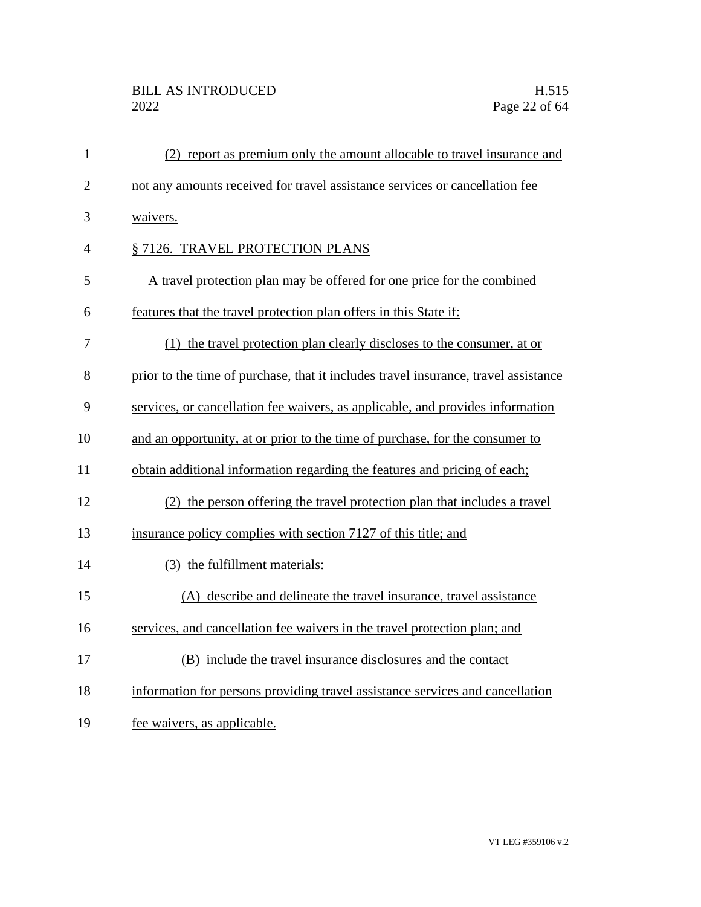| $\mathbf{1}$   | (2) report as premium only the amount allocable to travel insurance and             |
|----------------|-------------------------------------------------------------------------------------|
| $\overline{2}$ | not any amounts received for travel assistance services or cancellation fee         |
| 3              | waivers.                                                                            |
| 4              | § 7126. TRAVEL PROTECTION PLANS                                                     |
| 5              | A travel protection plan may be offered for one price for the combined              |
| 6              | features that the travel protection plan offers in this State if:                   |
| 7              | (1) the travel protection plan clearly discloses to the consumer, at or             |
| 8              | prior to the time of purchase, that it includes travel insurance, travel assistance |
| 9              | services, or cancellation fee waivers, as applicable, and provides information      |
| 10             | and an opportunity, at or prior to the time of purchase, for the consumer to        |
| 11             | obtain additional information regarding the features and pricing of each;           |
| 12             | (2) the person offering the travel protection plan that includes a travel           |
| 13             | insurance policy complies with section 7127 of this title; and                      |
| 14             | (3) the fulfillment materials:                                                      |
| 15             | (A) describe and delineate the travel insurance, travel assistance                  |
| 16             | services, and cancellation fee waivers in the travel protection plan; and           |
| 17             | (B) include the travel insurance disclosures and the contact                        |
| 18             | information for persons providing travel assistance services and cancellation       |
| 19             | fee waivers, as applicable.                                                         |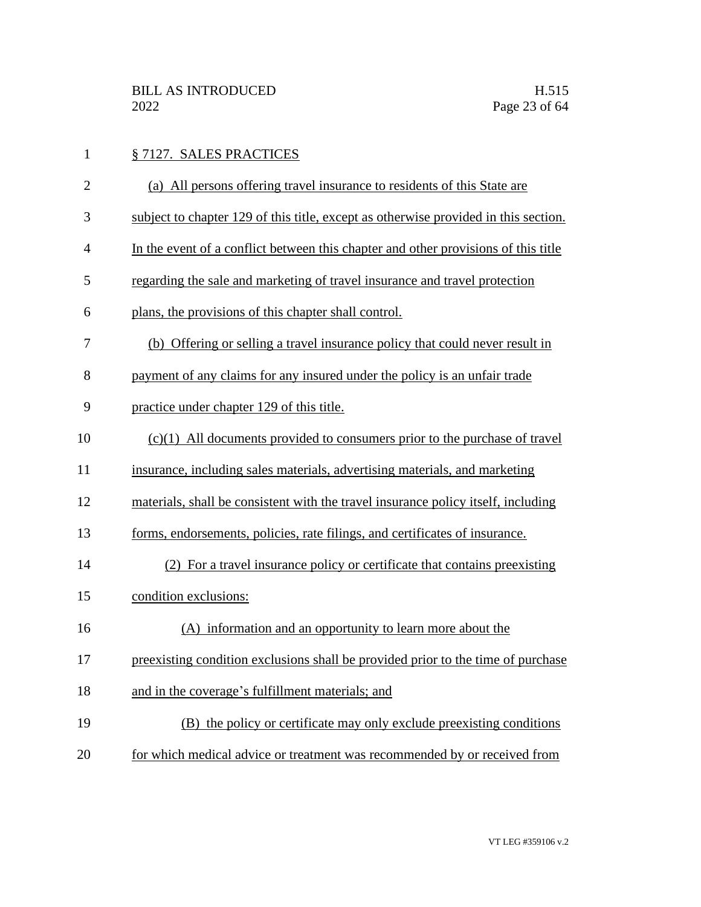| $\mathbf{1}$   | § 7127. SALES PRACTICES                                                             |
|----------------|-------------------------------------------------------------------------------------|
| $\mathbf{2}$   | (a) All persons offering travel insurance to residents of this State are            |
| 3              | subject to chapter 129 of this title, except as otherwise provided in this section. |
| $\overline{4}$ | In the event of a conflict between this chapter and other provisions of this title  |
| 5              | regarding the sale and marketing of travel insurance and travel protection          |
| 6              | plans, the provisions of this chapter shall control.                                |
| 7              | (b) Offering or selling a travel insurance policy that could never result in        |
| 8              | payment of any claims for any insured under the policy is an unfair trade           |
| 9              | practice under chapter 129 of this title.                                           |
| 10             | $(c)(1)$ All documents provided to consumers prior to the purchase of travel        |
| 11             | insurance, including sales materials, advertising materials, and marketing          |
| 12             | materials, shall be consistent with the travel insurance policy itself, including   |
| 13             | forms, endorsements, policies, rate filings, and certificates of insurance.         |
| 14             | (2) For a travel insurance policy or certificate that contains preexisting          |
| 15             | condition exclusions:                                                               |
| 16             | (A) information and an opportunity to learn more about the                          |
| 17             | preexisting condition exclusions shall be provided prior to the time of purchase    |
| 18             | and in the coverage's fulfillment materials; and                                    |
| 19             | (B) the policy or certificate may only exclude preexisting conditions               |
| 20             | for which medical advice or treatment was recommended by or received from           |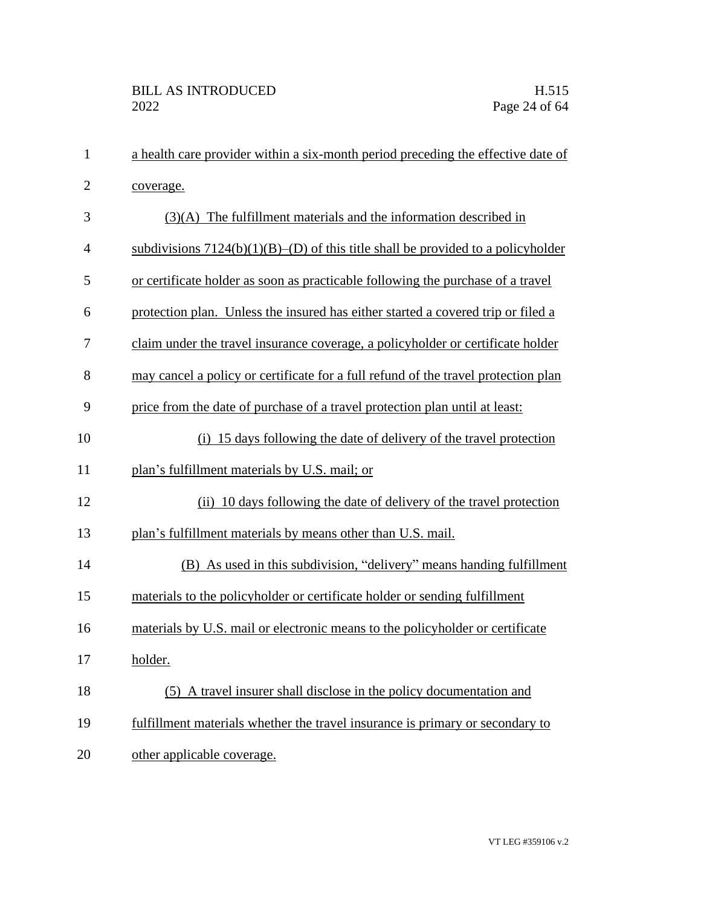| $\mathbf{1}$   | a health care provider within a six-month period preceding the effective date of    |
|----------------|-------------------------------------------------------------------------------------|
| $\overline{2}$ | coverage.                                                                           |
| 3              | $(3)(A)$ The fulfillment materials and the information described in                 |
| $\overline{4}$ | subdivisions $7124(b)(1)(B)$ –(D) of this title shall be provided to a policyholder |
| 5              | or certificate holder as soon as practicable following the purchase of a travel     |
| 6              | protection plan. Unless the insured has either started a covered trip or filed a    |
| 7              | claim under the travel insurance coverage, a policyholder or certificate holder     |
| 8              | may cancel a policy or certificate for a full refund of the travel protection plan  |
| 9              | price from the date of purchase of a travel protection plan until at least:         |
| 10             | (i) 15 days following the date of delivery of the travel protection                 |
| 11             | plan's fulfillment materials by U.S. mail; or                                       |
| 12             | (ii) 10 days following the date of delivery of the travel protection                |
| 13             | plan's fulfillment materials by means other than U.S. mail.                         |
| 14             | (B) As used in this subdivision, "delivery" means handing fulfillment               |
| 15             | materials to the policyholder or certificate holder or sending fulfillment          |
| 16             | materials by U.S. mail or electronic means to the policyholder or certificate       |
| 17             | holder.                                                                             |
| 18             | (5) A travel insurer shall disclose in the policy documentation and                 |
| 19             | fulfillment materials whether the travel insurance is primary or secondary to       |
| 20             | other applicable coverage.                                                          |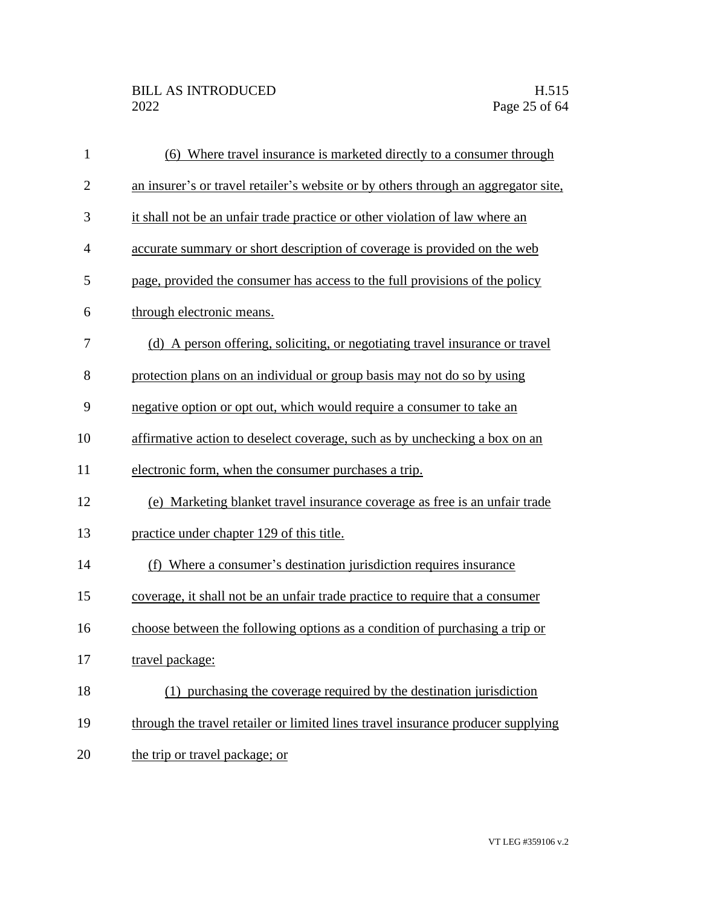| $\mathbf{1}$ | (6) Where travel insurance is marketed directly to a consumer through              |
|--------------|------------------------------------------------------------------------------------|
| $\mathbf{2}$ | an insurer's or travel retailer's website or by others through an aggregator site, |
| 3            | it shall not be an unfair trade practice or other violation of law where an        |
| 4            | accurate summary or short description of coverage is provided on the web           |
| 5            | page, provided the consumer has access to the full provisions of the policy        |
| 6            | through electronic means.                                                          |
| 7            | (d) A person offering, soliciting, or negotiating travel insurance or travel       |
| 8            | protection plans on an individual or group basis may not do so by using            |
| 9            | negative option or opt out, which would require a consumer to take an              |
| 10           | affirmative action to deselect coverage, such as by unchecking a box on an         |
| 11           | electronic form, when the consumer purchases a trip.                               |
| 12           | (e) Marketing blanket travel insurance coverage as free is an unfair trade         |
| 13           | practice under chapter 129 of this title.                                          |
| 14           | (f) Where a consumer's destination jurisdiction requires insurance                 |
| 15           | coverage, it shall not be an unfair trade practice to require that a consumer      |
| 16           | choose between the following options as a condition of purchasing a trip or        |
| 17           | travel package:                                                                    |
| 18           | (1) purchasing the coverage required by the destination jurisdiction               |
| 19           | through the travel retailer or limited lines travel insurance producer supplying   |
| 20           | the trip or travel package; or                                                     |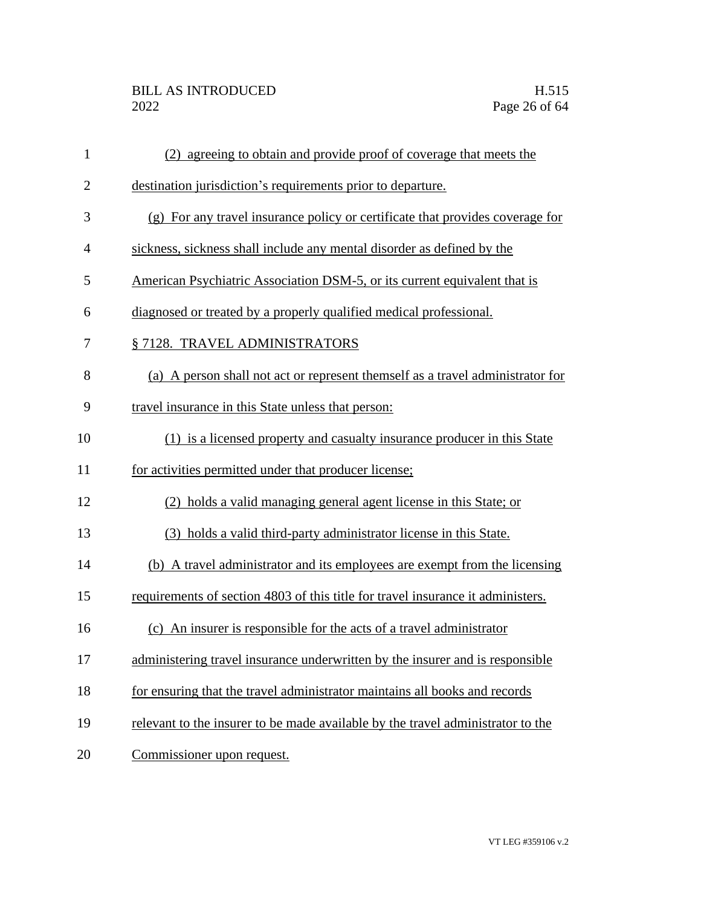| $\mathbf{1}$   | (2) agreeing to obtain and provide proof of coverage that meets the             |
|----------------|---------------------------------------------------------------------------------|
| $\overline{2}$ | destination jurisdiction's requirements prior to departure.                     |
| 3              | (g) For any travel insurance policy or certificate that provides coverage for   |
| $\overline{4}$ | sickness, sickness shall include any mental disorder as defined by the          |
| 5              | American Psychiatric Association DSM-5, or its current equivalent that is       |
| 6              | diagnosed or treated by a properly qualified medical professional.              |
| 7              | §7128. TRAVEL ADMINISTRATORS                                                    |
| 8              | (a) A person shall not act or represent themself as a travel administrator for  |
| 9              | travel insurance in this State unless that person:                              |
| 10             | (1) is a licensed property and casualty insurance producer in this State        |
| 11             | for activities permitted under that producer license;                           |
| 12             | (2) holds a valid managing general agent license in this State; or              |
| 13             | (3) holds a valid third-party administrator license in this State.              |
| 14             | (b) A travel administrator and its employees are exempt from the licensing      |
| 15             | requirements of section 4803 of this title for travel insurance it administers. |
| 16             | (c) An insurer is responsible for the acts of a travel administrator            |
| 17             | administering travel insurance underwritten by the insurer and is responsible   |
| 18             | for ensuring that the travel administrator maintains all books and records      |
| 19             | relevant to the insurer to be made available by the travel administrator to the |
| 20             | Commissioner upon request.                                                      |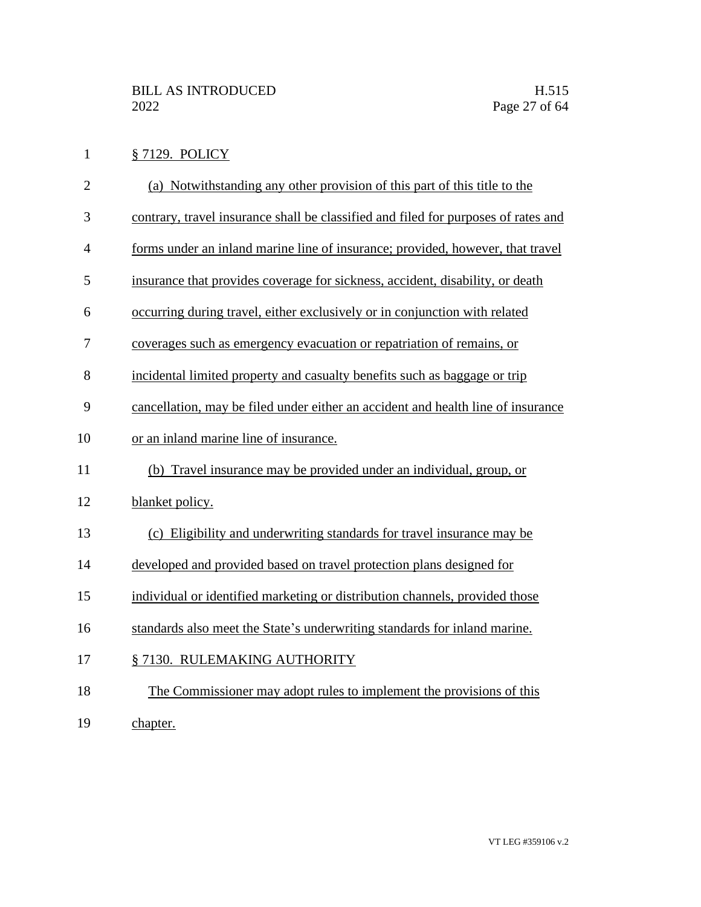§ 7129. POLICY

- (a) Notwithstanding any other provision of this part of this title to the
- contrary, travel insurance shall be classified and filed for purposes of rates and
- forms under an inland marine line of insurance; provided, however, that travel
- insurance that provides coverage for sickness, accident, disability, or death
- occurring during travel, either exclusively or in conjunction with related
- coverages such as emergency evacuation or repatriation of remains, or
- incidental limited property and casualty benefits such as baggage or trip
- cancellation, may be filed under either an accident and health line of insurance
- or an inland marine line of insurance.
- (b) Travel insurance may be provided under an individual, group, or
- blanket policy.
- (c) Eligibility and underwriting standards for travel insurance may be
- developed and provided based on travel protection plans designed for
- individual or identified marketing or distribution channels, provided those
- standards also meet the State's underwriting standards for inland marine.
- 17 § 7130. RULEMAKING AUTHORITY
- The Commissioner may adopt rules to implement the provisions of this
- chapter.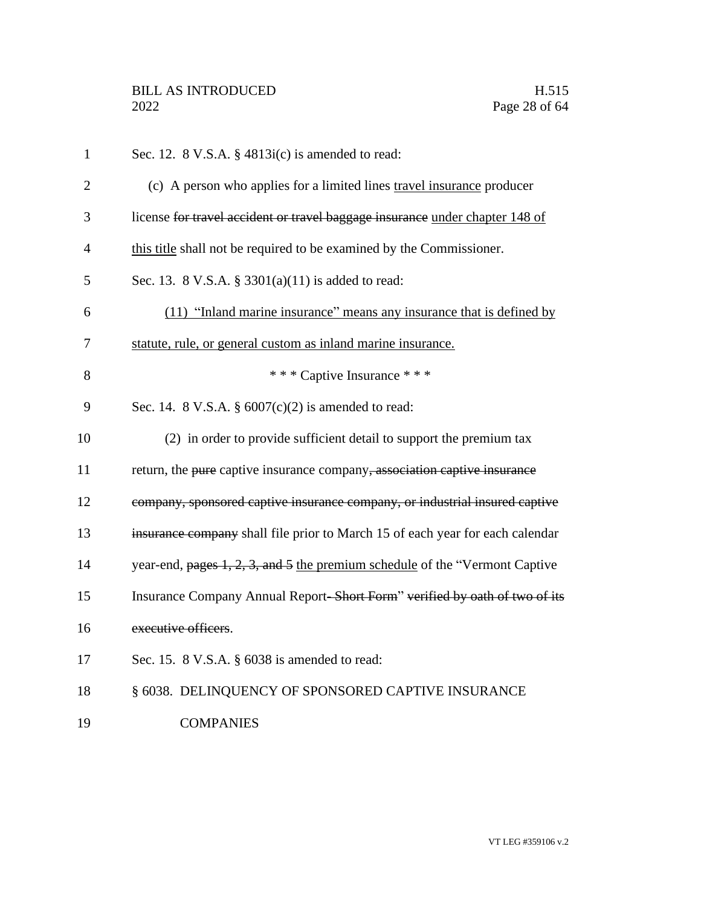| $\mathbf{1}$   | Sec. 12. 8 V.S.A. $\S$ 4813i(c) is amended to read:                           |
|----------------|-------------------------------------------------------------------------------|
| $\overline{2}$ | (c) A person who applies for a limited lines travel insurance producer        |
| 3              | license for travel accident or travel baggage insurance under chapter 148 of  |
| $\overline{4}$ | this title shall not be required to be examined by the Commissioner.          |
| 5              | Sec. 13. 8 V.S.A. § 3301(a)(11) is added to read:                             |
| 6              | (11) "Inland marine insurance" means any insurance that is defined by         |
| 7              | statute, rule, or general custom as inland marine insurance.                  |
| 8              | *** Captive Insurance ***                                                     |
| 9              | Sec. 14. 8 V.S.A. § $6007(c)(2)$ is amended to read:                          |
| 10             | (2) in order to provide sufficient detail to support the premium tax          |
| 11             | return, the pure captive insurance company, association captive insurance     |
| 12             | company, sponsored captive insurance company, or industrial insured captive   |
| 13             | insurance company shall file prior to March 15 of each year for each calendar |
| 14             | year-end, pages 1, 2, 3, and 5 the premium schedule of the "Vermont Captive"  |
| 15             | Insurance Company Annual Report-Short Form" verified by oath of two of its    |
| 16             | executive officers.                                                           |
| 17             | Sec. 15. 8 V.S.A. § 6038 is amended to read:                                  |
| 18             | § 6038. DELINQUENCY OF SPONSORED CAPTIVE INSURANCE                            |
| 19             | <b>COMPANIES</b>                                                              |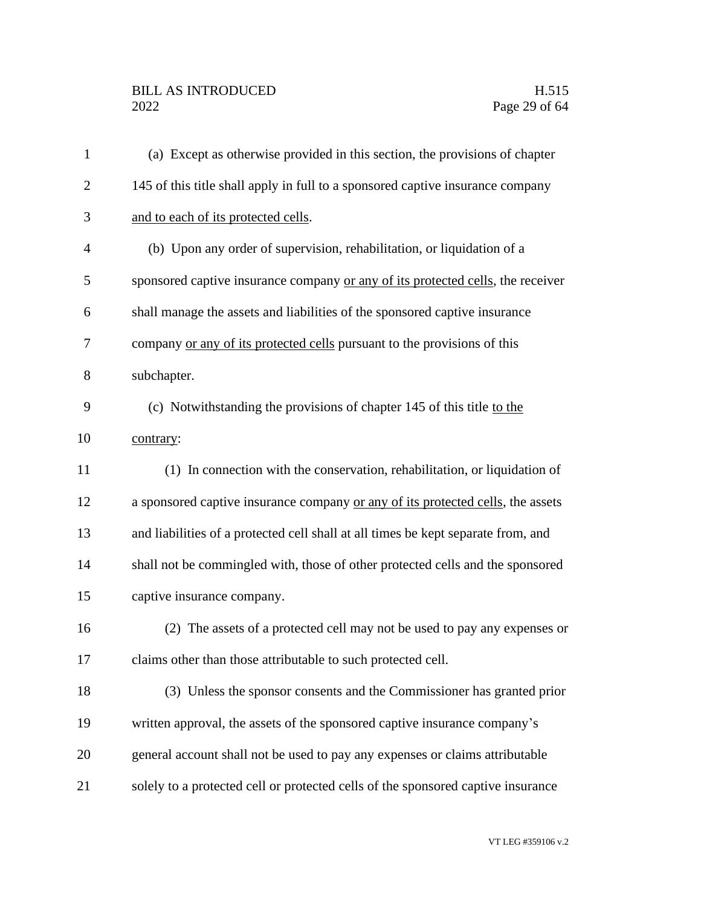| $\mathbf{1}$   | (a) Except as otherwise provided in this section, the provisions of chapter       |
|----------------|-----------------------------------------------------------------------------------|
| $\overline{2}$ | 145 of this title shall apply in full to a sponsored captive insurance company    |
| 3              | and to each of its protected cells.                                               |
| $\overline{4}$ | (b) Upon any order of supervision, rehabilitation, or liquidation of a            |
| 5              | sponsored captive insurance company or any of its protected cells, the receiver   |
| 6              | shall manage the assets and liabilities of the sponsored captive insurance        |
| 7              | company or any of its protected cells pursuant to the provisions of this          |
| 8              | subchapter.                                                                       |
| 9              | (c) Notwithstanding the provisions of chapter 145 of this title to the            |
| 10             | contrary:                                                                         |
| 11             | (1) In connection with the conservation, rehabilitation, or liquidation of        |
| 12             | a sponsored captive insurance company or any of its protected cells, the assets   |
| 13             | and liabilities of a protected cell shall at all times be kept separate from, and |
| 14             | shall not be commingled with, those of other protected cells and the sponsored    |
| 15             | captive insurance company.                                                        |
| 16             | (2) The assets of a protected cell may not be used to pay any expenses or         |
| 17             | claims other than those attributable to such protected cell.                      |
| 18             | (3) Unless the sponsor consents and the Commissioner has granted prior            |
| 19             | written approval, the assets of the sponsored captive insurance company's         |
| 20             | general account shall not be used to pay any expenses or claims attributable      |
| 21             | solely to a protected cell or protected cells of the sponsored captive insurance  |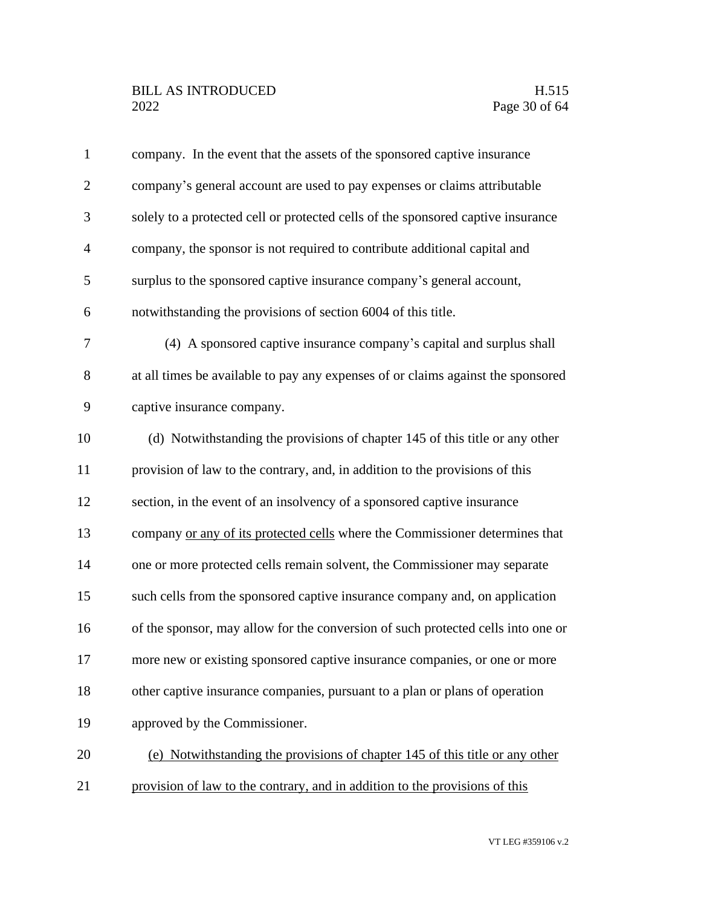| $\mathbf{1}$   | company. In the event that the assets of the sponsored captive insurance         |
|----------------|----------------------------------------------------------------------------------|
| $\overline{2}$ | company's general account are used to pay expenses or claims attributable        |
| 3              | solely to a protected cell or protected cells of the sponsored captive insurance |
| $\overline{4}$ | company, the sponsor is not required to contribute additional capital and        |
| 5              | surplus to the sponsored captive insurance company's general account,            |
| 6              | notwithstanding the provisions of section 6004 of this title.                    |
| 7              | (4) A sponsored captive insurance company's capital and surplus shall            |
| 8              | at all times be available to pay any expenses of or claims against the sponsored |
| 9              | captive insurance company.                                                       |
| 10             | (d) Notwithstanding the provisions of chapter 145 of this title or any other     |
| 11             | provision of law to the contrary, and, in addition to the provisions of this     |
| 12             | section, in the event of an insolvency of a sponsored captive insurance          |
| 13             | company or any of its protected cells where the Commissioner determines that     |
| 14             | one or more protected cells remain solvent, the Commissioner may separate        |
| 15             | such cells from the sponsored captive insurance company and, on application      |
| 16             | of the sponsor, may allow for the conversion of such protected cells into one or |
| 17             | more new or existing sponsored captive insurance companies, or one or more       |
| 18             | other captive insurance companies, pursuant to a plan or plans of operation      |
| 19             | approved by the Commissioner.                                                    |
| 20             | (e) Notwithstanding the provisions of chapter 145 of this title or any other     |
| 21             | provision of law to the contrary, and in addition to the provisions of this      |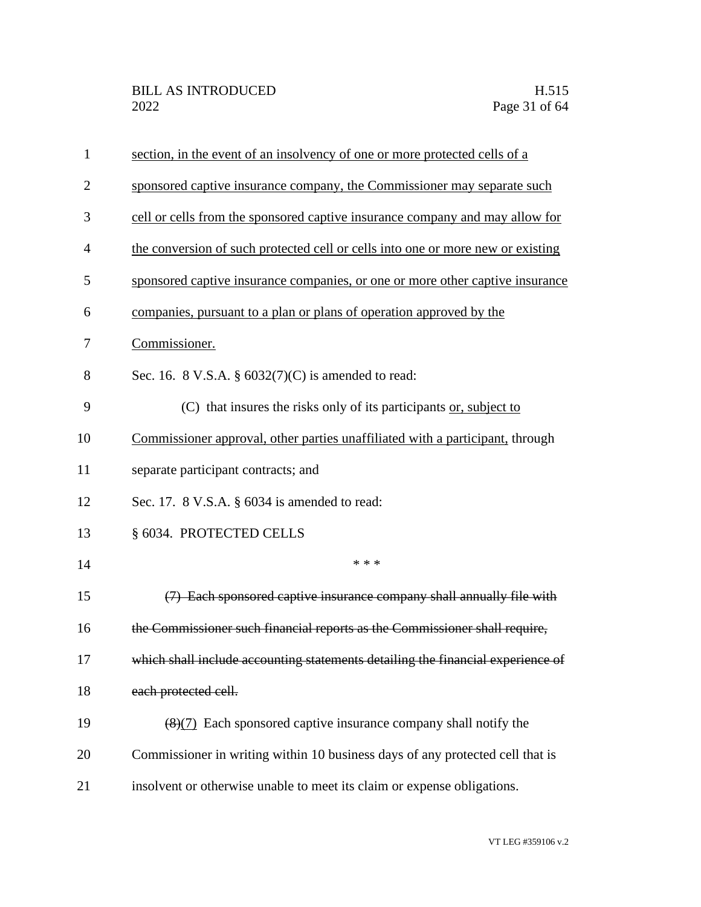| $\mathbf{1}$   | section, in the event of an insolvency of one or more protected cells of a      |
|----------------|---------------------------------------------------------------------------------|
| $\overline{2}$ | sponsored captive insurance company, the Commissioner may separate such         |
| 3              | cell or cells from the sponsored captive insurance company and may allow for    |
| $\overline{4}$ | the conversion of such protected cell or cells into one or more new or existing |
| 5              | sponsored captive insurance companies, or one or more other captive insurance   |
| 6              | companies, pursuant to a plan or plans of operation approved by the             |
| 7              | Commissioner.                                                                   |
| 8              | Sec. 16. 8 V.S.A. $\S 6032(7)(C)$ is amended to read:                           |
| 9              | (C) that insures the risks only of its participants or, subject to              |
| 10             | Commissioner approval, other parties unaffiliated with a participant, through   |
| 11             | separate participant contracts; and                                             |
| 12             | Sec. 17. 8 V.S.A. § 6034 is amended to read:                                    |
| 13             | § 6034. PROTECTED CELLS                                                         |
| 14             | * * *                                                                           |
| 15             | (7) Each sponsored captive insurance company shall annually file with           |
| 16             | the Commissioner such financial reports as the Commissioner shall require,      |
| 17             | which shall include accounting statements detailing the financial experience of |
| 18             | each protected cell.                                                            |
| 19             | $(8)(7)$ Each sponsored captive insurance company shall notify the              |
| 20             | Commissioner in writing within 10 business days of any protected cell that is   |
| 21             | insolvent or otherwise unable to meet its claim or expense obligations.         |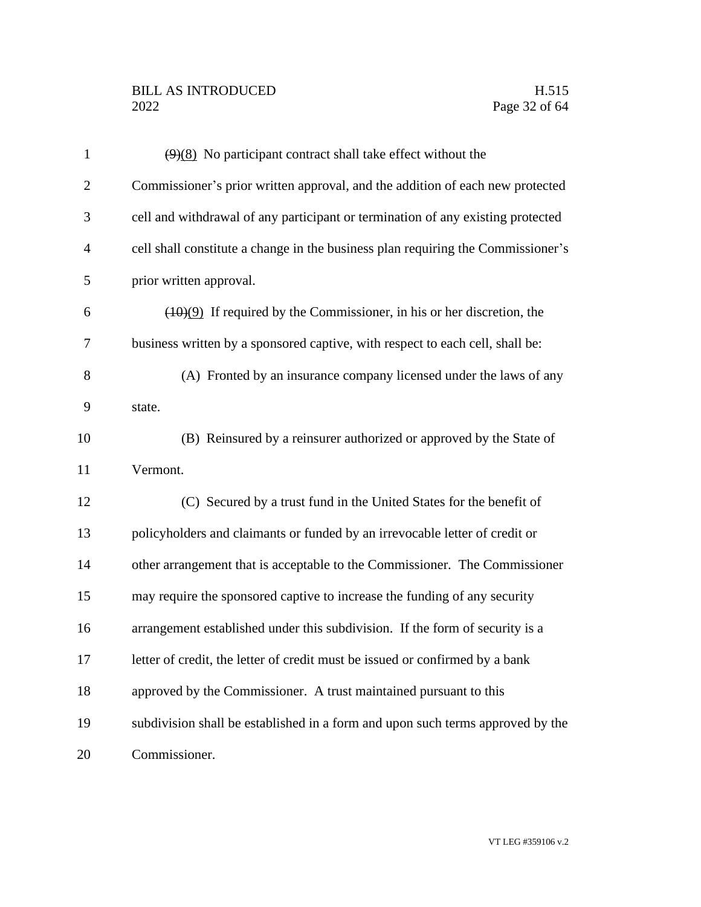# BILL AS INTRODUCED H.515<br>2022 Page 32 of 64

| $\mathbf{1}$   | $\left(\frac{9}{8}\right)$ No participant contract shall take effect without the |
|----------------|----------------------------------------------------------------------------------|
| $\overline{2}$ | Commissioner's prior written approval, and the addition of each new protected    |
| 3              | cell and withdrawal of any participant or termination of any existing protected  |
| $\overline{4}$ | cell shall constitute a change in the business plan requiring the Commissioner's |
| 5              | prior written approval.                                                          |
| 6              | $(10)(9)$ If required by the Commissioner, in his or her discretion, the         |
| 7              | business written by a sponsored captive, with respect to each cell, shall be:    |
| 8              | (A) Fronted by an insurance company licensed under the laws of any               |
| 9              | state.                                                                           |
| 10             | (B) Reinsured by a reinsurer authorized or approved by the State of              |
| 11             | Vermont.                                                                         |
| 12             | (C) Secured by a trust fund in the United States for the benefit of              |
| 13             | policyholders and claimants or funded by an irrevocable letter of credit or      |
| 14             | other arrangement that is acceptable to the Commissioner. The Commissioner       |
| 15             | may require the sponsored captive to increase the funding of any security        |
| 16             | arrangement established under this subdivision. If the form of security is a     |
| 17             | letter of credit, the letter of credit must be issued or confirmed by a bank     |
| 18             | approved by the Commissioner. A trust maintained pursuant to this                |
| 19             | subdivision shall be established in a form and upon such terms approved by the   |
| 20             | Commissioner.                                                                    |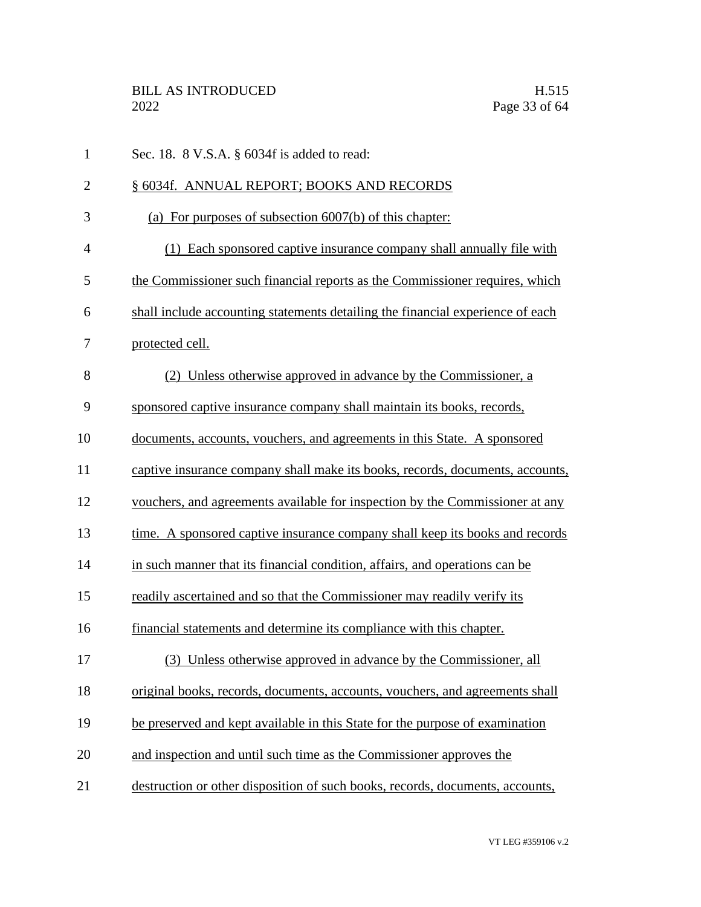| $\mathbf{1}$   | Sec. 18. 8 V.S.A. § 6034f is added to read:                                    |
|----------------|--------------------------------------------------------------------------------|
| $\overline{2}$ | § 6034f. ANNUAL REPORT; BOOKS AND RECORDS                                      |
| 3              | (a) For purposes of subsection $6007(b)$ of this chapter:                      |
| $\overline{4}$ | (1) Each sponsored captive insurance company shall annually file with          |
| 5              | the Commissioner such financial reports as the Commissioner requires, which    |
| 6              | shall include accounting statements detailing the financial experience of each |
| 7              | protected cell.                                                                |
| 8              | (2) Unless otherwise approved in advance by the Commissioner, a                |
| 9              | sponsored captive insurance company shall maintain its books, records,         |
| 10             | documents, accounts, vouchers, and agreements in this State. A sponsored       |
| 11             | captive insurance company shall make its books, records, documents, accounts,  |
| 12             | vouchers, and agreements available for inspection by the Commissioner at any   |
| 13             | time. A sponsored captive insurance company shall keep its books and records   |
| 14             | in such manner that its financial condition, affairs, and operations can be    |
| 15             | readily ascertained and so that the Commissioner may readily verify its        |
| 16             | financial statements and determine its compliance with this chapter.           |
| 17             | (3) Unless otherwise approved in advance by the Commissioner, all              |
| 18             | original books, records, documents, accounts, vouchers, and agreements shall   |
| 19             | be preserved and kept available in this State for the purpose of examination   |
| 20             | and inspection and until such time as the Commissioner approves the            |
| 21             | destruction or other disposition of such books, records, documents, accounts,  |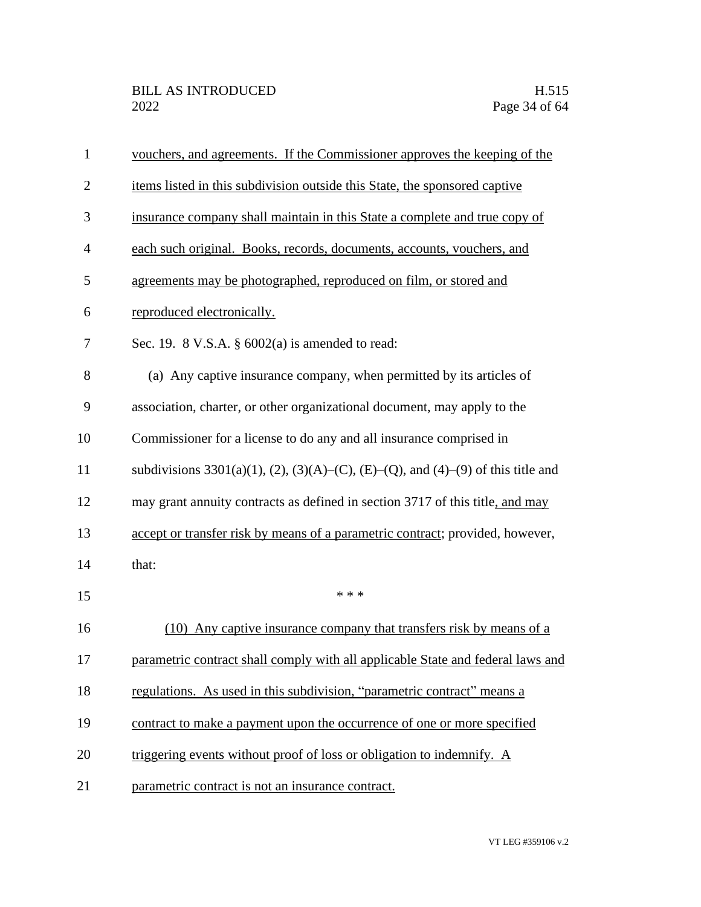| $\mathbf{1}$   | vouchers, and agreements. If the Commissioner approves the keeping of the        |
|----------------|----------------------------------------------------------------------------------|
| $\overline{2}$ | items listed in this subdivision outside this State, the sponsored captive       |
| 3              | insurance company shall maintain in this State a complete and true copy of       |
| $\overline{4}$ | each such original. Books, records, documents, accounts, vouchers, and           |
| 5              | agreements may be photographed, reproduced on film, or stored and                |
| 6              | reproduced electronically.                                                       |
| 7              | Sec. 19. 8 V.S.A. $\S$ 6002(a) is amended to read:                               |
| 8              | (a) Any captive insurance company, when permitted by its articles of             |
| 9              | association, charter, or other organizational document, may apply to the         |
| 10             | Commissioner for a license to do any and all insurance comprised in              |
| 11             | subdivisions 3301(a)(1), (2), (3)(A)–(C), (E)–(Q), and (4)–(9) of this title and |
| 12             | may grant annuity contracts as defined in section 3717 of this title, and may    |
| 13             | accept or transfer risk by means of a parametric contract; provided, however,    |
| 14             | that:                                                                            |
| 15             | * * *                                                                            |
| 16             | (10) Any captive insurance company that transfers risk by means of a             |
| 17             | parametric contract shall comply with all applicable State and federal laws and  |
| 18             | regulations. As used in this subdivision, "parametric contract" means a          |
| 19             | contract to make a payment upon the occurrence of one or more specified          |
| 20             | triggering events without proof of loss or obligation to indemnify. A            |
| 21             | parametric contract is not an insurance contract.                                |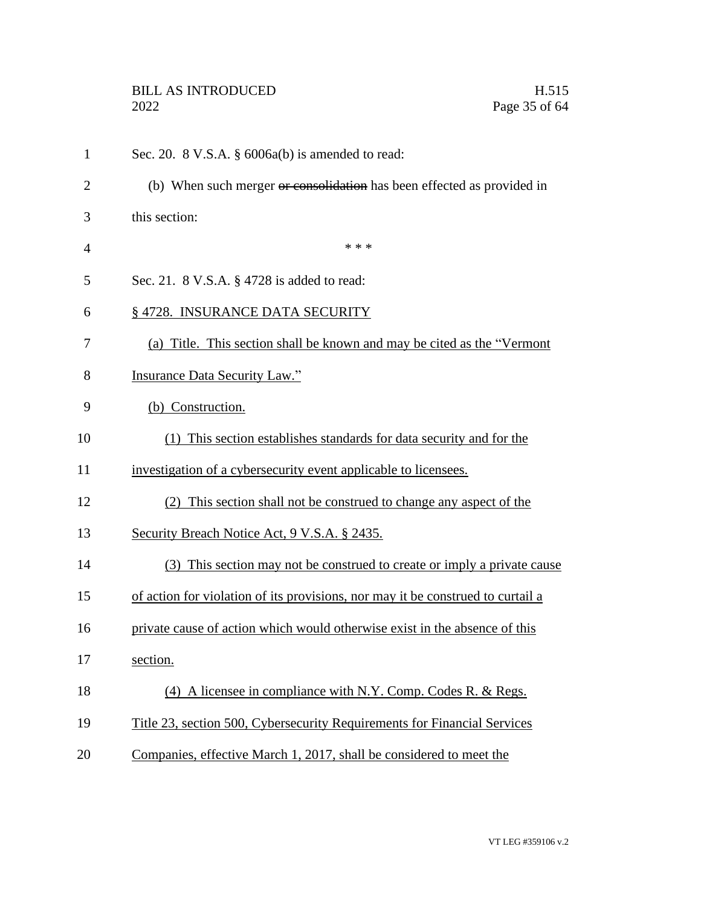| $\mathbf{1}$   | Sec. 20. $8$ V.S.A. $\S$ 6006a(b) is amended to read:                           |
|----------------|---------------------------------------------------------------------------------|
| $\overline{2}$ | (b) When such merger or consolidation has been effected as provided in          |
| 3              | this section:                                                                   |
| $\overline{4}$ | * * *                                                                           |
| 5              | Sec. 21. 8 V.S.A. § 4728 is added to read:                                      |
| 6              | §4728. INSURANCE DATA SECURITY                                                  |
| 7              | (a) Title. This section shall be known and may be cited as the "Vermont"        |
| 8              | Insurance Data Security Law."                                                   |
| 9              | (b) Construction.                                                               |
| 10             | (1) This section establishes standards for data security and for the            |
| 11             | investigation of a cybersecurity event applicable to licensees.                 |
| 12             | (2) This section shall not be construed to change any aspect of the             |
| 13             | Security Breach Notice Act, 9 V.S.A. § 2435.                                    |
| 14             | (3) This section may not be construed to create or imply a private cause        |
| 15             | of action for violation of its provisions, nor may it be construed to curtail a |
| 16             | private cause of action which would otherwise exist in the absence of this      |
| 17             | section.                                                                        |
| 18             | (4) A licensee in compliance with N.Y. Comp. Codes R. & Regs.                   |
| 19             | Title 23, section 500, Cybersecurity Requirements for Financial Services        |
| 20             | Companies, effective March 1, 2017, shall be considered to meet the             |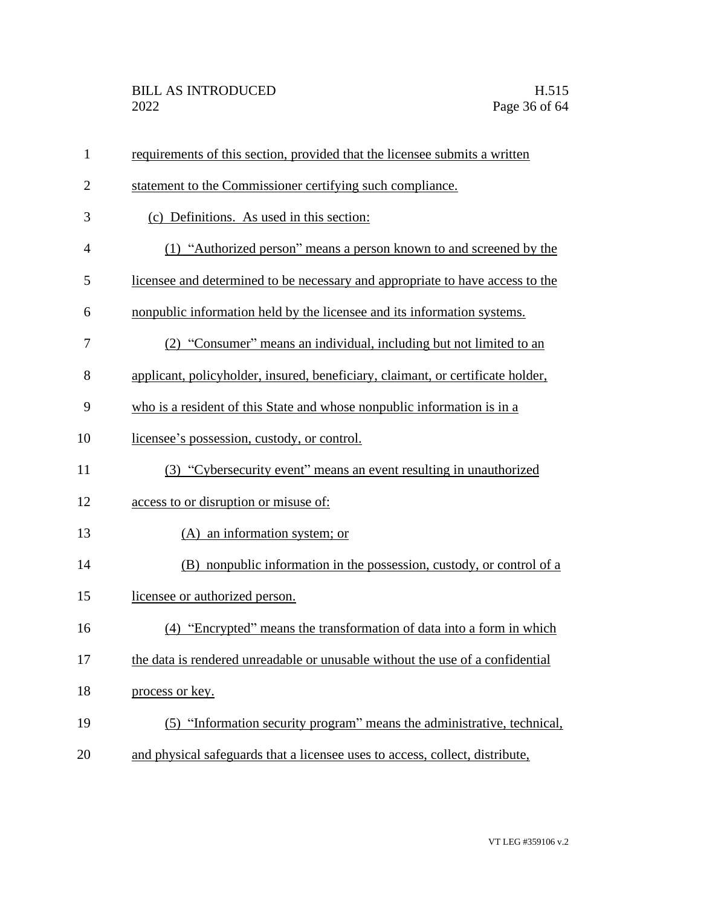| $\mathbf{1}$   | requirements of this section, provided that the licensee submits a written      |
|----------------|---------------------------------------------------------------------------------|
| $\overline{2}$ | statement to the Commissioner certifying such compliance.                       |
| 3              | (c) Definitions. As used in this section:                                       |
| $\overline{4}$ | (1) "Authorized person" means a person known to and screened by the             |
| 5              | licensee and determined to be necessary and appropriate to have access to the   |
| 6              | nonpublic information held by the licensee and its information systems.         |
| 7              | (2) "Consumer" means an individual, including but not limited to an             |
| 8              | applicant, policyholder, insured, beneficiary, claimant, or certificate holder, |
| 9              | who is a resident of this State and whose nonpublic information is in a         |
| 10             | licensee's possession, custody, or control.                                     |
| 11             | (3) "Cybersecurity event" means an event resulting in unauthorized              |
| 12             | access to or disruption or misuse of:                                           |
| 13             | (A) an information system; or                                                   |
| 14             | (B) nonpublic information in the possession, custody, or control of a           |
| 15             | licensee or authorized person.                                                  |
| 16             | (4) "Encrypted" means the transformation of data into a form in which           |
| 17             | the data is rendered unreadable or unusable without the use of a confidential   |
| 18             | process or key.                                                                 |
| 19             | (5) "Information security program" means the administrative, technical,         |
| 20             | and physical safeguards that a licensee uses to access, collect, distribute,    |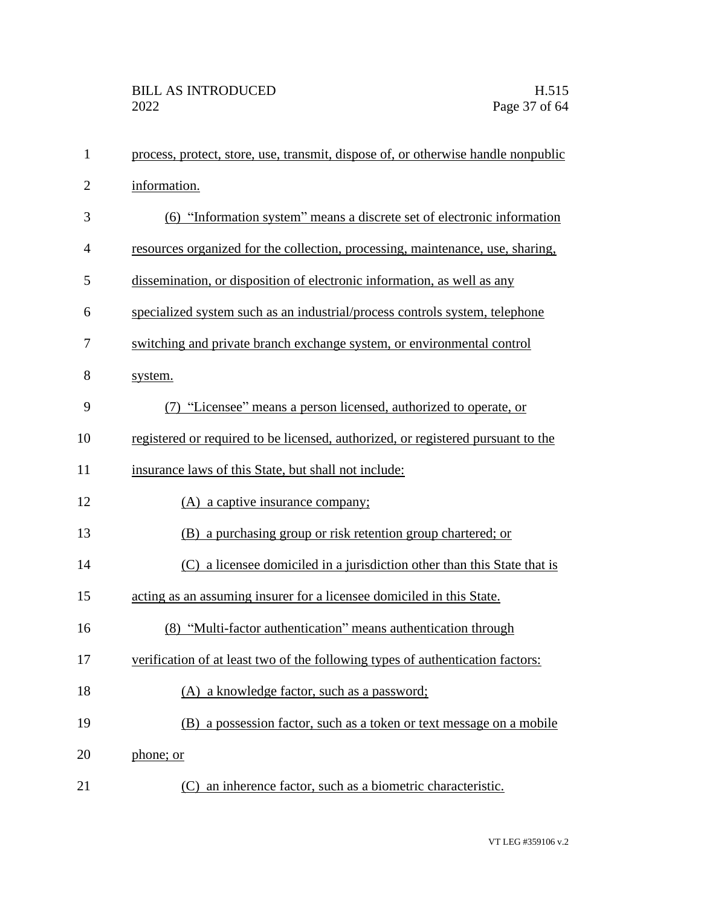| $\mathbf{1}$   | process, protect, store, use, transmit, dispose of, or otherwise handle nonpublic |
|----------------|-----------------------------------------------------------------------------------|
| $\overline{2}$ | information.                                                                      |
| 3              | (6) "Information system" means a discrete set of electronic information           |
| $\overline{4}$ | resources organized for the collection, processing, maintenance, use, sharing,    |
| 5              | dissemination, or disposition of electronic information, as well as any           |
| 6              | specialized system such as an industrial/process controls system, telephone       |
| 7              | switching and private branch exchange system, or environmental control            |
| 8              | system.                                                                           |
| 9              | "Licensee" means a person licensed, authorized to operate, or                     |
| 10             | registered or required to be licensed, authorized, or registered pursuant to the  |
| 11             | insurance laws of this State, but shall not include:                              |
| 12             | (A) a captive insurance company;                                                  |
| 13             | (B) a purchasing group or risk retention group chartered; or                      |
| 14             | (C) a licensee domiciled in a jurisdiction other than this State that is          |
| 15             | acting as an assuming insurer for a licensee domiciled in this State.             |
| 16             | (8) "Multi-factor authentication" means authentication through                    |
| 17             | verification of at least two of the following types of authentication factors:    |
| 18             | (A) a knowledge factor, such as a password;                                       |
| 19             | (B) a possession factor, such as a token or text message on a mobile              |
| 20             | phone; or                                                                         |
| 21             | an inherence factor, such as a biometric characteristic.<br>(C)                   |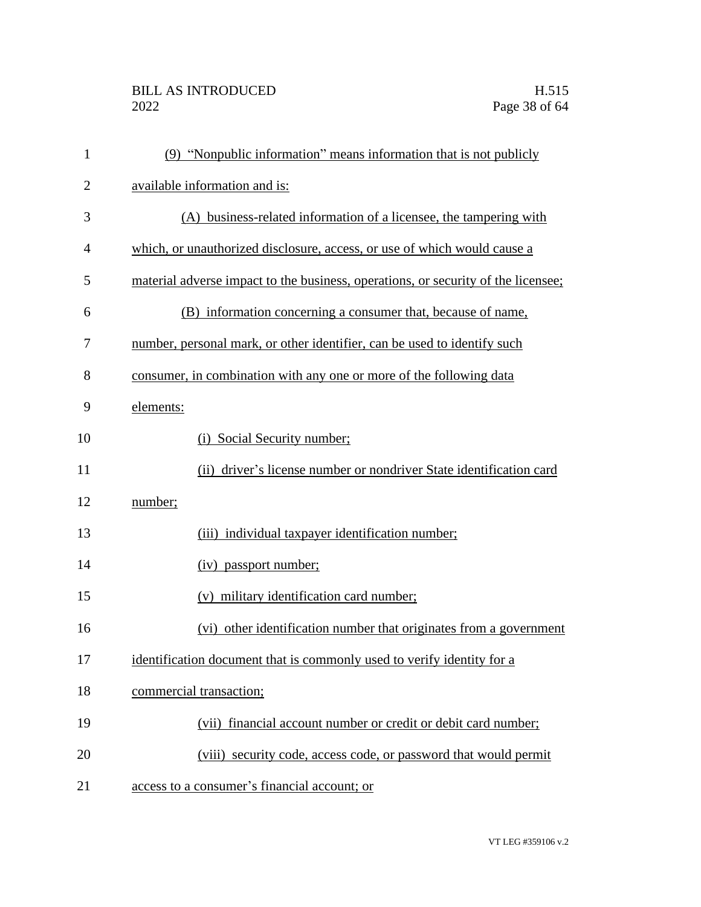| $\mathbf{1}$   | (9) "Nonpublic information" means information that is not publicly                |
|----------------|-----------------------------------------------------------------------------------|
| $\overline{2}$ | available information and is:                                                     |
| 3              | (A) business-related information of a licensee, the tampering with                |
| $\overline{4}$ | which, or unauthorized disclosure, access, or use of which would cause a          |
| 5              | material adverse impact to the business, operations, or security of the licensee; |
| 6              | (B) information concerning a consumer that, because of name,                      |
| 7              | number, personal mark, or other identifier, can be used to identify such          |
| 8              | consumer, in combination with any one or more of the following data               |
| 9              | elements:                                                                         |
| 10             | Social Security number;<br>(i)                                                    |
| 11             | (ii) driver's license number or nondriver State identification card               |
| 12             | number;                                                                           |
| 13             | (iii) individual taxpayer identification number;                                  |
| 14             | (iv) passport number;                                                             |
| 15             | (v) military identification card number;                                          |
| 16             | (vi) other identification number that originates from a government                |
| 17             | identification document that is commonly used to verify identity for a            |
| 18             | commercial transaction;                                                           |
| 19             | (vii) financial account number or credit or debit card number;                    |
| 20             | (viii) security code, access code, or password that would permit                  |
| 21             | access to a consumer's financial account; or                                      |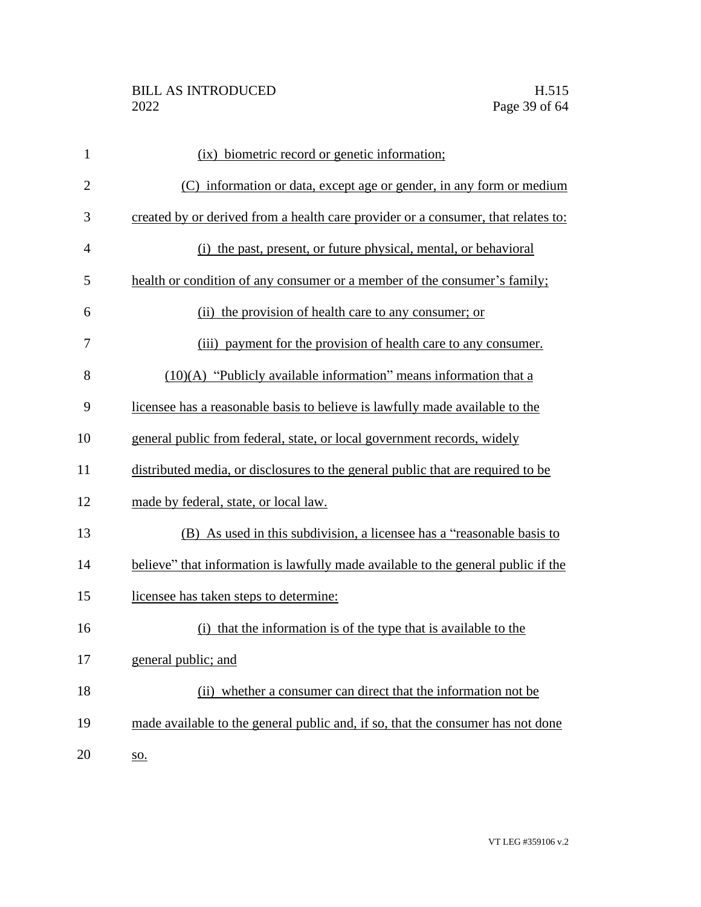| $\mathbf{1}$   | (ix) biometric record or genetic information;                                     |
|----------------|-----------------------------------------------------------------------------------|
| $\overline{2}$ | (C) information or data, except age or gender, in any form or medium              |
| 3              | created by or derived from a health care provider or a consumer, that relates to: |
| 4              | (i) the past, present, or future physical, mental, or behavioral                  |
| 5              | health or condition of any consumer or a member of the consumer's family;         |
| 6              | the provision of health care to any consumer; or<br>(ii)                          |
| 7              | (iii) payment for the provision of health care to any consumer.                   |
| 8              | $(10)(A)$ "Publicly available information" means information that a               |
| 9              | licensee has a reasonable basis to believe is lawfully made available to the      |
| 10             | general public from federal, state, or local government records, widely           |
| 11             | distributed media, or disclosures to the general public that are required to be   |
| 12             | made by federal, state, or local law.                                             |
| 13             | (B) As used in this subdivision, a licensee has a "reasonable basis to            |
| 14             | believe" that information is lawfully made available to the general public if the |
| 15             | licensee has taken steps to determine:                                            |
| 16             | that the information is of the type that is available to the<br>(i)               |
| 17             | general public; and                                                               |
| 18             | (ii) whether a consumer can direct that the information not be                    |
| 19             | made available to the general public and, if so, that the consumer has not done   |
| 20             | <u>so.</u>                                                                        |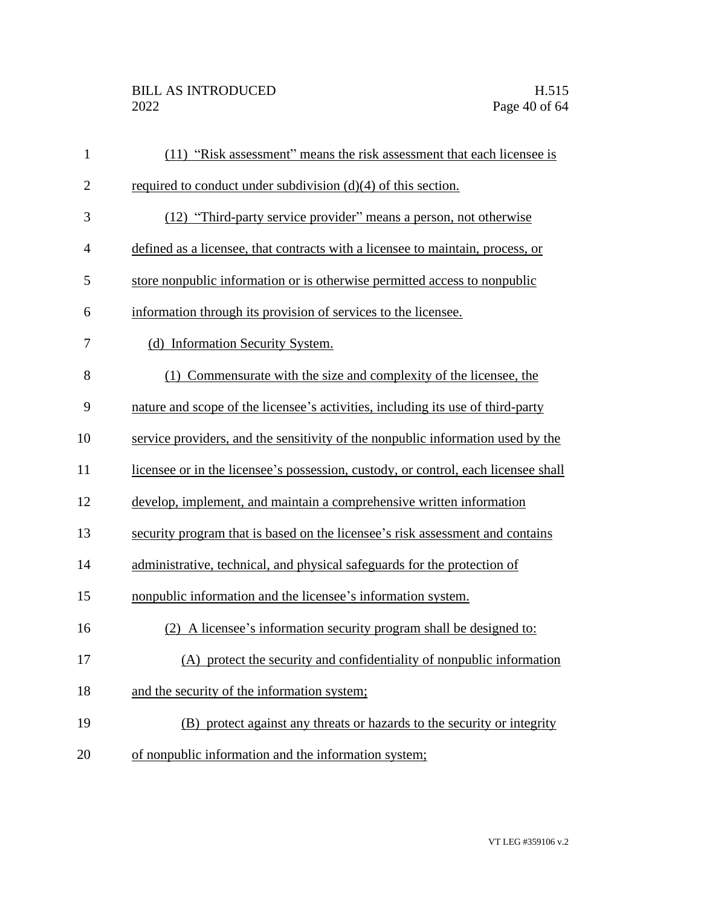| $\mathbf{1}$   | (11) "Risk assessment" means the risk assessment that each licensee is             |
|----------------|------------------------------------------------------------------------------------|
| $\mathbf{2}$   | required to conduct under subdivision $(d)(4)$ of this section.                    |
| 3              | (12) "Third-party service provider" means a person, not otherwise                  |
| $\overline{4}$ | defined as a licensee, that contracts with a licensee to maintain, process, or     |
| 5              | store nonpublic information or is otherwise permitted access to nonpublic          |
| 6              | information through its provision of services to the licensee.                     |
| 7              | (d) Information Security System.                                                   |
| 8              | (1) Commensurate with the size and complexity of the licensee, the                 |
| 9              | nature and scope of the licensee's activities, including its use of third-party    |
| 10             | service providers, and the sensitivity of the nonpublic information used by the    |
| 11             | licensee or in the licensee's possession, custody, or control, each licensee shall |
| 12             | develop, implement, and maintain a comprehensive written information               |
| 13             | security program that is based on the licensee's risk assessment and contains      |
| 14             | administrative, technical, and physical safeguards for the protection of           |
| 15             | nonpublic information and the licensee's information system.                       |
| 16             | (2) A licensee's information security program shall be designed to:                |
| 17             | (A) protect the security and confidentiality of nonpublic information              |
| 18             | and the security of the information system;                                        |
| 19             | (B) protect against any threats or hazards to the security or integrity            |
| 20             | of nonpublic information and the information system;                               |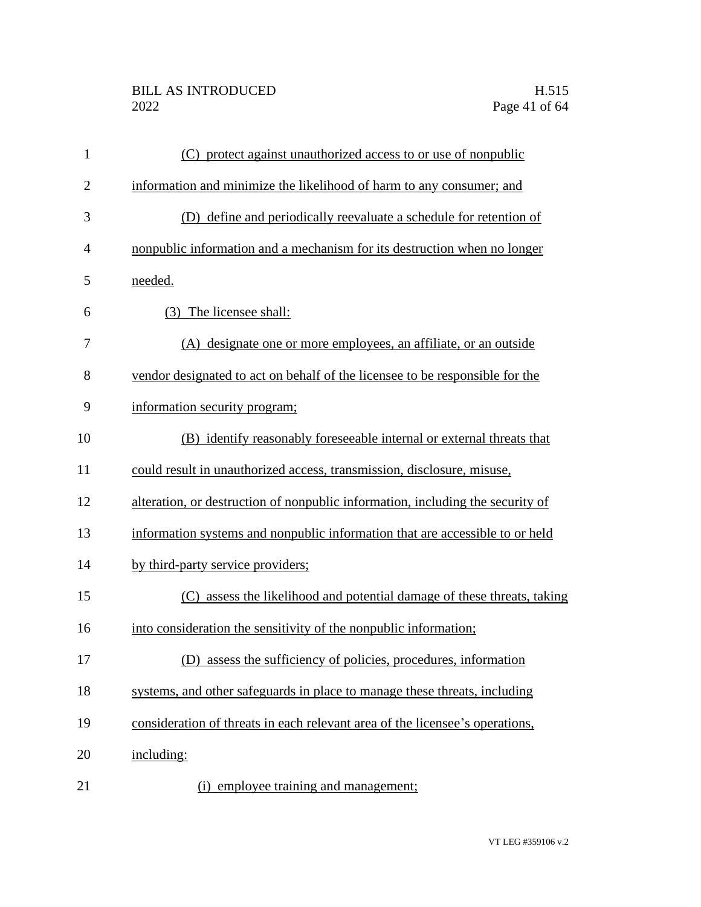# BILL AS INTRODUCED H.515<br>2022 Page 41 of 64

| $\mathbf{1}$   | (C) protect against unauthorized access to or use of nonpublic                 |
|----------------|--------------------------------------------------------------------------------|
| $\overline{2}$ | information and minimize the likelihood of harm to any consumer; and           |
| 3              | (D) define and periodically reevaluate a schedule for retention of             |
| $\overline{4}$ | nonpublic information and a mechanism for its destruction when no longer       |
| 5              | needed.                                                                        |
| 6              | (3) The licensee shall:                                                        |
| 7              | (A) designate one or more employees, an affiliate, or an outside               |
| 8              | vendor designated to act on behalf of the licensee to be responsible for the   |
| 9              | information security program;                                                  |
| 10             | (B) identify reasonably foreseeable internal or external threats that          |
| 11             | could result in unauthorized access, transmission, disclosure, misuse,         |
| 12             | alteration, or destruction of nonpublic information, including the security of |
| 13             | information systems and nonpublic information that are accessible to or held   |
| 14             | by third-party service providers;                                              |
| 15             | assess the likelihood and potential damage of these threats, taking<br>(C)     |
| 16             | into consideration the sensitivity of the nonpublic information;               |
| 17             | (D) assess the sufficiency of policies, procedures, information                |
| 18             | systems, and other safeguards in place to manage these threats, including      |
| 19             | consideration of threats in each relevant area of the licensee's operations,   |
| 20             | including:                                                                     |
| 21             | employee training and management;<br>(i)                                       |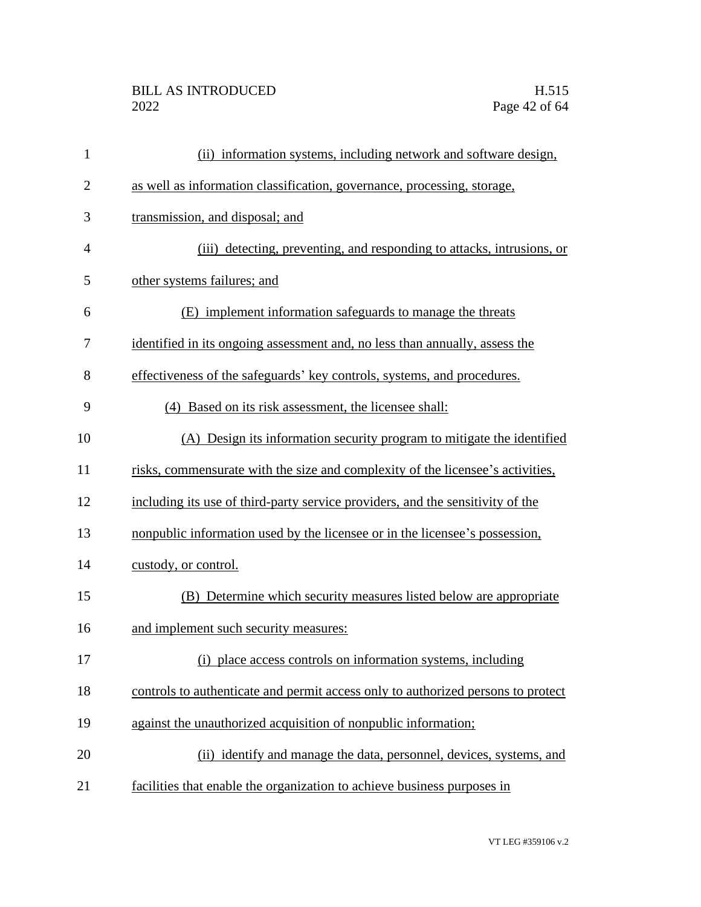| $\mathbf{1}$   | (ii) information systems, including network and software design,                 |
|----------------|----------------------------------------------------------------------------------|
| $\overline{2}$ | as well as information classification, governance, processing, storage,          |
| 3              | transmission, and disposal; and                                                  |
| $\overline{4}$ | (iii) detecting, preventing, and responding to attacks, intrusions, or           |
| 5              | other systems failures; and                                                      |
| 6              | (E) implement information safeguards to manage the threats                       |
| 7              | identified in its ongoing assessment and, no less than annually, assess the      |
| 8              | effectiveness of the safeguards' key controls, systems, and procedures.          |
| 9              | (4) Based on its risk assessment, the licensee shall:                            |
| 10             | (A) Design its information security program to mitigate the identified           |
| 11             | risks, commensurate with the size and complexity of the licensee's activities,   |
| 12             | including its use of third-party service providers, and the sensitivity of the   |
| 13             | nonpublic information used by the licensee or in the licensee's possession,      |
| 14             | custody, or control.                                                             |
| 15             | (B) Determine which security measures listed below are appropriate               |
| 16             | and implement such security measures:                                            |
| 17             | (i) place access controls on information systems, including                      |
| 18             | controls to authenticate and permit access only to authorized persons to protect |
| 19             | against the unauthorized acquisition of nonpublic information;                   |
| 20             | (ii) identify and manage the data, personnel, devices, systems, and              |
| 21             | facilities that enable the organization to achieve business purposes in          |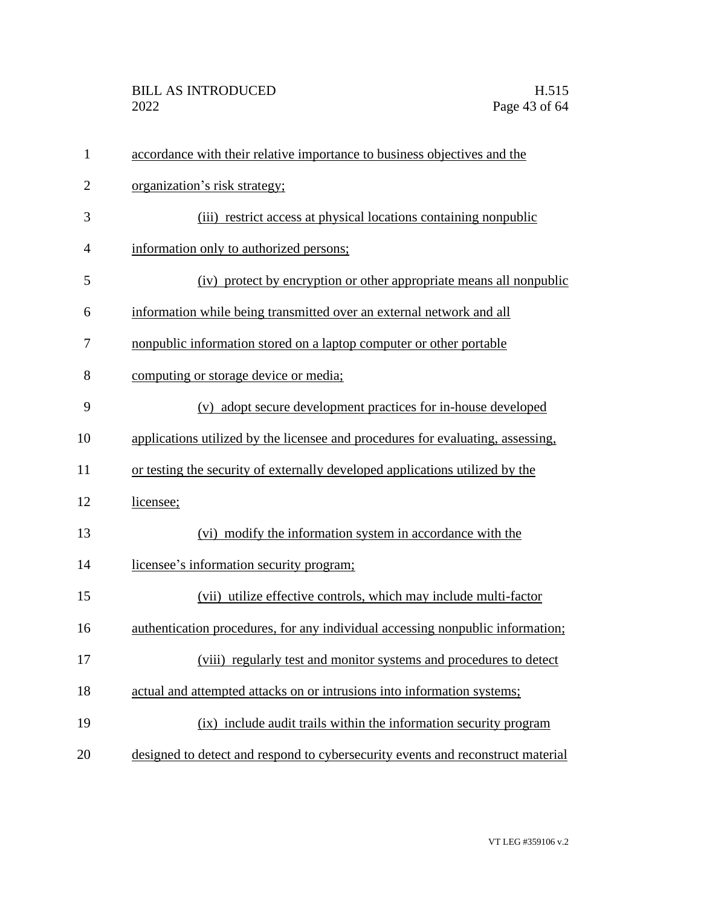| $\mathbf{1}$   | accordance with their relative importance to business objectives and the        |
|----------------|---------------------------------------------------------------------------------|
| $\overline{2}$ | organization's risk strategy;                                                   |
| 3              | (iii) restrict access at physical locations containing nonpublic                |
| $\overline{4}$ | information only to authorized persons;                                         |
| 5              | (iv) protect by encryption or other appropriate means all nonpublic             |
| 6              | information while being transmitted over an external network and all            |
| 7              | nonpublic information stored on a laptop computer or other portable             |
| 8              | computing or storage device or media;                                           |
| 9              | (v) adopt secure development practices for in-house developed                   |
| 10             | applications utilized by the licensee and procedures for evaluating, assessing, |
| 11             | or testing the security of externally developed applications utilized by the    |
| 12             | licensee;                                                                       |
| 13             | (vi) modify the information system in accordance with the                       |
| 14             | licensee's information security program;                                        |
| 15             | (vii) utilize effective controls, which may include multi-factor                |
| 16             | authentication procedures, for any individual accessing nonpublic information;  |
| 17             | (viii) regularly test and monitor systems and procedures to detect              |
| 18             | actual and attempted attacks on or intrusions into information systems;         |
| 19             | (ix) include audit trails within the information security program               |
| 20             | designed to detect and respond to cybersecurity events and reconstruct material |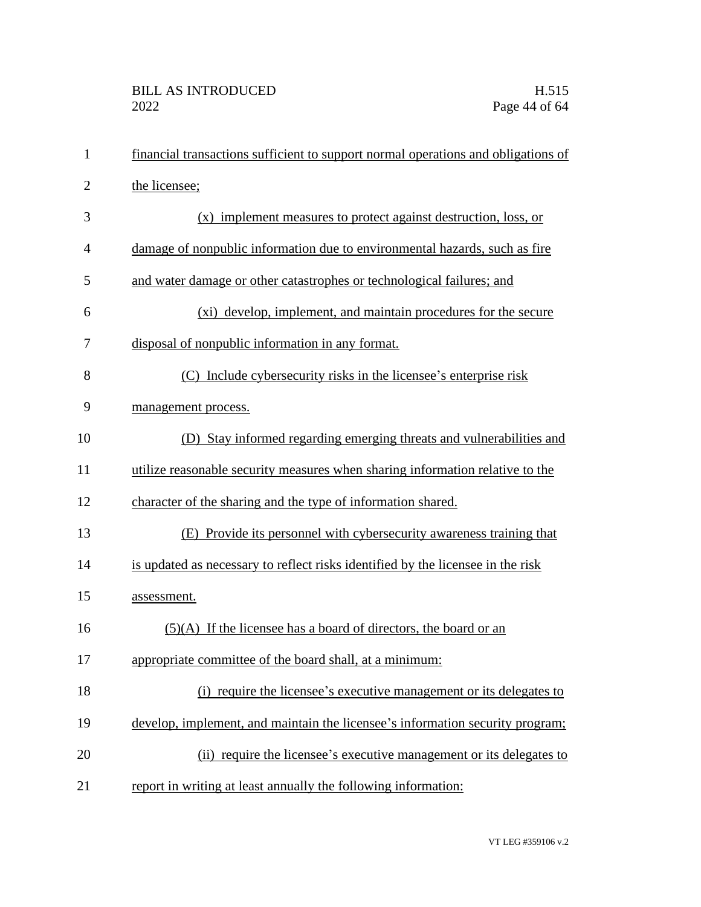| $\mathbf{1}$   | financial transactions sufficient to support normal operations and obligations of |
|----------------|-----------------------------------------------------------------------------------|
| $\overline{2}$ | the licensee;                                                                     |
| 3              | (x) implement measures to protect against destruction, loss, or                   |
| 4              | damage of nonpublic information due to environmental hazards, such as fire        |
| 5              | and water damage or other catastrophes or technological failures; and             |
| 6              | (xi) develop, implement, and maintain procedures for the secure                   |
| 7              | disposal of nonpublic information in any format.                                  |
| 8              | (C) Include cybersecurity risks in the licensee's enterprise risk                 |
| 9              | management process.                                                               |
| 10             | (D) Stay informed regarding emerging threats and vulnerabilities and              |
| 11             | utilize reasonable security measures when sharing information relative to the     |
| 12             | character of the sharing and the type of information shared.                      |
| 13             | (E) Provide its personnel with cybersecurity awareness training that              |
| 14             | is updated as necessary to reflect risks identified by the licensee in the risk   |
| 15             | assessment.                                                                       |
| 16             | $(5)(A)$ If the licensee has a board of directors, the board or an                |
| 17             | appropriate committee of the board shall, at a minimum:                           |
| 18             | (i) require the licensee's executive management or its delegates to               |
| 19             | develop, implement, and maintain the licensee's information security program;     |
| 20             | (ii) require the licensee's executive management or its delegates to              |
| 21             | report in writing at least annually the following information:                    |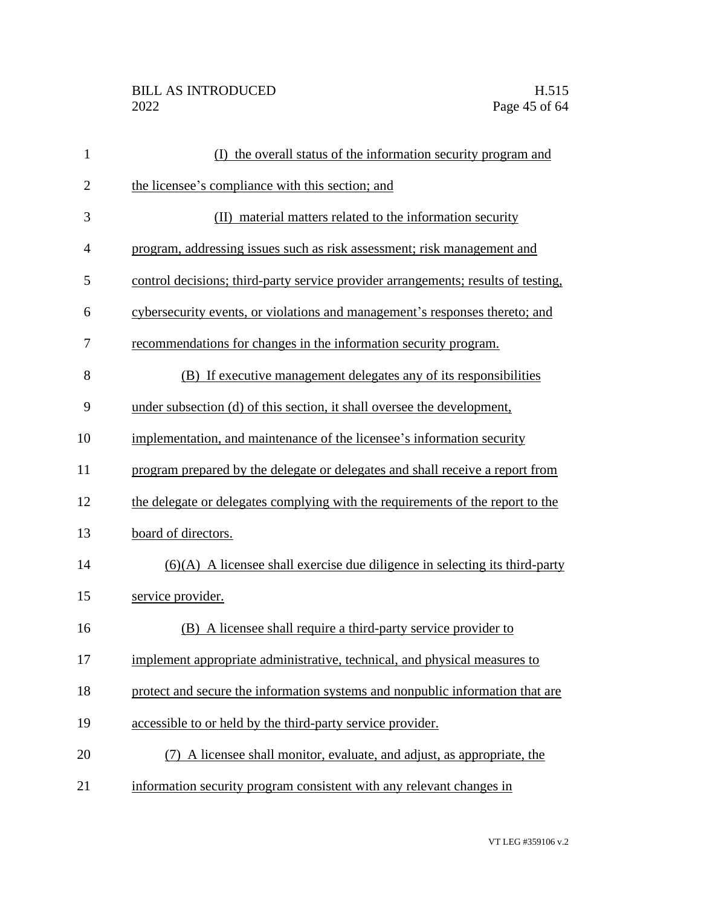| $\mathbf{1}$   | (I) the overall status of the information security program and                    |
|----------------|-----------------------------------------------------------------------------------|
| $\overline{2}$ | the licensee's compliance with this section; and                                  |
| 3              | (II) material matters related to the information security                         |
| $\overline{4}$ | program, addressing issues such as risk assessment; risk management and           |
| 5              | control decisions; third-party service provider arrangements; results of testing, |
| 6              | cybersecurity events, or violations and management's responses thereto; and       |
| 7              | recommendations for changes in the information security program.                  |
| 8              | (B) If executive management delegates any of its responsibilities                 |
| 9              | under subsection (d) of this section, it shall oversee the development,           |
| 10             | implementation, and maintenance of the licensee's information security            |
| 11             | program prepared by the delegate or delegates and shall receive a report from     |
| 12             | the delegate or delegates complying with the requirements of the report to the    |
| 13             | board of directors.                                                               |
| 14             | $(6)(A)$ A licensee shall exercise due diligence in selecting its third-party     |
| 15             | service provider.                                                                 |
| 16             | (B) A licensee shall require a third-party service provider to                    |
| 17             | implement appropriate administrative, technical, and physical measures to         |
| 18             | protect and secure the information systems and nonpublic information that are     |
| 19             | accessible to or held by the third-party service provider.                        |
| 20             | (7) A licensee shall monitor, evaluate, and adjust, as appropriate, the           |
| 21             | information security program consistent with any relevant changes in              |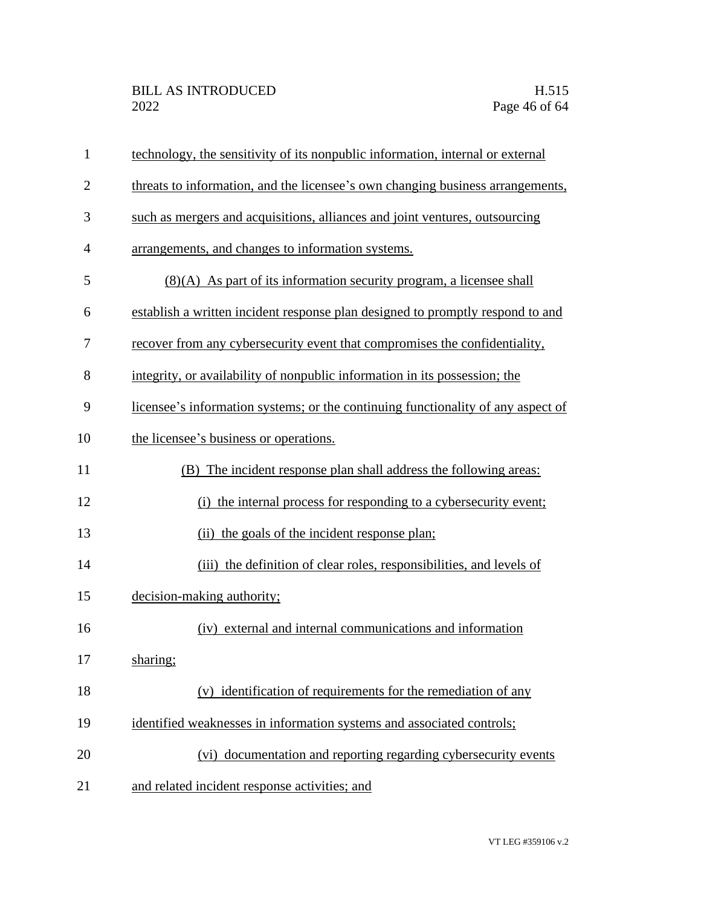| $\mathbf{1}$   | technology, the sensitivity of its nonpublic information, internal or external   |
|----------------|----------------------------------------------------------------------------------|
| $\overline{2}$ | threats to information, and the licensee's own changing business arrangements,   |
| 3              | such as mergers and acquisitions, alliances and joint ventures, outsourcing      |
| $\overline{4}$ | arrangements, and changes to information systems.                                |
| 5              | $(8)(A)$ As part of its information security program, a licensee shall           |
| 6              | establish a written incident response plan designed to promptly respond to and   |
| 7              | recover from any cybersecurity event that compromises the confidentiality,       |
| 8              | integrity, or availability of nonpublic information in its possession; the       |
| 9              | licensee's information systems; or the continuing functionality of any aspect of |
| 10             | the licensee's business or operations.                                           |
| 11             | (B) The incident response plan shall address the following areas:                |
| 12             | (i) the internal process for responding to a cybersecurity event;                |
| 13             | (ii) the goals of the incident response plan;                                    |
| 14             | (iii) the definition of clear roles, responsibilities, and levels of             |
| 15             | decision-making authority;                                                       |
| 16             | (iv) external and internal communications and information                        |
| 17             | sharing;                                                                         |
| 18             | (v) identification of requirements for the remediation of any                    |
| 19             | identified weaknesses in information systems and associated controls;            |
| 20             | (vi) documentation and reporting regarding cybersecurity events                  |
| 21             | and related incident response activities; and                                    |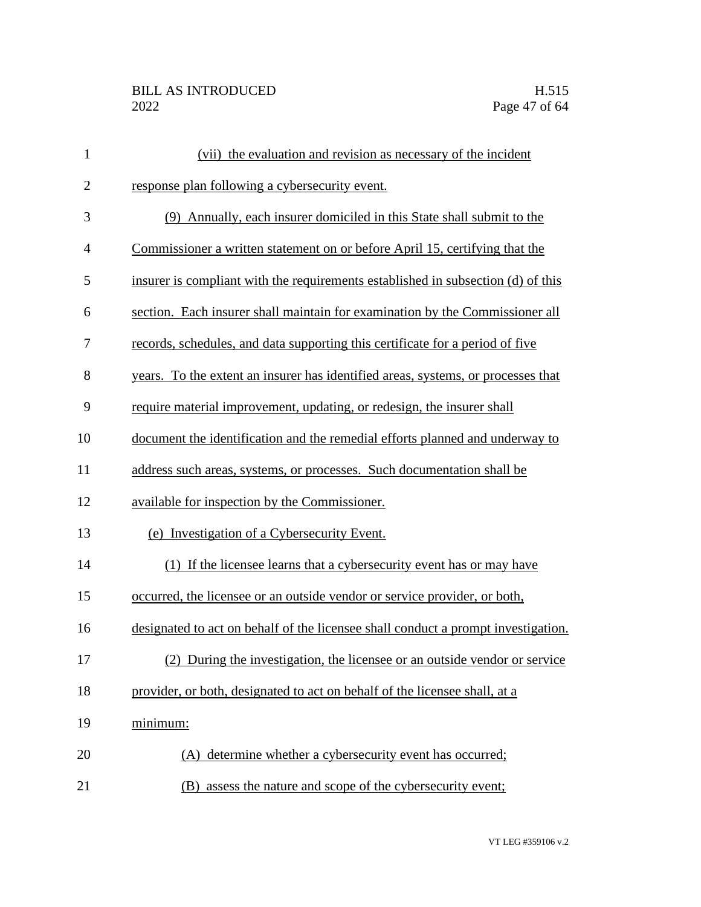| $\mathbf{1}$   | (vii) the evaluation and revision as necessary of the incident                    |
|----------------|-----------------------------------------------------------------------------------|
| $\overline{2}$ | response plan following a cybersecurity event.                                    |
| 3              | (9) Annually, each insurer domiciled in this State shall submit to the            |
| $\overline{4}$ | Commissioner a written statement on or before April 15, certifying that the       |
| 5              | insurer is compliant with the requirements established in subsection (d) of this  |
| 6              | section. Each insurer shall maintain for examination by the Commissioner all      |
| 7              | records, schedules, and data supporting this certificate for a period of five     |
| 8              | years. To the extent an insurer has identified areas, systems, or processes that  |
| 9              | require material improvement, updating, or redesign, the insurer shall            |
| 10             | document the identification and the remedial efforts planned and underway to      |
| 11             | address such areas, systems, or processes. Such documentation shall be            |
| 12             | available for inspection by the Commissioner.                                     |
| 13             | (e) Investigation of a Cybersecurity Event.                                       |
| 14             | (1) If the licensee learns that a cybersecurity event has or may have             |
| 15             | occurred, the licensee or an outside vendor or service provider, or both,         |
| 16             | designated to act on behalf of the licensee shall conduct a prompt investigation. |
| 17             | (2) During the investigation, the licensee or an outside vendor or service        |
| 18             | provider, or both, designated to act on behalf of the licensee shall, at a        |
| 19             | minimum:                                                                          |
| 20             | (A) determine whether a cybersecurity event has occurred;                         |
| 21             | (B) assess the nature and scope of the cybersecurity event;                       |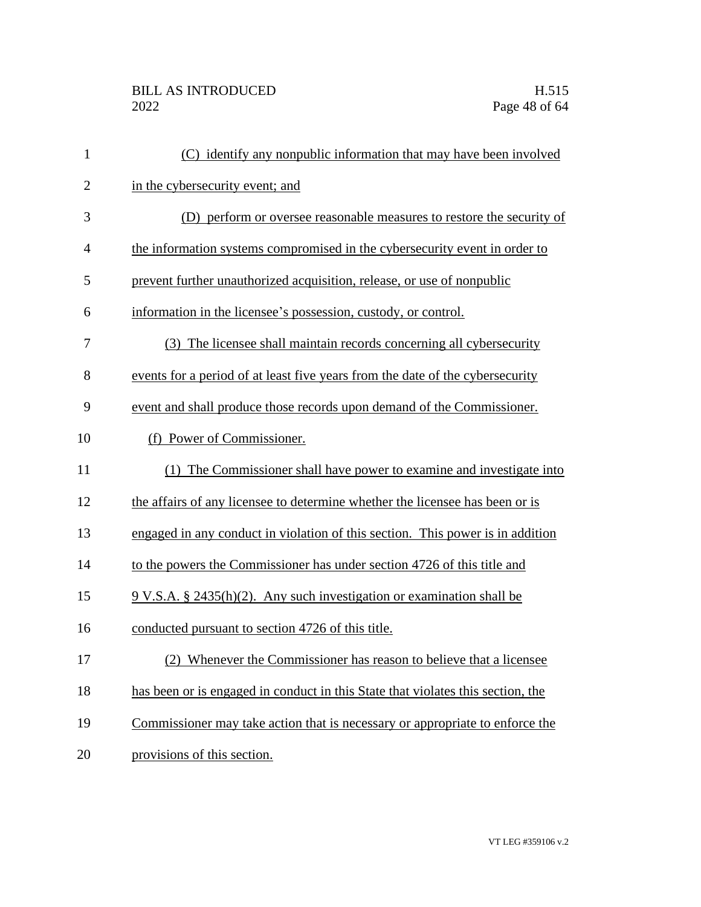| $\mathbf{1}$   | (C) identify any nonpublic information that may have been involved              |
|----------------|---------------------------------------------------------------------------------|
| $\overline{2}$ | in the cybersecurity event; and                                                 |
| 3              | (D) perform or oversee reasonable measures to restore the security of           |
| 4              | the information systems compromised in the cybersecurity event in order to      |
| 5              | prevent further unauthorized acquisition, release, or use of nonpublic          |
| 6              | information in the licensee's possession, custody, or control.                  |
| 7              | (3) The licensee shall maintain records concerning all cybersecurity            |
| 8              | events for a period of at least five years from the date of the cybersecurity   |
| 9              | event and shall produce those records upon demand of the Commissioner.          |
| 10             | Power of Commissioner.<br>(f)                                                   |
| 11             | (1) The Commissioner shall have power to examine and investigate into           |
| 12             | the affairs of any licensee to determine whether the licensee has been or is    |
| 13             | engaged in any conduct in violation of this section. This power is in addition  |
| 14             | to the powers the Commissioner has under section 4726 of this title and         |
| 15             | 9 V.S.A. § 2435(h)(2). Any such investigation or examination shall be           |
| 16             | conducted pursuant to section 4726 of this title.                               |
| 17             | (2) Whenever the Commissioner has reason to believe that a licensee             |
| 18             | has been or is engaged in conduct in this State that violates this section, the |
| 19             | Commissioner may take action that is necessary or appropriate to enforce the    |
| 20             | provisions of this section.                                                     |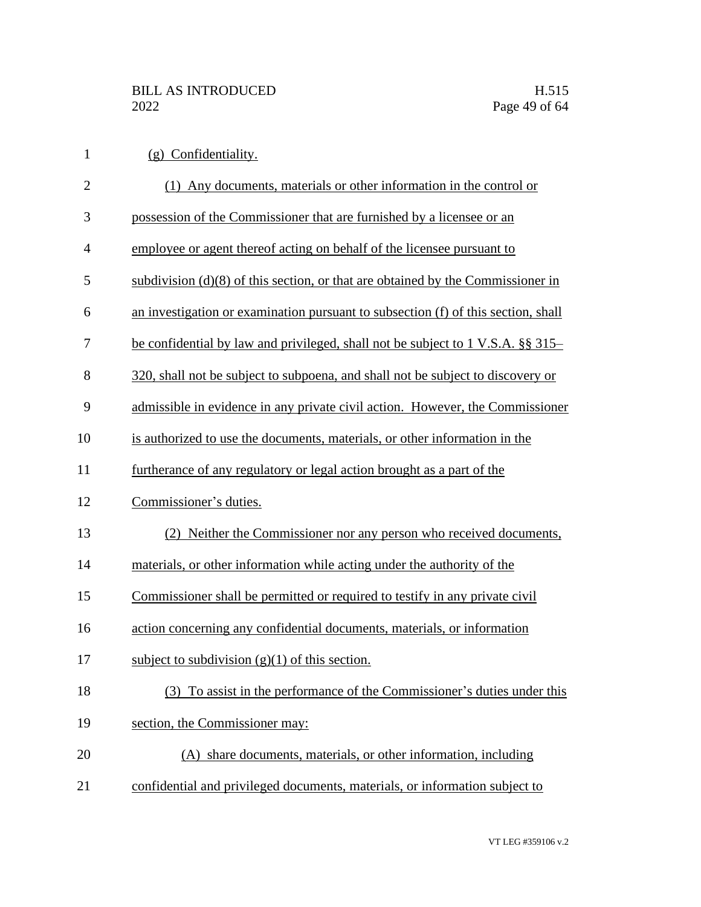| $\mathbf{1}$   | (g) Confidentiality.                                                              |
|----------------|-----------------------------------------------------------------------------------|
| $\overline{2}$ | (1) Any documents, materials or other information in the control or               |
| 3              | possession of the Commissioner that are furnished by a licensee or an             |
| 4              | employee or agent thereof acting on behalf of the licensee pursuant to            |
| 5              | subdivision $(d)(8)$ of this section, or that are obtained by the Commissioner in |
| 6              | an investigation or examination pursuant to subsection (f) of this section, shall |
| 7              | be confidential by law and privileged, shall not be subject to 1 V.S.A. §§ 315–   |
| 8              | 320, shall not be subject to subpoena, and shall not be subject to discovery or   |
| 9              | admissible in evidence in any private civil action. However, the Commissioner     |
| 10             | is authorized to use the documents, materials, or other information in the        |
| 11             | furtherance of any regulatory or legal action brought as a part of the            |
| 12             | Commissioner's duties.                                                            |
| 13             | (2) Neither the Commissioner nor any person who received documents,               |
| 14             | materials, or other information while acting under the authority of the           |
| 15             | Commissioner shall be permitted or required to testify in any private civil       |
| 16             | action concerning any confidential documents, materials, or information           |
| 17             | subject to subdivision $(g)(1)$ of this section.                                  |
| 18             | (3) To assist in the performance of the Commissioner's duties under this          |
| 19             | section, the Commissioner may:                                                    |
| 20             | (A) share documents, materials, or other information, including                   |
| 21             | confidential and privileged documents, materials, or information subject to       |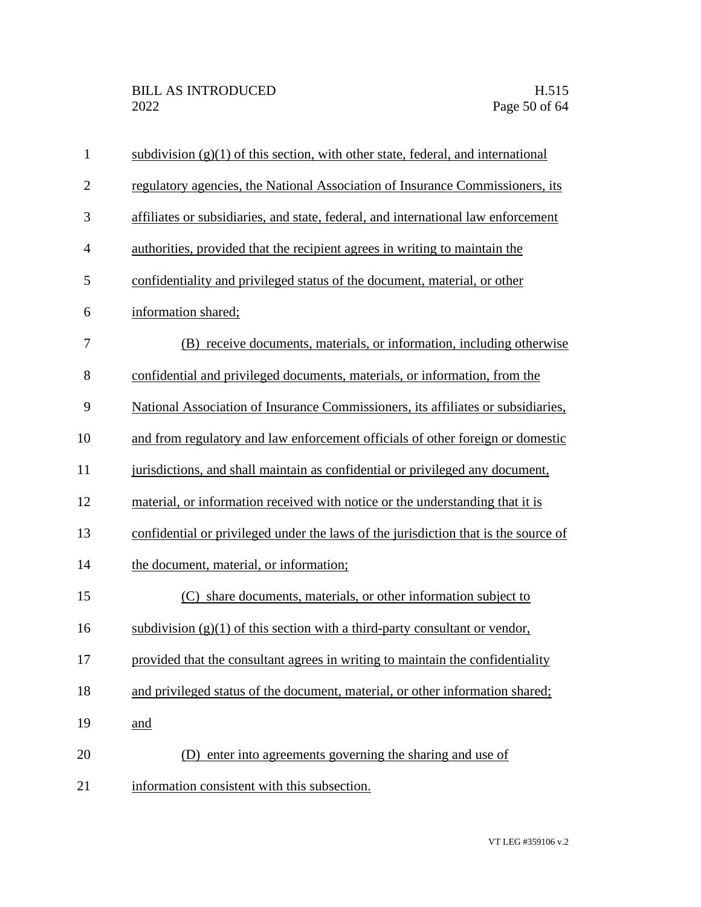| $\mathbf{1}$   | subdivision $(g)(1)$ of this section, with other state, federal, and international  |
|----------------|-------------------------------------------------------------------------------------|
| $\mathbf{2}$   | regulatory agencies, the National Association of Insurance Commissioners, its       |
| 3              | affiliates or subsidiaries, and state, federal, and international law enforcement   |
| $\overline{4}$ | authorities, provided that the recipient agrees in writing to maintain the          |
| 5              | confidentiality and privileged status of the document, material, or other           |
| 6              | information shared;                                                                 |
| 7              | (B) receive documents, materials, or information, including otherwise               |
| 8              | confidential and privileged documents, materials, or information, from the          |
| 9              | National Association of Insurance Commissioners, its affiliates or subsidiaries,    |
| 10             | and from regulatory and law enforcement officials of other foreign or domestic      |
| 11             | jurisdictions, and shall maintain as confidential or privileged any document,       |
| 12             | material, or information received with notice or the understanding that it is       |
| 13             | confidential or privileged under the laws of the jurisdiction that is the source of |
| 14             | the document, material, or information;                                             |
| 15             | (C) share documents, materials, or other information subject to                     |
| 16             | subdivision $(g)(1)$ of this section with a third-party consultant or vendor,       |
| 17             | provided that the consultant agrees in writing to maintain the confidentiality      |
| 18             | and privileged status of the document, material, or other information shared;       |
| 19             | and                                                                                 |
| 20             | (D) enter into agreements governing the sharing and use of                          |
| 21             | information consistent with this subsection.                                        |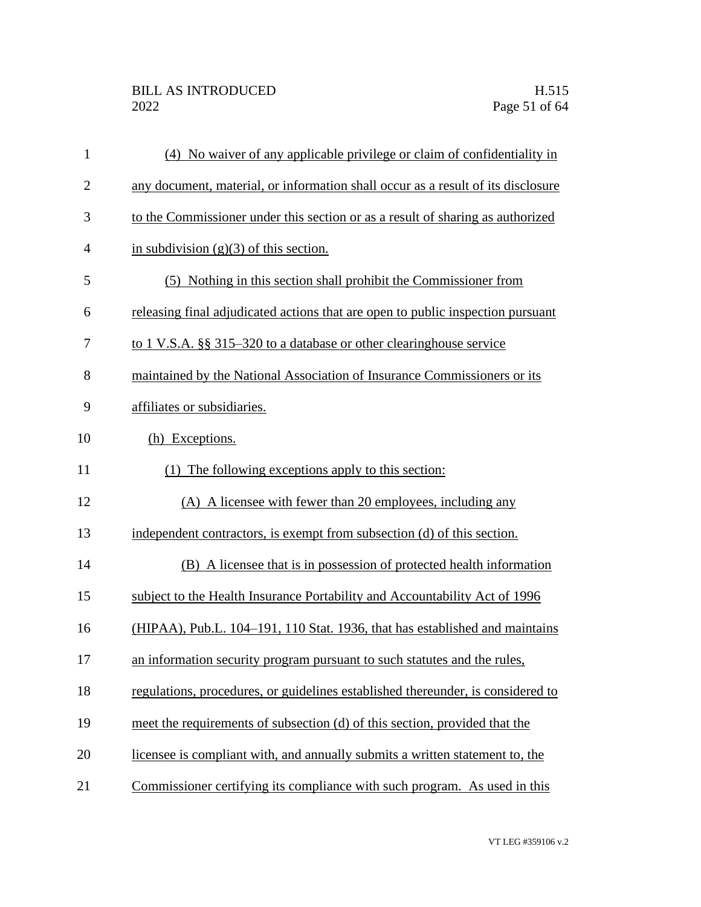| $\mathbf{1}$   | (4) No waiver of any applicable privilege or claim of confidentiality in         |
|----------------|----------------------------------------------------------------------------------|
| $\overline{2}$ | any document, material, or information shall occur as a result of its disclosure |
| 3              | to the Commissioner under this section or as a result of sharing as authorized   |
| $\overline{4}$ | in subdivision $(g)(3)$ of this section.                                         |
| 5              | (5) Nothing in this section shall prohibit the Commissioner from                 |
| 6              | releasing final adjudicated actions that are open to public inspection pursuant  |
| 7              | to 1 V.S.A. §§ 315–320 to a database or other clearinghouse service              |
| 8              | maintained by the National Association of Insurance Commissioners or its         |
| 9              | affiliates or subsidiaries.                                                      |
| 10             | (h) Exceptions.                                                                  |
| 11             | The following exceptions apply to this section:<br>(1)                           |
| 12             | (A) A licensee with fewer than 20 employees, including any                       |
| 13             | independent contractors, is exempt from subsection (d) of this section.          |
| 14             | (B) A licensee that is in possession of protected health information             |
| 15             | subject to the Health Insurance Portability and Accountability Act of 1996       |
| 16             | (HIPAA), Pub.L. 104–191, 110 Stat. 1936, that has established and maintains      |
| 17             | an information security program pursuant to such statutes and the rules,         |
| 18             | regulations, procedures, or guidelines established thereunder, is considered to  |
| 19             | meet the requirements of subsection (d) of this section, provided that the       |
| 20             | licensee is compliant with, and annually submits a written statement to, the     |
| 21             | Commissioner certifying its compliance with such program. As used in this        |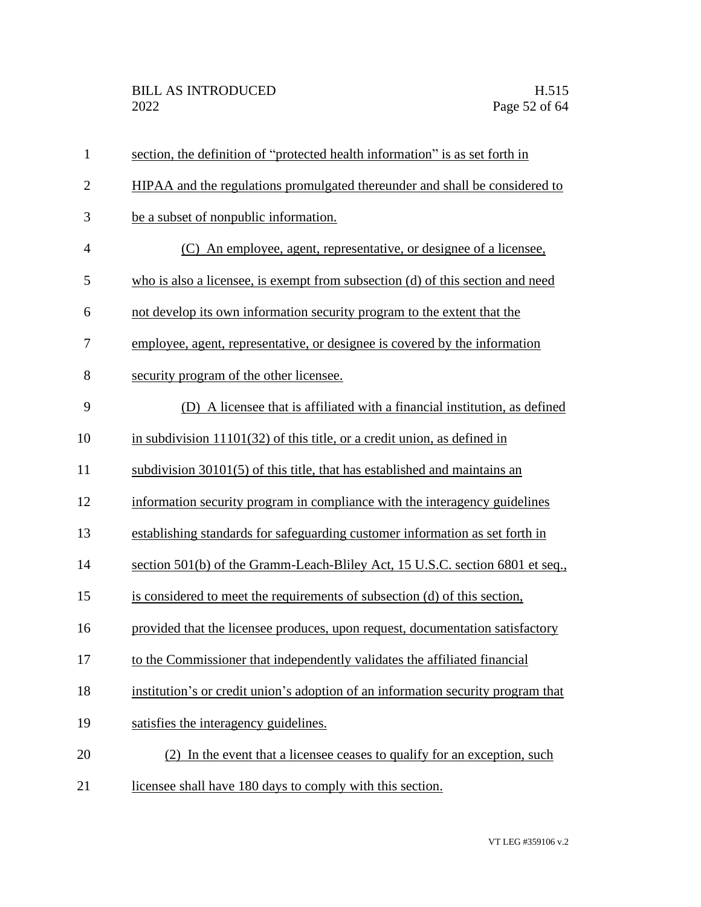| $\mathbf{1}$   | section, the definition of "protected health information" is as set forth in     |
|----------------|----------------------------------------------------------------------------------|
| $\overline{2}$ | HIPAA and the regulations promulgated thereunder and shall be considered to      |
| 3              | be a subset of nonpublic information.                                            |
| $\overline{4}$ | (C) An employee, agent, representative, or designee of a licensee.               |
| 5              | who is also a licensee, is exempt from subsection (d) of this section and need   |
| 6              | not develop its own information security program to the extent that the          |
| 7              | employee, agent, representative, or designee is covered by the information       |
| 8              | security program of the other licensee.                                          |
| 9              | (D) A licensee that is affiliated with a financial institution, as defined       |
| 10             | in subdivision $11101(32)$ of this title, or a credit union, as defined in       |
| 11             | subdivision 30101(5) of this title, that has established and maintains an        |
| 12             | information security program in compliance with the interagency guidelines       |
| 13             | establishing standards for safeguarding customer information as set forth in     |
| 14             | section 501(b) of the Gramm-Leach-Bliley Act, 15 U.S.C. section 6801 et seq.,    |
| 15             | is considered to meet the requirements of subsection (d) of this section,        |
| 16             | provided that the licensee produces, upon request, documentation satisfactory    |
| 17             | to the Commissioner that independently validates the affiliated financial        |
| 18             | institution's or credit union's adoption of an information security program that |
| 19             | satisfies the interagency guidelines.                                            |
| 20             | (2) In the event that a licensee ceases to qualify for an exception, such        |
| 21             | licensee shall have 180 days to comply with this section.                        |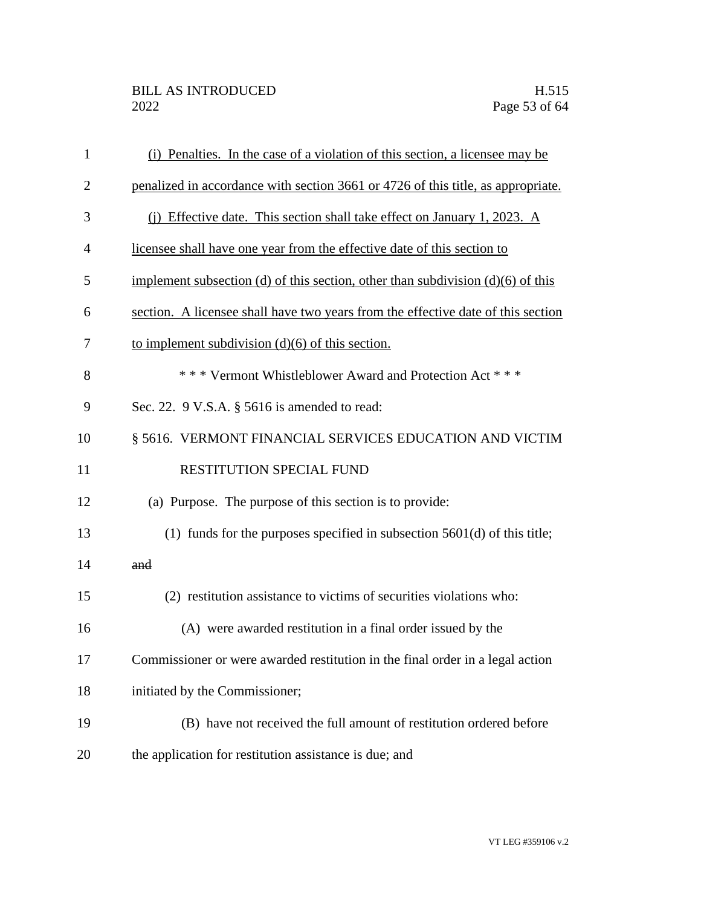| $\mathbf{1}$   | (i) Penalties. In the case of a violation of this section, a licensee may be      |
|----------------|-----------------------------------------------------------------------------------|
| $\overline{2}$ | penalized in accordance with section 3661 or 4726 of this title, as appropriate.  |
| 3              | (j) Effective date. This section shall take effect on January 1, 2023. A          |
| $\overline{4}$ | licensee shall have one year from the effective date of this section to           |
| 5              | implement subsection (d) of this section, other than subdivision $(d)(6)$ of this |
| 6              | section. A licensee shall have two years from the effective date of this section  |
| 7              | to implement subdivision $(d)(6)$ of this section.                                |
| 8              | *** Vermont Whistleblower Award and Protection Act ***                            |
| 9              | Sec. 22. $9$ V.S.A. $\S$ 5616 is amended to read:                                 |
| 10             | § 5616. VERMONT FINANCIAL SERVICES EDUCATION AND VICTIM                           |
| 11             | RESTITUTION SPECIAL FUND                                                          |
| 12             | (a) Purpose. The purpose of this section is to provide:                           |
| 13             | (1) funds for the purposes specified in subsection $5601(d)$ of this title;       |
| 14             | and                                                                               |
| 15             | (2) restitution assistance to victims of securities violations who:               |
| 16             | (A) were awarded restitution in a final order issued by the                       |
| 17             | Commissioner or were awarded restitution in the final order in a legal action     |
| 18             | initiated by the Commissioner;                                                    |
| 19             | (B) have not received the full amount of restitution ordered before               |
| 20             | the application for restitution assistance is due; and                            |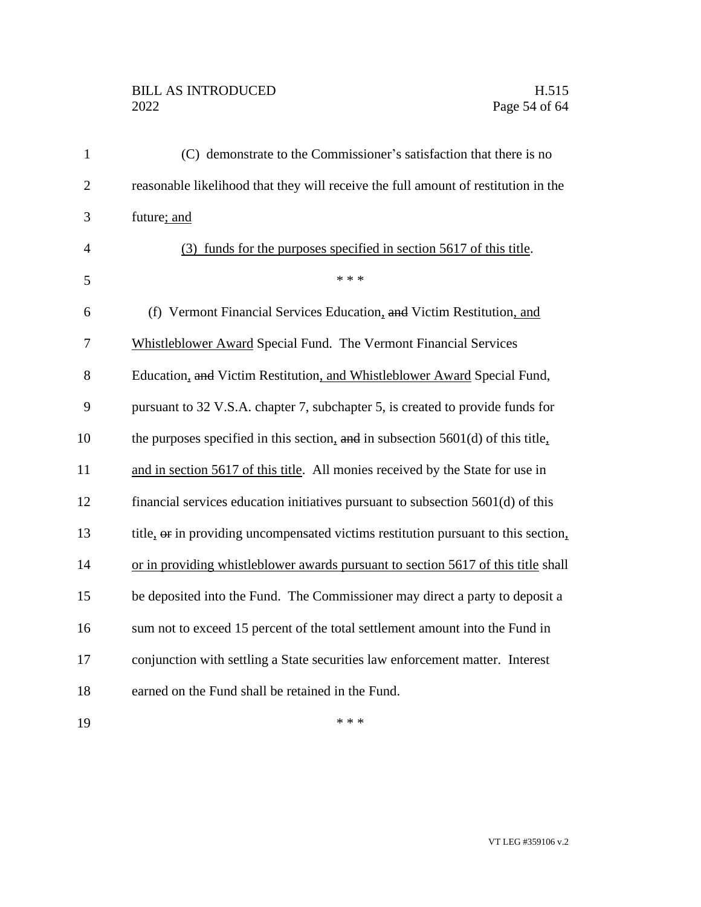## BILL AS INTRODUCED H.515<br>2022 Page 54 of 64

| $\mathbf{1}$   | (C) demonstrate to the Commissioner's satisfaction that there is no                |
|----------------|------------------------------------------------------------------------------------|
| $\overline{2}$ | reasonable likelihood that they will receive the full amount of restitution in the |
| 3              | future; and                                                                        |
| 4              | (3) funds for the purposes specified in section 5617 of this title.                |
| 5              | * * *                                                                              |
| 6              | (f) Vermont Financial Services Education, and Victim Restitution, and              |
| 7              | Whistleblower Award Special Fund. The Vermont Financial Services                   |
| 8              | Education, and Victim Restitution, and Whistleblower Award Special Fund,           |
| 9              | pursuant to 32 V.S.A. chapter 7, subchapter 5, is created to provide funds for     |
| 10             | the purposes specified in this section, and in subsection $5601(d)$ of this title, |
| 11             | and in section 5617 of this title. All monies received by the State for use in     |
| 12             | financial services education initiatives pursuant to subsection $5601(d)$ of this  |
| 13             | title, or in providing uncompensated victims restitution pursuant to this section, |
| 14             | or in providing whistleblower awards pursuant to section 5617 of this title shall  |
| 15             | be deposited into the Fund. The Commissioner may direct a party to deposit a       |
| 16             | sum not to exceed 15 percent of the total settlement amount into the Fund in       |
| 17             | conjunction with settling a State securities law enforcement matter. Interest      |
| 18             | earned on the Fund shall be retained in the Fund.                                  |
| 19             | * * *                                                                              |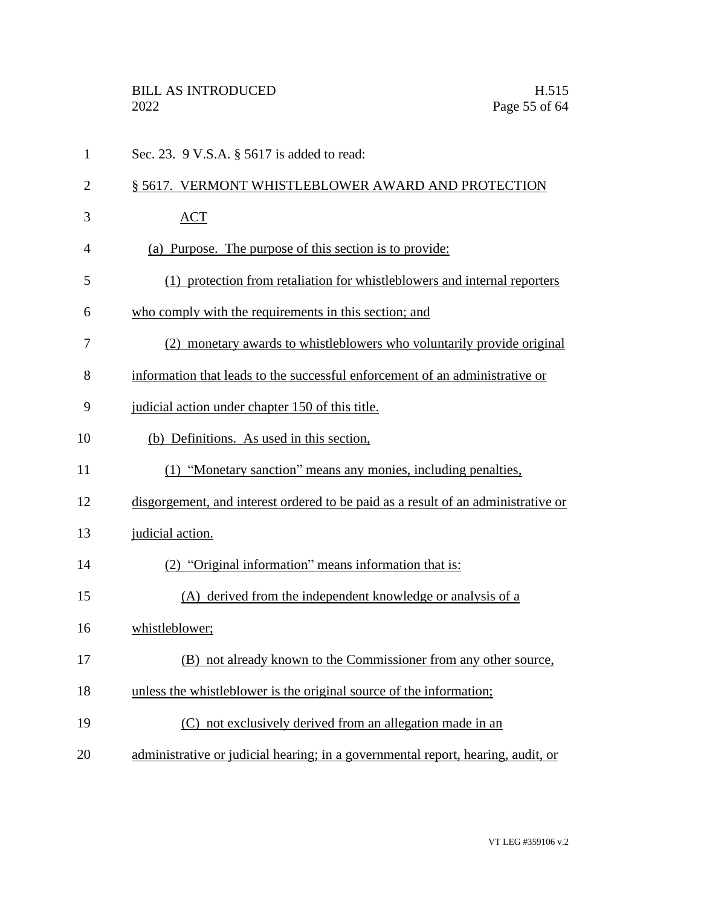| $\mathbf{1}$   | Sec. 23. 9 V.S.A. § 5617 is added to read:                                        |
|----------------|-----------------------------------------------------------------------------------|
| $\overline{2}$ | § 5617. VERMONT WHISTLEBLOWER AWARD AND PROTECTION                                |
| 3              | <b>ACT</b>                                                                        |
| 4              | (a) Purpose. The purpose of this section is to provide:                           |
| 5              | (1) protection from retaliation for whistleblowers and internal reporters         |
| 6              | who comply with the requirements in this section; and                             |
| 7              | (2) monetary awards to whistleblowers who voluntarily provide original            |
| 8              | information that leads to the successful enforcement of an administrative or      |
| 9              | judicial action under chapter 150 of this title.                                  |
| 10             | (b) Definitions. As used in this section,                                         |
| 11             | (1) "Monetary sanction" means any monies, including penalties,                    |
| 12             | disgorgement, and interest ordered to be paid as a result of an administrative or |
| 13             | judicial action.                                                                  |
| 14             | (2) "Original information" means information that is:                             |
| 15             | (A) derived from the independent knowledge or analysis of a                       |
| 16             | whistleblower;                                                                    |
| 17             | (B) not already known to the Commissioner from any other source,                  |
| 18             | unless the whistleblower is the original source of the information;               |
| 19             | (C) not exclusively derived from an allegation made in an                         |
| 20             | administrative or judicial hearing; in a governmental report, hearing, audit, or  |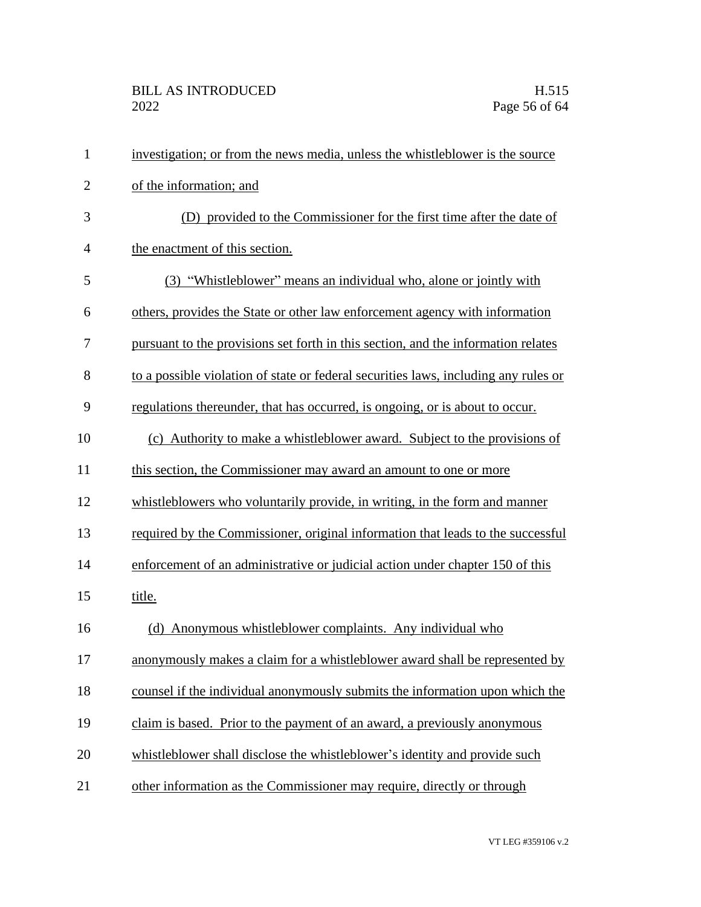| $\mathbf{1}$   | investigation; or from the news media, unless the whistleblower is the source       |
|----------------|-------------------------------------------------------------------------------------|
| $\overline{2}$ | of the information; and                                                             |
| 3              | (D) provided to the Commissioner for the first time after the date of               |
| $\overline{4}$ | the enactment of this section.                                                      |
| 5              | (3) "Whistleblower" means an individual who, alone or jointly with                  |
| 6              | others, provides the State or other law enforcement agency with information         |
| 7              | pursuant to the provisions set forth in this section, and the information relates   |
| 8              | to a possible violation of state or federal securities laws, including any rules or |
| 9              | regulations thereunder, that has occurred, is ongoing, or is about to occur.        |
| 10             | (c) Authority to make a whistleblower award. Subject to the provisions of           |
| 11             | this section, the Commissioner may award an amount to one or more                   |
| 12             | whistleblowers who voluntarily provide, in writing, in the form and manner          |
| 13             | required by the Commissioner, original information that leads to the successful     |
| 14             | enforcement of an administrative or judicial action under chapter 150 of this       |
| 15             | title.                                                                              |
| 16             | Anonymous whistleblower complaints. Any individual who<br>(d)                       |
| 17             | anonymously makes a claim for a whistleblower award shall be represented by         |
| 18             | counsel if the individual anonymously submits the information upon which the        |
| 19             | claim is based. Prior to the payment of an award, a previously anonymous            |
| 20             | whistleblower shall disclose the whistleblower's identity and provide such          |
| 21             | other information as the Commissioner may require, directly or through              |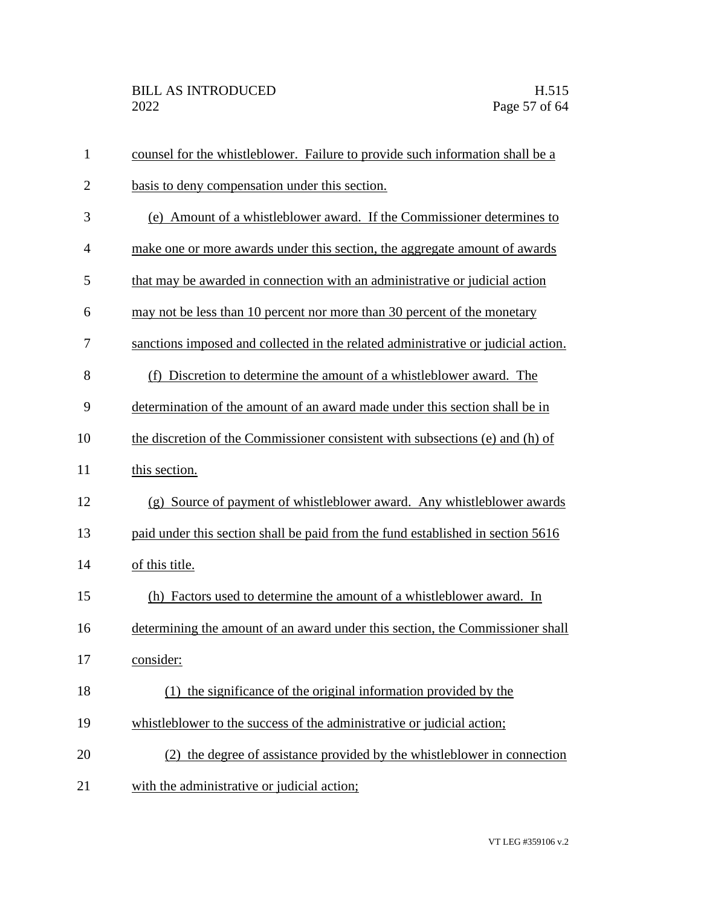| $\mathbf{1}$   | counsel for the whistleblower. Failure to provide such information shall be a     |
|----------------|-----------------------------------------------------------------------------------|
| $\overline{2}$ | basis to deny compensation under this section.                                    |
| 3              | (e) Amount of a whistleblower award. If the Commissioner determines to            |
| $\overline{4}$ | make one or more awards under this section, the aggregate amount of awards        |
| 5              | that may be awarded in connection with an administrative or judicial action       |
| 6              | may not be less than 10 percent nor more than 30 percent of the monetary          |
| 7              | sanctions imposed and collected in the related administrative or judicial action. |
| 8              | (f) Discretion to determine the amount of a whistleblower award. The              |
| 9              | determination of the amount of an award made under this section shall be in       |
| 10             | the discretion of the Commissioner consistent with subsections (e) and (h) of     |
| 11             | this section.                                                                     |
| 12             | (g) Source of payment of whistleblower award. Any whistleblower awards            |
| 13             | paid under this section shall be paid from the fund established in section 5616   |
| 14             | of this title.                                                                    |
| 15             | (h) Factors used to determine the amount of a whistleblower award. In             |
| 16             | determining the amount of an award under this section, the Commissioner shall     |
| 17             | consider:                                                                         |
| 18             | (1) the significance of the original information provided by the                  |
| 19             | whistleblower to the success of the administrative or judicial action;            |
| 20             | (2) the degree of assistance provided by the whistleblower in connection          |
| 21             | with the administrative or judicial action;                                       |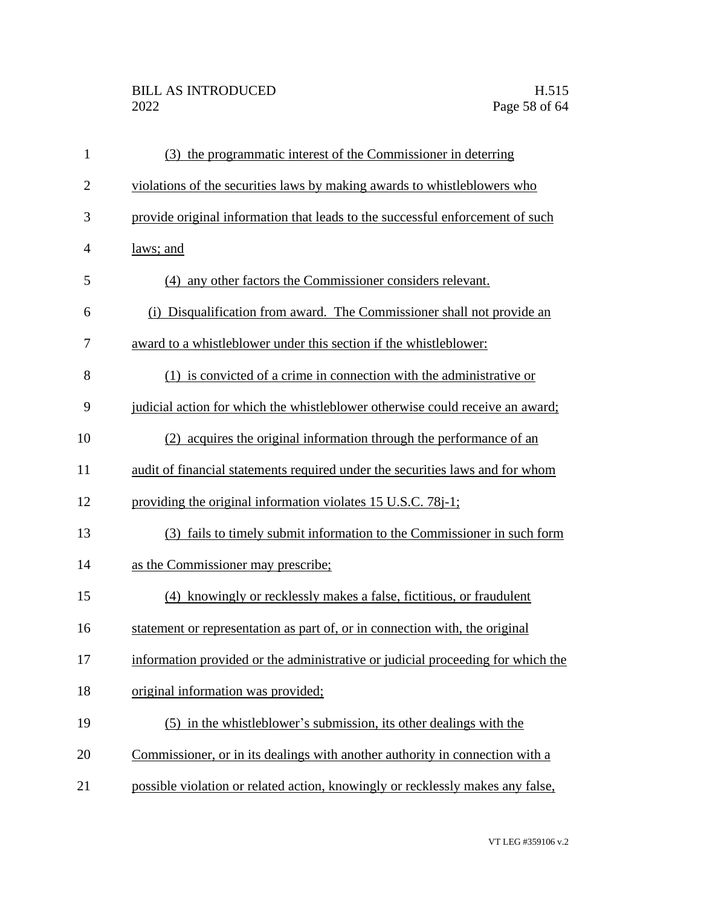# BILL AS INTRODUCED H.515<br>2022 Page 58 of 64

| $\mathbf{1}$   | (3) the programmatic interest of the Commissioner in deterring                  |
|----------------|---------------------------------------------------------------------------------|
| $\overline{2}$ | violations of the securities laws by making awards to whistleblowers who        |
| 3              | provide original information that leads to the successful enforcement of such   |
| $\overline{4}$ | laws; and                                                                       |
| 5              | (4) any other factors the Commissioner considers relevant.                      |
| 6              | (i) Disqualification from award. The Commissioner shall not provide an          |
| 7              | award to a whistleblower under this section if the whistleblower:               |
| 8              | (1) is convicted of a crime in connection with the administrative or            |
| 9              | judicial action for which the whistleblower otherwise could receive an award;   |
| 10             | acquires the original information through the performance of an<br>(2)          |
| 11             | audit of financial statements required under the securities laws and for whom   |
| 12             | providing the original information violates 15 U.S.C. 78-1;                     |
| 13             | (3) fails to timely submit information to the Commissioner in such form         |
| 14             | as the Commissioner may prescribe;                                              |
| 15             | (4) knowingly or recklessly makes a false, fictitious, or fraudulent            |
| 16             | statement or representation as part of, or in connection with, the original     |
| 17             | information provided or the administrative or judicial proceeding for which the |
| 18             | original information was provided;                                              |
| 19             | (5) in the whistleblower's submission, its other dealings with the              |
| 20             | Commissioner, or in its dealings with another authority in connection with a    |
| 21             | possible violation or related action, knowingly or recklessly makes any false,  |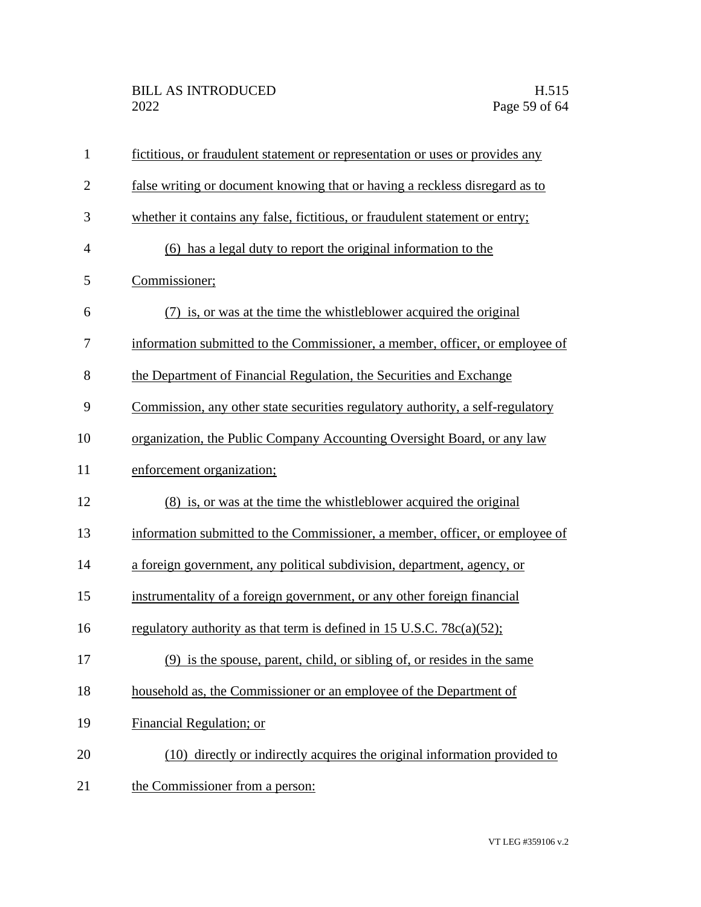| $\mathbf{1}$   | fictitious, or fraudulent statement or representation or uses or provides any  |
|----------------|--------------------------------------------------------------------------------|
| $\overline{2}$ | false writing or document knowing that or having a reckless disregard as to    |
| 3              | whether it contains any false, fictitious, or fraudulent statement or entry;   |
| $\overline{4}$ | (6) has a legal duty to report the original information to the                 |
| 5              | Commissioner;                                                                  |
| 6              | (7) is, or was at the time the whistleblower acquired the original             |
| 7              | information submitted to the Commissioner, a member, officer, or employee of   |
| 8              | the Department of Financial Regulation, the Securities and Exchange            |
| 9              | Commission, any other state securities regulatory authority, a self-regulatory |
| 10             | organization, the Public Company Accounting Oversight Board, or any law        |
| 11             | enforcement organization;                                                      |
| 12             | (8) is, or was at the time the whistleblower acquired the original             |
| 13             | information submitted to the Commissioner, a member, officer, or employee of   |
| 14             | a foreign government, any political subdivision, department, agency, or        |
| 15             | instrumentality of a foreign government, or any other foreign financial        |
| 16             | regulatory authority as that term is defined in 15 U.S.C. 78 $c(a)(52)$ ;      |
| 17             | (9) is the spouse, parent, child, or sibling of, or resides in the same        |
| 18             | household as, the Commissioner or an employee of the Department of             |
| 19             | Financial Regulation; or                                                       |
| 20             | (10) directly or indirectly acquires the original information provided to      |
| 21             | the Commissioner from a person:                                                |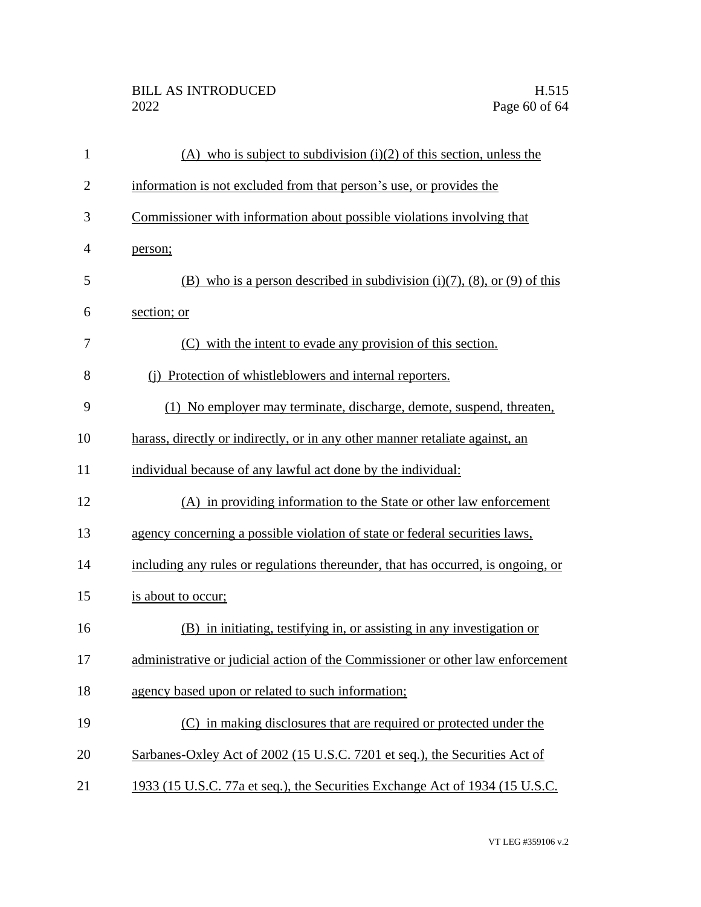# BILL AS INTRODUCED H.515<br>2022 Page 60 of 64

| $\mathbf{1}$   | $(A)$ who is subject to subdivision $(i)(2)$ of this section, unless the         |
|----------------|----------------------------------------------------------------------------------|
| $\overline{2}$ | information is not excluded from that person's use, or provides the              |
| 3              | Commissioner with information about possible violations involving that           |
| $\overline{4}$ | person;                                                                          |
| 5              | (B) who is a person described in subdivision $(i)(7)$ , $(8)$ , or $(9)$ of this |
| 6              | section; or                                                                      |
| 7              | (C) with the intent to evade any provision of this section.                      |
| 8              | (i) Protection of whistleblowers and internal reporters.                         |
| 9              | (1) No employer may terminate, discharge, demote, suspend, threaten,             |
| 10             | harass, directly or indirectly, or in any other manner retaliate against, an     |
| 11             | individual because of any lawful act done by the individual:                     |
| 12             | (A) in providing information to the State or other law enforcement               |
| 13             | agency concerning a possible violation of state or federal securities laws,      |
| 14             | including any rules or regulations thereunder, that has occurred, is ongoing, or |
| 15             | is about to occur;                                                               |
| 16             | (B) in initiating, testifying in, or assisting in any investigation or           |
| 17             | administrative or judicial action of the Commissioner or other law enforcement   |
| 18             | agency based upon or related to such information;                                |
| 19             | (C) in making disclosures that are required or protected under the               |
| 20             | Sarbanes-Oxley Act of 2002 (15 U.S.C. 7201 et seq.), the Securities Act of       |
| 21             | 1933 (15 U.S.C. 77a et seq.), the Securities Exchange Act of 1934 (15 U.S.C.     |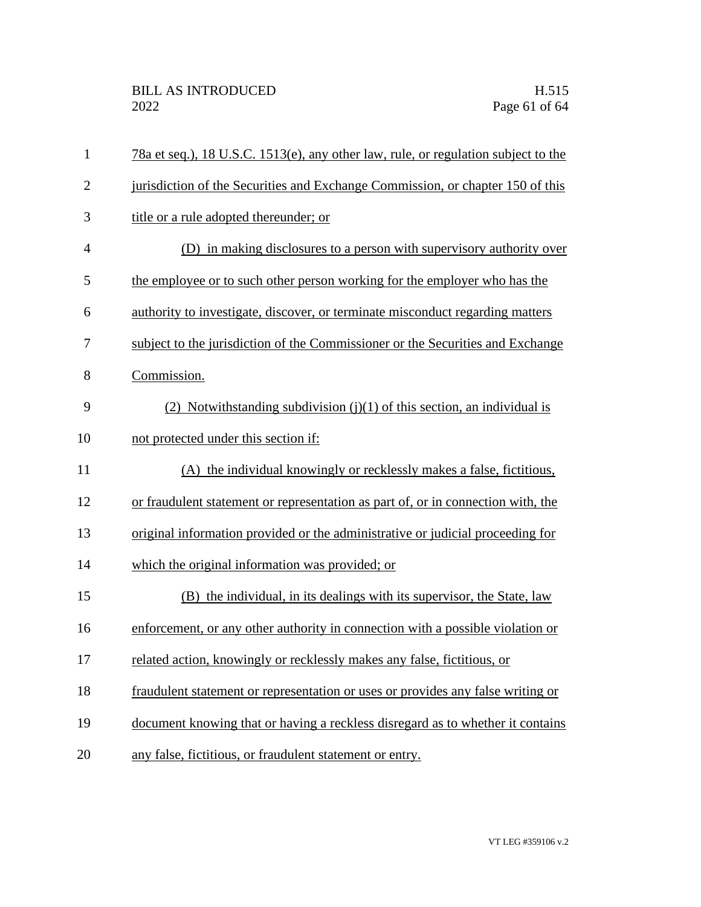| $\mathbf{1}$   | 78a et seq.), 18 U.S.C. 1513(e), any other law, rule, or regulation subject to the |
|----------------|------------------------------------------------------------------------------------|
| $\overline{2}$ | jurisdiction of the Securities and Exchange Commission, or chapter 150 of this     |
| 3              | title or a rule adopted thereunder; or                                             |
| $\overline{4}$ | (D) in making disclosures to a person with supervisory authority over              |
| 5              | the employee or to such other person working for the employer who has the          |
| 6              | authority to investigate, discover, or terminate misconduct regarding matters      |
| 7              | subject to the jurisdiction of the Commissioner or the Securities and Exchange     |
| 8              | Commission.                                                                        |
| 9              | (2) Notwithstanding subdivision $(j)(1)$ of this section, an individual is         |
| 10             | not protected under this section if:                                               |
| 11             | (A) the individual knowingly or recklessly makes a false, fictitious,              |
| 12             | or fraudulent statement or representation as part of, or in connection with, the   |
| 13             | original information provided or the administrative or judicial proceeding for     |
| 14             | which the original information was provided; or                                    |
| 15             | (B) the individual, in its dealings with its supervisor, the State, law            |
| 16             | enforcement, or any other authority in connection with a possible violation or     |
| 17             | related action, knowingly or recklessly makes any false, fictitious, or            |
| 18             | fraudulent statement or representation or uses or provides any false writing or    |
| 19             | document knowing that or having a reckless disregard as to whether it contains     |
| 20             | any false, fictitious, or fraudulent statement or entry.                           |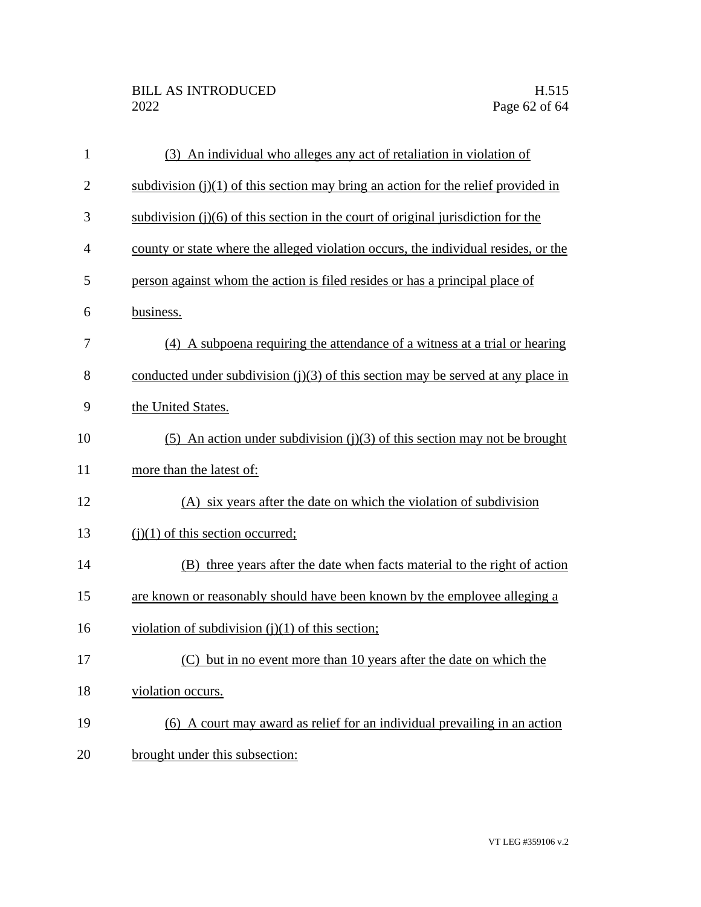| $\mathbf{1}$   | (3) An individual who alleges any act of retaliation in violation of                |
|----------------|-------------------------------------------------------------------------------------|
| $\overline{2}$ | subdivision $(j)(1)$ of this section may bring an action for the relief provided in |
| 3              | subdivision $(j)(6)$ of this section in the court of original jurisdiction for the  |
| 4              | county or state where the alleged violation occurs, the individual resides, or the  |
| 5              | person against whom the action is filed resides or has a principal place of         |
| 6              | business.                                                                           |
| 7              | (4) A subpoena requiring the attendance of a witness at a trial or hearing          |
| 8              | conducted under subdivision $(i)(3)$ of this section may be served at any place in  |
| 9              | the United States.                                                                  |
| 10             | (5) An action under subdivision $(j)(3)$ of this section may not be brought         |
| 11             | more than the latest of:                                                            |
| 12             | (A) six years after the date on which the violation of subdivision                  |
| 13             | $(j)(1)$ of this section occurred;                                                  |
| 14             | (B) three years after the date when facts material to the right of action           |
| 15             | are known or reasonably should have been known by the employee alleging a           |
| 16             | violation of subdivision $(j)(1)$ of this section;                                  |
| 17             | (C) but in no event more than 10 years after the date on which the                  |
| 18             | violation occurs.                                                                   |
| 19             | (6) A court may award as relief for an individual prevailing in an action           |
| 20             | brought under this subsection:                                                      |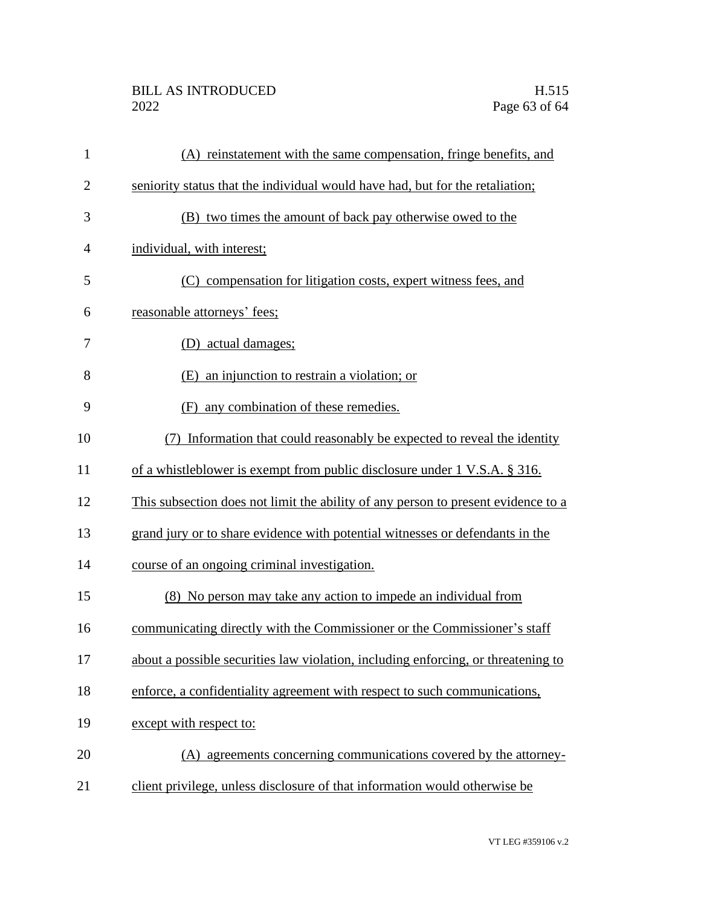# BILL AS INTRODUCED H.515<br>2022 Page 63 of 64

| $\mathbf{1}$   | (A) reinstatement with the same compensation, fringe benefits, and                |
|----------------|-----------------------------------------------------------------------------------|
| $\mathbf{2}$   | seniority status that the individual would have had, but for the retaliation;     |
| 3              | (B) two times the amount of back pay otherwise owed to the                        |
| $\overline{4}$ | individual, with interest;                                                        |
| 5              | (C) compensation for litigation costs, expert witness fees, and                   |
| 6              | reasonable attorneys' fees;                                                       |
| 7              | (D) actual damages;                                                               |
| 8              | (E) an injunction to restrain a violation; or                                     |
| 9              | any combination of these remedies.<br>(F)                                         |
| 10             | Information that could reasonably be expected to reveal the identity<br>(7)       |
| 11             | of a whistleblower is exempt from public disclosure under 1 V.S.A. § 316.         |
| 12             | This subsection does not limit the ability of any person to present evidence to a |
| 13             | grand jury or to share evidence with potential witnesses or defendants in the     |
| 14             | course of an ongoing criminal investigation.                                      |
| 15             | (8) No person may take any action to impede an individual from                    |
| 16             | communicating directly with the Commissioner or the Commissioner's staff          |
| 17             | about a possible securities law violation, including enforcing, or threatening to |
| 18             | enforce, a confidentiality agreement with respect to such communications,         |
| 19             | except with respect to:                                                           |
| 20             | (A) agreements concerning communications covered by the attorney-                 |
| 21             | client privilege, unless disclosure of that information would otherwise be        |